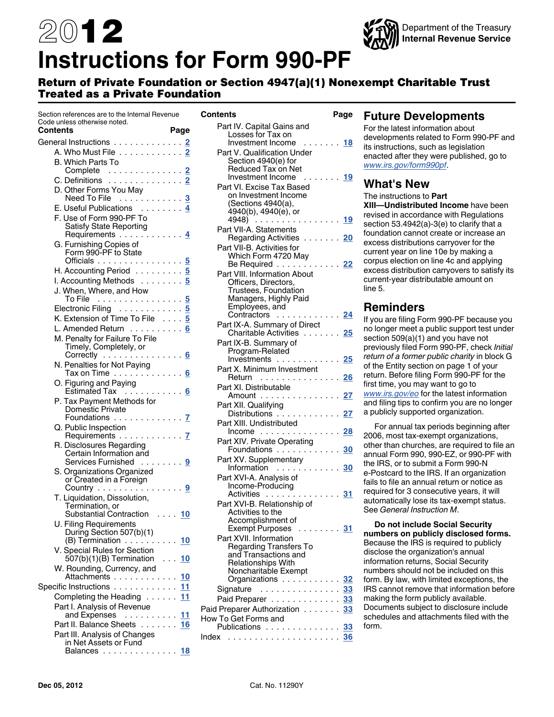# 2012 **Instructions for Form 990-PF**



### Return of Private Foundation or Section 4947(a)(1) Nonexempt Charitable Trust Treated as a Private Foundation

| Section references are to the Internal Revenue                   |  |            |
|------------------------------------------------------------------|--|------------|
| Code unless otherwise noted.<br>Contents                         |  | Page       |
| General Instructions 2                                           |  |            |
| A. Who Must File 2                                               |  |            |
| B. Which Parts To                                                |  |            |
| Complete<br>C. Definitions<br>C. Definitions                     |  |            |
|                                                                  |  |            |
| D. Other Forms You May                                           |  |            |
| Need To File<br>E. Useful Publications<br>E. Useful Publications |  |            |
|                                                                  |  |            |
| F. Use of Form 990-PF To                                         |  |            |
| Satisfy State Reporting<br>Requirements 4                        |  |            |
| G. Furnishing Copies of                                          |  |            |
| Form 990-PF to State                                             |  |            |
| Officials 5                                                      |  |            |
| H. Accounting Period 5                                           |  |            |
| I. Accounting Methods 5                                          |  |            |
| J. When, Where, and How<br>To File $\dots\dots\dots\dots\dots$   |  |            |
|                                                                  |  |            |
| Electronic Filing 5                                              |  |            |
| K. Extension of Time To File 5                                   |  |            |
| L. Amended Return 6                                              |  |            |
| M. Penalty for Failure To File                                   |  |            |
| Timely, Completely, or<br>Correctly 6                            |  |            |
|                                                                  |  |            |
| N. Penalties for Not Paying<br>Tax on Time ............ <u>6</u> |  |            |
|                                                                  |  |            |
| O. Figuring and Paying<br>Estimated Tax 6                        |  |            |
| P. Tax Payment Methods for                                       |  |            |
| Domestic Private                                                 |  |            |
| Foundations <u>7</u>                                             |  |            |
| Q. Public Inspection<br>Requirements <u>7</u>                    |  |            |
|                                                                  |  |            |
| R. Disclosures Regarding                                         |  |            |
| Certain Information and<br>Services Furnished  9                 |  |            |
| S. Organizations Organized                                       |  |            |
| or Created in a Foreign                                          |  |            |
| Country 9                                                        |  |            |
| T. Liquidation, Dissolution,                                     |  |            |
| Termination, or                                                  |  |            |
| Substantial Contraction  10                                      |  |            |
| U. Filing Requirements<br>During Section 507(b)(1)               |  |            |
| (B) Termination                                                  |  | 10         |
| V. Special Rules for Section                                     |  |            |
| 507(b)(1)(B) Termination                                         |  | . 10       |
| W. Rounding, Currency, and                                       |  |            |
| Attachments                                                      |  | <u>10</u>  |
| Specific Instructions                                            |  | .11        |
| Completing the Heading                                           |  | 11         |
| Part I. Analysis of Revenue                                      |  |            |
| and Expenses                                                     |  | <u> 11</u> |
| Part II. Balance Sheets 16                                       |  |            |
| Part III. Analysis of Changes                                    |  |            |
| in Net Assets or Fund<br>Balances 18                             |  |            |
|                                                                  |  |            |

| Part IV. Capital Gains and<br>Losses for Tax on<br>Investment Income<br>. 18<br>Part V. Qualification Under<br>Section 4940(e) for<br>Reduced Tax on Net<br>Investment Income<br>. 19<br>Part VI. Excise Tax Based<br>on Investment Income<br>(Sections 4940(a),<br>4940(b), 4940(e), or |  |
|------------------------------------------------------------------------------------------------------------------------------------------------------------------------------------------------------------------------------------------------------------------------------------------|--|
|                                                                                                                                                                                                                                                                                          |  |
|                                                                                                                                                                                                                                                                                          |  |
|                                                                                                                                                                                                                                                                                          |  |
|                                                                                                                                                                                                                                                                                          |  |
| 4948)<br>. <u>19</u>                                                                                                                                                                                                                                                                     |  |
| Part VII-A. Statements<br>Regarding Activities 20                                                                                                                                                                                                                                        |  |
| Part VII-B. Activities for<br>Which Form 4720 May                                                                                                                                                                                                                                        |  |
| Be Required 22<br>Part VIII. Information About                                                                                                                                                                                                                                           |  |
| Officers, Directors,<br>Trustees, Foundation<br>Managers, Highly Paid                                                                                                                                                                                                                    |  |
| Employees, and<br>Contractors  24                                                                                                                                                                                                                                                        |  |
| Part IX-A. Summary of Direct<br>Charitable Activities 25                                                                                                                                                                                                                                 |  |
| Part IX-B. Summary of<br>Program-Related<br>Investments 25                                                                                                                                                                                                                               |  |
| Part X. Minimum Investment<br>Return <u>26</u>                                                                                                                                                                                                                                           |  |
| Part XI. Distributable<br>Amount<br>27                                                                                                                                                                                                                                                   |  |
| Part XII. Qualifying<br>Distributions<br>27                                                                                                                                                                                                                                              |  |
| Part XIII. Undistributed<br>$Income \ldots \ldots$<br>. <u>28</u>                                                                                                                                                                                                                        |  |
| Part XIV. Private Operating<br>Foundations  30                                                                                                                                                                                                                                           |  |
| Part XV. Supplementary                                                                                                                                                                                                                                                                   |  |
| Information  30<br>Part XVI-A. Analysis of<br>Income-Producing                                                                                                                                                                                                                           |  |
| Activities<br>$\cdots$ 31<br>Part XVI-B. Relationship of                                                                                                                                                                                                                                 |  |
| Activities to the<br>Accomplishment of                                                                                                                                                                                                                                                   |  |
| Exempt Purposes<br>. <u>31</u><br>Part XVII. Information                                                                                                                                                                                                                                 |  |
| <b>Regarding Transfers To</b><br>and Transactions and                                                                                                                                                                                                                                    |  |
| <b>Relationships With</b><br>Noncharitable Exempt                                                                                                                                                                                                                                        |  |
| Organizations<br>32                                                                                                                                                                                                                                                                      |  |
| . 33<br>Signature<br>Paid Preparer 33                                                                                                                                                                                                                                                    |  |
| Paid Preparer Authorization<br>.33                                                                                                                                                                                                                                                       |  |
| How To Get Forms and                                                                                                                                                                                                                                                                     |  |
| Publications 33<br>36<br>$Index \dots \dots \dots \dots \dots \dots \dots$                                                                                                                                                                                                               |  |

### **Future Developments**

For the latest information about developments related to Form 990-PF and its instructions, such as legislation enacted after they were published, go to *[www.irs.gov/form990pf](http://www.irs.gov/form990pf)*.

### **What's New**

The instructions to **Part XIII—Undistributed Income** have been

revised in accordance with Regulations section 53.4942(a)-3(e) to clarify that a foundation cannot create or increase an excess distributions carryover for the current year on line 10e by making a corpus election on line 4c and applying excess distribution carryovers to satisfy its current-year distributable amount on line 5.

### **Reminders**

If you are filing Form 990-PF because you no longer meet a public support test under section 509(a)(1) and you have not previously filed Form 990-PF, check *Initial return of a former public charity* in block G of the Entity section on page 1 of your return. Before filing Form 990-PF for the first time, you may want to go to *[www.irs.gov/eo](http://www.irs.gov/charities/index.html)* for the latest information and filing tips to confirm you are no longer a publicly supported organization.

For annual tax periods beginning after 2006, most tax-exempt organizations, other than churches, are required to file an annual Form 990, 990-EZ, or 990-PF with the IRS, or to submit a Form 990-N e-Postcard to the IRS. If an organization fails to file an annual return or notice as required for 3 consecutive years, it will automatically lose its tax-exempt status. See *General Instruction M*.

**Do not include Social Security numbers on publicly disclosed forms.**  Because the IRS is required to publicly disclose the organization's annual information returns, Social Security numbers should not be included on this form. By law, with limited exceptions, the IRS cannot remove that information before making the form publicly available. Documents subject to disclosure include schedules and attachments filed with the form.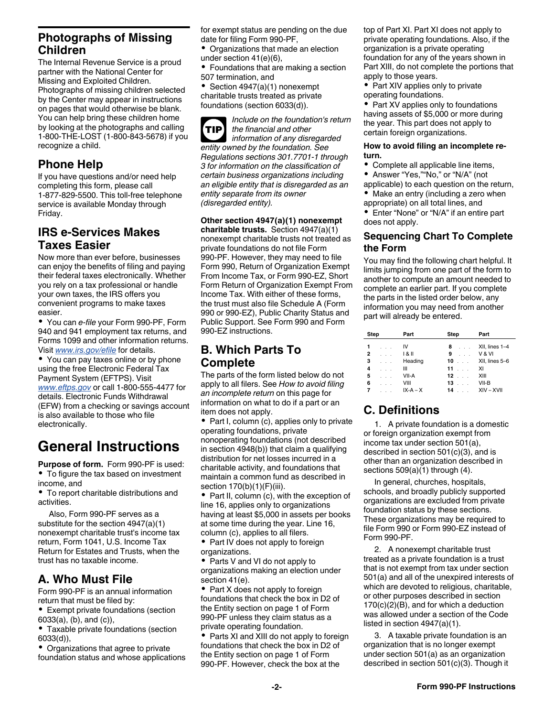### <span id="page-1-0"></span>**Photographs of Missing Children**

The Internal Revenue Service is a proud partner with the National Center for Missing and Exploited Children. Photographs of missing children selected by the Center may appear in instructions on pages that would otherwise be blank. You can help bring these children home by looking at the photographs and calling 1-800-THE-LOST (1-800-843-5678) if you recognize a child.

### **Phone Help**

If you have questions and/or need help completing this form, please call 1-877-829-5500. This toll-free telephone service is available Monday through Friday.

### **IRS e-Services Makes Taxes Easier**

Now more than ever before, businesses can enjoy the benefits of filing and paying their federal taxes electronically. Whether you rely on a tax professional or handle your own taxes, the IRS offers you convenient programs to make taxes easier.

You can *e-file* your Form 990-PF, Form 940 and 941 employment tax returns, and Forms 1099 and other information returns. Visit *[www.irs.gov/efile](http://www.irs.gov/efile)* for details.

You can pay taxes online or by phone using the free Electronic Federal Tax Payment System (EFTPS). Visit *[www.eftps.gov](http://www.eftps.gov)* or call 1-800-555-4477 for details. Electronic Funds Withdrawal (EFW) from a checking or savings account is also available to those who file electronically.

## **General Instructions**

**Purpose of form.** Form 990-PF is used: To figure the tax based on investment income, and

To report charitable distributions and activities.

Also, Form 990-PF serves as a substitute for the section 4947(a)(1) nonexempt charitable trust's income tax return, Form 1041, U.S. Income Tax Return for Estates and Trusts, when the trust has no taxable income.

### **A. Who Must File**

Form 990-PF is an annual information return that must be filed by:

- Exempt private foundations (section 6033(a), (b), and (c)),
- Taxable private foundations (section 6033(d)),

Organizations that agree to private foundation status and whose applications for exempt status are pending on the due date for filing Form 990-PF,

 $\bullet$ Organizations that made an election under section 41(e)(6),

Foundations that are making a section 507 termination, and

Section 4947(a)(1) nonexempt charitable trusts treated as private foundations (section 6033(d)).

*Include on the foundation's return the financial and other information of any disregarded entity owned by the foundation. See Regulations sections 301.7701-1 through 3 for information on the classification of certain business organizations including an eligible entity that is disregarded as an entity separate from its owner (disregarded entity).* **TIP**

**Other section 4947(a)(1) nonexempt** 

**charitable trusts.** Section 4947(a)(1) nonexempt charitable trusts not treated as private foundations do not file Form 990-PF. However, they may need to file Form 990, Return of Organization Exempt From Income Tax, or Form 990-EZ, Short Form Return of Organization Exempt From Income Tax. With either of these forms, the trust must also file Schedule A (Form 990 or 990-EZ), Public Charity Status and Public Support. See Form 990 and Form 990-EZ instructions.

### **B. Which Parts To Complete**

The parts of the form listed below do not apply to all filers. See *How to avoid filing an incomplete return* on this page for information on what to do if a part or an item does not apply.

Part I, column (c), applies only to private operating foundations, private nonoperating foundations (not described in section 4948(b)) that claim a qualifying distribution for net losses incurred in a charitable activity, and foundations that maintain a common fund as described in section 170(b)(1)(F)(iii).

Part II, column (c), with the exception of line 16, applies only to organizations having at least \$5,000 in assets per books at some time during the year. Line 16, column (c), applies to all filers.

Part IV does not apply to foreign  $\bullet$ organizations.

• Parts V and VI do not apply to organizations making an election under section 41(e).

• Part X does not apply to foreign foundations that check the box in D2 of the Entity section on page 1 of Form 990-PF unless they claim status as a private operating foundation.

• Parts XI and XIII do not apply to foreign foundations that check the box in D2 of the Entity section on page 1 of Form 990-PF. However, check the box at the

top of Part XI. Part XI does not apply to private operating foundations. Also, if the organization is a private operating foundation for any of the years shown in Part XIII, do not complete the portions that apply to those years.

• Part XIV applies only to private operating foundations.

• Part XV applies only to foundations having assets of \$5,000 or more during the year. This part does not apply to certain foreign organizations.

#### **How to avoid filing an incomplete return.**

- Complete all applicable line items,
- Answer "Yes,""No," or "N/A" (not
- applicable) to each question on the return, • Make an entry (including a zero when
- appropriate) on all total lines, and

Enter "None" or "N/A" if an entire part does not apply.

### **Sequencing Chart To Complete the Form**

You may find the following chart helpful. It limits jumping from one part of the form to another to compute an amount needed to complete an earlier part. If you complete the parts in the listed order below, any information you may need from another part will already be entered.

| <b>Step</b>    |          | Part       | <b>Step</b>                | Part           |
|----------------|----------|------------|----------------------------|----------------|
|                | .        | IV         | 8<br>$\sim$ $\sim$         | XII, lines 1-4 |
| $\overline{2}$ |          | $1 & 8$ II | 9                          | V & VI         |
| 3              | $\cdots$ | Heading    | 10<br>$\sim$ $\sim$ $\sim$ | XII, lines 5-6 |
| 4              | .        | ш          | $11 \ldots$                | XI             |
| 5              |          | VII-A      | $12 \ldots$                | XIII           |
| 6              |          | VIII       | $13 \ldots$                | $VII-B$        |
| -7             | .        | $IX-A-X$   | 14                         | XIV - XVII     |

## **C. Definitions**

1. A private foundation is a domestic or foreign organization exempt from income tax under section 501(a), described in section 501(c)(3), and is other than an organization described in sections 509(a)(1) through (4).

In general, churches, hospitals, schools, and broadly publicly supported organizations are excluded from private foundation status by these sections. These organizations may be required to file Form 990 or Form 990-EZ instead of Form 990-PF.

2. A nonexempt charitable trust treated as a private foundation is a trust that is not exempt from tax under section 501(a) and all of the unexpired interests of which are devoted to religious, charitable, or other purposes described in section 170(c)(2)(B), and for which a deduction was allowed under a section of the Code listed in section 4947(a)(1).

3. A taxable private foundation is an organization that is no longer exempt under section 501(a) as an organization described in section 501(c)(3). Though it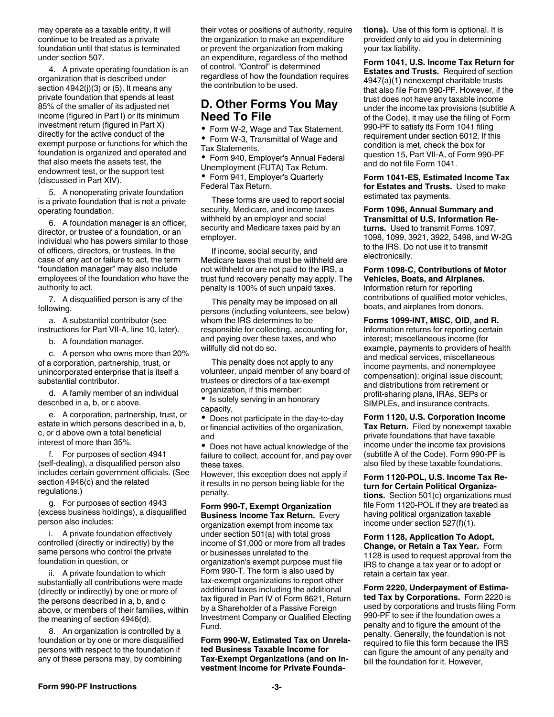<span id="page-2-0"></span>may operate as a taxable entity, it will continue to be treated as a private foundation until that status is terminated under section 507.

4. A private operating foundation is an organization that is described under section  $4942(i)(3)$  or (5). It means any private foundation that spends at least 85% of the smaller of its adjusted net income (figured in Part I) or its minimum investment return (figured in Part X) directly for the active conduct of the exempt purpose or functions for which the foundation is organized and operated and that also meets the assets test, the endowment test, or the support test (discussed in Part XIV).

5. A nonoperating private foundation is a private foundation that is not a private operating foundation.

6. A foundation manager is an officer, director, or trustee of a foundation, or an individual who has powers similar to those of officers, directors, or trustees. In the case of any act or failure to act, the term "foundation manager" may also include employees of the foundation who have the authority to act.

7. A disqualified person is any of the following.

a. A substantial contributor (see instructions for Part VII-A, line 10, later).

b. A foundation manager.

c. A person who owns more than 20% of a corporation, partnership, trust, or unincorporated enterprise that is itself a substantial contributor.

d. A family member of an individual described in a, b, or c above.

e. A corporation, partnership, trust, or estate in which persons described in a, b, c, or d above own a total beneficial interest of more than 35%.

f. For purposes of section 4941 (self-dealing), a disqualified person also includes certain government officials. (See section 4946(c) and the related regulations.)

g. For purposes of section 4943 (excess business holdings), a disqualified person also includes:

i. A private foundation effectively controlled (directly or indirectly) by the same persons who control the private foundation in question, or

ii. A private foundation to which substantially all contributions were made (directly or indirectly) by one or more of the persons described in a, b, and c above, or members of their families, within the meaning of section 4946(d).

8. An organization is controlled by a foundation or by one or more disqualified persons with respect to the foundation if any of these persons may, by combining

their votes or positions of authority, require the organization to make an expenditure or prevent the organization from making an expenditure, regardless of the method of control. "Control" is determined regardless of how the foundation requires the contribution to be used.

### **D. Other Forms You May Need To File**

Form W-2, Wage and Tax Statement.  $\bullet$ 

Form W-3, Transmittal of Wage and Tax Statements.

Form 940, Employer's Annual Federal Unemployment (FUTA) Tax Return.

٠ Form 941, Employer's Quarterly Federal Tax Return.

These forms are used to report social security, Medicare, and income taxes withheld by an employer and social security and Medicare taxes paid by an employer.

If income, social security, and Medicare taxes that must be withheld are not withheld or are not paid to the IRS, a trust fund recovery penalty may apply. The penalty is 100% of such unpaid taxes.

This penalty may be imposed on all persons (including volunteers, see below) whom the IRS determines to be responsible for collecting, accounting for, and paying over these taxes, and who willfully did not do so.

This penalty does not apply to any volunteer, unpaid member of any board of trustees or directors of a tax-exempt organization, if this member:

• Is solely serving in an honorary capacity,

• Does not participate in the day-to-day or financial activities of the organization, and

Does not have actual knowledge of the failure to collect, account for, and pay over these taxes.

However, this exception does not apply if it results in no person being liable for the penalty.

**Form 990-T, Exempt Organization Business Income Tax Return.** Every organization exempt from income tax under section 501(a) with total gross income of \$1,000 or more from all trades or businesses unrelated to the organization's exempt purpose must file Form 990-T. The form is also used by tax-exempt organizations to report other additional taxes including the additional tax figured in Part IV of Form 8621, Return by a Shareholder of a Passive Foreign Investment Company or Qualified Electing Fund.

**Form 990-W, Estimated Tax on Unrelated Business Taxable Income for Tax-Exempt Organizations (and on Investment Income for Private Founda-** **tions).** Use of this form is optional. It is provided only to aid you in determining your tax liability.

**Form 1041, U.S. Income Tax Return for Estates and Trusts.** Required of section 4947(a)(1) nonexempt charitable trusts that also file Form 990-PF. However, if the trust does not have any taxable income under the income tax provisions (subtitle A of the Code), it may use the filing of Form 990-PF to satisfy its Form 1041 filing requirement under section 6012. If this condition is met, check the box for question 15, Part VII-A, of Form 990-PF and do not file Form 1041.

**Form 1041-ES, Estimated Income Tax for Estates and Trusts.** Used to make estimated tax payments.

**Form 1096, Annual Summary and Transmittal of U.S. Information Returns.** Used to transmit Forms 1097, 1098, 1099, 3921, 3922, 5498, and W-2G to the IRS. Do not use it to transmit electronically.

**Form 1098-C, Contributions of Motor Vehicles, Boats, and Airplanes.**  Information return for reporting contributions of qualified motor vehicles, boats, and airplanes from donors.

**Forms 1099-INT, MISC, OID, and R.**  Information returns for reporting certain interest; miscellaneous income (for example, payments to providers of health and medical services, miscellaneous income payments, and nonemployee compensation); original issue discount; and distributions from retirement or profit-sharing plans, IRAs, SEPs or SIMPLEs, and insurance contracts.

**Form 1120, U.S. Corporation Income Tax Return.** Filed by nonexempt taxable private foundations that have taxable income under the income tax provisions (subtitle A of the Code). Form 990-PF is also filed by these taxable foundations.

**Form 1120-POL, U.S. Income Tax Return for Certain Political Organizations.** Section 501(c) organizations must file Form 1120-POL if they are treated as having political organization taxable income under section 527(f)(1).

**Form 1128, Application To Adopt, Change, or Retain a Tax Year.** Form 1128 is used to request approval from the IRS to change a tax year or to adopt or retain a certain tax year.

**Form 2220, Underpayment of Estimated Tax by Corporations.** Form 2220 is used by corporations and trusts filing Form 990-PF to see if the foundation owes a penalty and to figure the amount of the penalty. Generally, the foundation is not required to file this form because the IRS can figure the amount of any penalty and bill the foundation for it. However,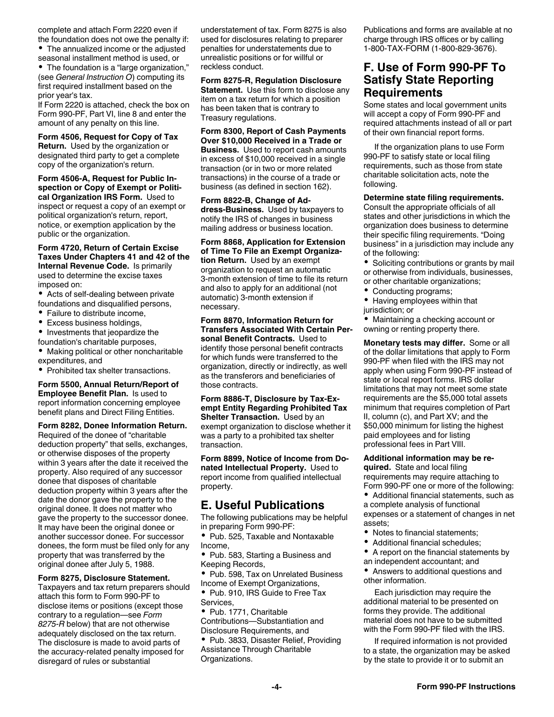<span id="page-3-0"></span>complete and attach Form 2220 even if the foundation does not owe the penalty if:

The annualized income or the adjusted seasonal installment method is used, or

The foundation is a "large organization," (see *General Instruction O*) computing its first required installment based on the prior year's tax.

If Form 2220 is attached, check the box on Form 990-PF, Part VI, line 8 and enter the amount of any penalty on this line.

**Form 4506, Request for Copy of Tax Return.** Used by the organization or designated third party to get a complete copy of the organization's return.

**Form 4506-A, Request for Public Inspection or Copy of Exempt or Political Organization IRS Form.** Used to inspect or request a copy of an exempt or political organization's return, report, notice, or exemption application by the public or the organization.

**Form 4720, Return of Certain Excise Taxes Under Chapters 41 and 42 of the Internal Revenue Code.** Is primarily used to determine the excise taxes imposed on:

Acts of self-dealing between private foundations and disqualified persons,

- Failure to distribute income,
- $\bullet$ Excess business holdings,
- Investments that jeopardize the foundation's charitable purposes,
- Making political or other noncharitable expenditures, and
- Prohibited tax shelter transactions.

**Form 5500, Annual Return/Report of Employee Benefit Plan.** Is used to report information concerning employee benefit plans and Direct Filing Entities.

**Form 8282, Donee Information Return.**  Required of the donee of "charitable deduction property" that sells, exchanges, or otherwise disposes of the property within 3 years after the date it received the property. Also required of any successor donee that disposes of charitable deduction property within 3 years after the date the donor gave the property to the original donee. It does not matter who gave the property to the successor donee. It may have been the original donee or another successor donee. For successor donees, the form must be filed only for any property that was transferred by the original donee after July 5, 1988.

#### **Form 8275, Disclosure Statement.**

Taxpayers and tax return preparers should attach this form to Form 990-PF to disclose items or positions (except those contrary to a regulation—see *Form 8275-R* below) that are not otherwise adequately disclosed on the tax return. The disclosure is made to avoid parts of the accuracy-related penalty imposed for disregard of rules or substantial

understatement of tax. Form 8275 is also used for disclosures relating to preparer penalties for understatements due to unrealistic positions or for willful or reckless conduct.

#### **Form 8275-R, Regulation Disclosure Statement.** Use this form to disclose any item on a tax return for which a position has been taken that is contrary to Treasury regulations.

**Form 8300, Report of Cash Payments Over \$10,000 Received in a Trade or Business.** Used to report cash amounts in excess of \$10,000 received in a single transaction (or in two or more related transactions) in the course of a trade or business (as defined in section 162).

#### **Form 8822-B, Change of Address-Business.** Used by taxpayers to notify the IRS of changes in business mailing address or business location.

**Form 8868, Application for Extension of Time To File an Exempt Organization Return.** Used by an exempt organization to request an automatic 3-month extension of time to file its return and also to apply for an additional (not automatic) 3-month extension if necessary.

#### **Form 8870, Information Return for Transfers Associated With Certain Personal Benefit Contracts.** Used to identify those personal benefit contracts

for which funds were transferred to the organization, directly or indirectly, as well as the transferors and beneficiaries of those contracts.

**Form 8886-T, Disclosure by Tax-Exempt Entity Regarding Prohibited Tax Shelter Transaction.** Used by an exempt organization to disclose whether it was a party to a prohibited tax shelter transaction.

**Form 8899, Notice of Income from Donated Intellectual Property.** Used to report income from qualified intellectual property.

### **E. Useful Publications**

The following publications may be helpful in preparing Form 990-PF:

• Pub. 525, Taxable and Nontaxable Income,

• Pub. 583, Starting a Business and Keeping Records,

Pub. 598, Tax on Unrelated Business Income of Exempt Organizations,

Pub. 910, IRS Guide to Free Tax **Services** 

Pub. 1771, Charitable Contributions—Substantiation and Disclosure Requirements, and

• Pub. 3833, Disaster Relief, Providing Assistance Through Charitable Organizations.

Publications and forms are available at no charge through IRS offices or by calling 1-800-TAX-FORM (1-800-829-3676).

### **F. Use of Form 990-PF To Satisfy State Reporting Requirements**

Some states and local government units will accept a copy of Form 990-PF and required attachments instead of all or part of their own financial report forms.

If the organization plans to use Form 990-PF to satisfy state or local filing requirements, such as those from state charitable solicitation acts, note the following.

#### **Determine state filing requirements.**

Consult the appropriate officials of all states and other jurisdictions in which the organization does business to determine their specific filing requirements. "Doing business" in a jurisdiction may include any of the following:

- Soliciting contributions or grants by mail or otherwise from individuals, businesses,
- or other charitable organizations;
- Conducting programs;
- Having employees within that jurisdiction; or

• Maintaining a checking account or owning or renting property there.

**Monetary tests may differ.** Some or all of the dollar limitations that apply to Form 990-PF when filed with the IRS may not apply when using Form 990-PF instead of state or local report forms. IRS dollar limitations that may not meet some state requirements are the \$5,000 total assets minimum that requires completion of Part II, column (c), and Part XV; and the \$50,000 minimum for listing the highest paid employees and for listing professional fees in Part VIII.

#### **Additional information may be re-**

**quired.** State and local filing requirements may require attaching to Form 990-PF one or more of the following:

Additional financial statements, such as a complete analysis of functional

expenses or a statement of changes in net assets;

- $\bullet$ Notes to financial statements;
- Additional financial schedules;
- $\bullet$ A report on the financial statements by an independent accountant; and

Answers to additional questions and other information.

Each jurisdiction may require the additional material to be presented on forms they provide. The additional material does not have to be submitted with the Form 990-PF filed with the IRS.

If required information is not provided to a state, the organization may be asked by the state to provide it or to submit an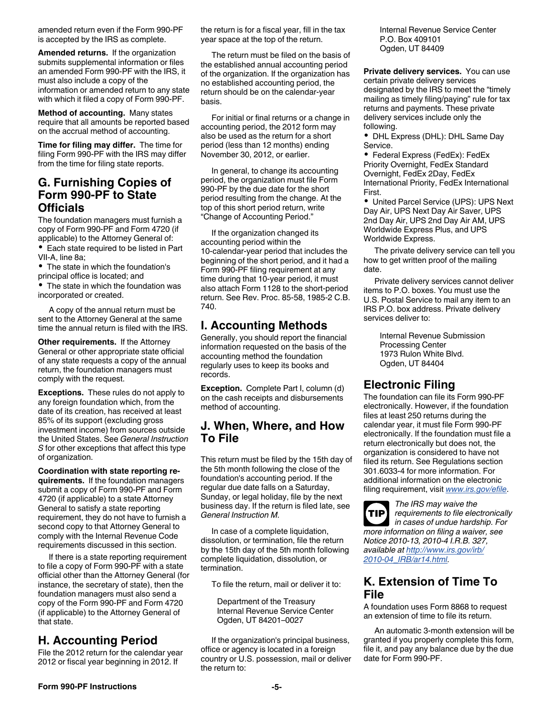<span id="page-4-0"></span>amended return even if the Form 990-PF is accepted by the IRS as complete.

**Amended returns.** If the organization submits supplemental information or files an amended Form 990-PF with the IRS, it must also include a copy of the information or amended return to any state with which it filed a copy of Form 990-PF.

**Method of accounting.** Many states require that all amounts be reported based on the accrual method of accounting.

**Time for filing may differ.** The time for filing Form 990-PF with the IRS may differ from the time for filing state reports.

### **G. Furnishing Copies of Form 990-PF to State Officials**

The foundation managers must furnish a copy of Form 990-PF and Form 4720 (if applicable) to the Attorney General of:

Each state required to be listed in Part VII-A, line 8a;

• The state in which the foundation's principal office is located; and

• The state in which the foundation was incorporated or created.

A copy of the annual return must be sent to the Attorney General at the same time the annual return is filed with the IRS.

**Other requirements.** If the Attorney General or other appropriate state official of any state requests a copy of the annual return, the foundation managers must comply with the request.

**Exceptions.** These rules do not apply to any foreign foundation which, from the date of its creation, has received at least 85% of its support (excluding gross investment income) from sources outside the United States. See *General Instruction S* for other exceptions that affect this type of organization.

**Coordination with state reporting requirements.** If the foundation managers submit a copy of Form 990-PF and Form 4720 (if applicable) to a state Attorney General to satisfy a state reporting requirement, they do not have to furnish a second copy to that Attorney General to comply with the Internal Revenue Code requirements discussed in this section.

If there is a state reporting requirement to file a copy of Form 990-PF with a state official other than the Attorney General (for instance, the secretary of state), then the foundation managers must also send a copy of the Form 990-PF and Form 4720 (if applicable) to the Attorney General of that state.

### **H. Accounting Period**

File the 2012 return for the calendar year 2012 or fiscal year beginning in 2012. If

the return is for a fiscal year, fill in the tax year space at the top of the return.

The return must be filed on the basis of the established annual accounting period of the organization. If the organization has no established accounting period, the return should be on the calendar-year basis.

For initial or final returns or a change in accounting period, the 2012 form may also be used as the return for a short period (less than 12 months) ending November 30, 2012, or earlier.

In general, to change its accounting period, the organization must file Form 990-PF by the due date for the short period resulting from the change. At the top of this short period return, write "Change of Accounting Period."

If the organization changed its accounting period within the 10-calendar-year period that includes the beginning of the short period, and it had a Form 990-PF filing requirement at any time during that 10-year period, it must also attach Form 1128 to the short-period return. See Rev. Proc. 85-58, 1985-2 C.B. 740.

### **I. Accounting Methods**

Generally, you should report the financial information requested on the basis of the accounting method the foundation regularly uses to keep its books and records.

**Exception.** Complete Part I, column (d) on the cash receipts and disbursements method of accounting.

### **J. When, Where, and How To File**

This return must be filed by the 15th day of the 5th month following the close of the foundation's accounting period. If the regular due date falls on a Saturday, Sunday, or legal holiday, file by the next business day. If the return is filed late, see *General Instruction M.*

In case of a complete liquidation, dissolution, or termination, file the return by the 15th day of the 5th month following complete liquidation, dissolution, or termination.

To file the return, mail or deliver it to:

Department of the Treasury Internal Revenue Service Center Ogden, UT 84201–0027

If the organization's principal business, office or agency is located in a foreign country or U.S. possession, mail or deliver the return to:

Internal Revenue Service Center P.O. Box 409101 Ogden, UT 84409

**Private delivery services.** You can use certain private delivery services designated by the IRS to meet the "timely mailing as timely filing/paying" rule for tax returns and payments. These private delivery services include only the following.

• DHL Express (DHL): DHL Same Day Service.

Federal Express (FedEx): FedEx Priority Overnight, FedEx Standard Overnight, FedEx 2Day, FedEx International Priority, FedEx International First.

United Parcel Service (UPS): UPS Next Day Air, UPS Next Day Air Saver, UPS 2nd Day Air, UPS 2nd Day Air AM, UPS Worldwide Express Plus, and UPS Worldwide Express.

The private delivery service can tell you how to get written proof of the mailing date.

Private delivery services cannot deliver items to P.O. boxes. You must use the U.S. Postal Service to mail any item to an IRS P.O. box address. Private delivery services deliver to:

> Internal Revenue Submission Processing Center 1973 Rulon White Blvd. Ogden, UT 84404

### **Electronic Filing**

The foundation can file its Form 990-PF electronically. However, if the foundation files at least 250 returns during the calendar year, it must file Form 990-PF electronically. If the foundation must file a return electronically but does not, the organization is considered to have not filed its return. See Regulations section 301.6033-4 for more information. For additional information on the electronic filing requirement, visit *[www.irs.gov/efile](http://www.irs.gov/efile)*.

*The IRS may waive the requirements to file electronically in cases of undue hardship. For more information on filing a waiver, see Notice 2010-13, 2010-4 I.R.B. 327, available at [http://www.irs.gov/irb/](http://www.irs.gov/irb/2010-04_IRB/ar14.html) [2010-04\\_IRB/ar14.html.](http://www.irs.gov/irb/2010-04_IRB/ar14.html)* **TIP**

### **K. Extension of Time To File**

A foundation uses Form 8868 to request an extension of time to file its return.

An automatic 3-month extension will be granted if you properly complete this form, file it, and pay any balance due by the due date for Form 990-PF.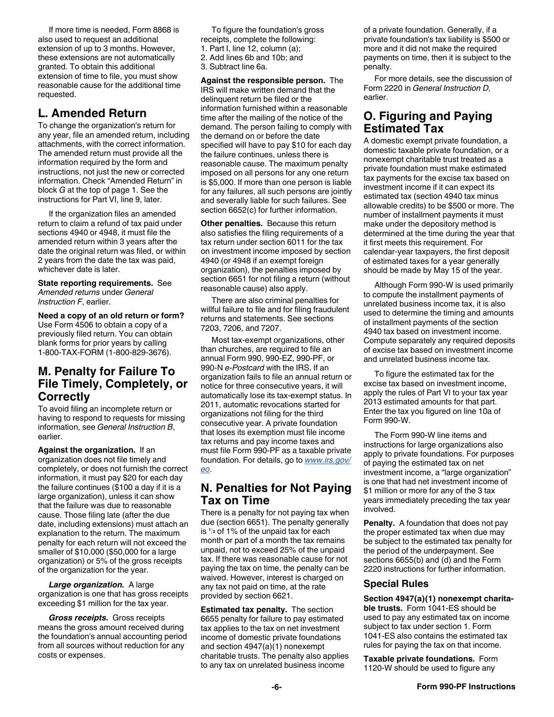<span id="page-5-0"></span>If more time is needed, Form 8868 is also used to request an additional extension of up to 3 months. However, these extensions are not automatically granted. To obtain this additional extension of time to file, you must show reasonable cause for the additional time requested.

### **L. Amended Return**

To change the organization's return for any year, file an amended return, including attachments, with the correct information. The amended return must provide all the information required by the form and instructions, not just the new or corrected information. Check "Amended Return" in block *G* at the top of page 1. See the instructions for Part VI, line 9, later.

If the organization files an amended return to claim a refund of tax paid under sections 4940 or 4948, it must file the amended return within 3 years after the date the original return was filed, or within 2 years from the date the tax was paid, whichever date is later.

**State reporting requirements.** See *Amended returns* under *General Instruction F*, earlier.

**Need a copy of an old return or form?** Use Form 4506 to obtain a copy of a previously filed return. You can obtain blank forms for prior years by calling 1-800-TAX-FORM (1-800-829-3676).

### **M. Penalty for Failure To File Timely, Completely, or Correctly**

To avoid filing an incomplete return or having to respond to requests for missing information, see *General Instruction B*, earlier.

**Against the organization.** If an organization does not file timely and completely, or does not furnish the correct information, it must pay \$20 for each day the failure continues (\$100 a day if it is a large organization), unless it can show that the failure was due to reasonable cause. Those filing late (after the due date, including extensions) must attach an explanation to the return. The maximum penalty for each return will not exceed the smaller of \$10,000 (\$50,000 for a large organization) or 5% of the gross receipts of the organization for the year.

*Large organization.* A large organization is one that has gross receipts exceeding \$1 million for the tax year.

*Gross receipts.* Gross receipts means the gross amount received during the foundation's annual accounting period from all sources without reduction for any costs or expenses.

To figure the foundation's gross receipts, complete the following:

1. Part I, line 12, column (a);

- 2. Add lines 6b and 10b; and
- 3. Subtract line 6a.

**Against the responsible person.** The IRS will make written demand that the delinquent return be filed or the information furnished within a reasonable time after the mailing of the notice of the demand. The person failing to comply with the demand on or before the date specified will have to pay \$10 for each day the failure continues, unless there is reasonable cause. The maximum penalty imposed on all persons for any one return is \$5,000. If more than one person is liable for any failures, all such persons are jointly and severally liable for such failures. See section 6652(c) for further information.

**Other penalties.** Because this return also satisfies the filing requirements of a tax return under section 6011 for the tax on investment income imposed by section 4940 (or 4948 if an exempt foreign organization), the penalties imposed by section 6651 for not filing a return (without reasonable cause) also apply.

There are also criminal penalties for willful failure to file and for filing fraudulent returns and statements. See sections 7203, 7206, and 7207.

Most tax-exempt organizations, other than churches, are required to file an annual Form 990, 990-EZ, 990-PF, or 990-N *e-Postcard* with the IRS. If an organization fails to file an annual return or notice for three consecutive years, it will automatically lose its tax-exempt status. In 2011, automatic revocations started for organizations not filing for the third consecutive year. A private foundation that loses its exemption must file income tax returns and pay income taxes and must file Form 990-PF as a taxable private foundation. For details, go to *[www.irs.gov/](http://www.irs.gov/eo) [eo](http://www.irs.gov/eo)*.

### **N. Penalties for Not Paying Tax on Time**

There is a penalty for not paying tax when due (section 6651). The penalty generally is <sup>1</sup>/<sub>2</sub> of 1% of the unpaid tax for each the proper estimated tax when due may **<sup>2</sup>** of 1% of the unpaid tax for each month or part of a month the tax remains unpaid, not to exceed 25% of the unpaid tax. If there was reasonable cause for not paying the tax on time, the penalty can be waived. However, interest is charged on any tax not paid on time, at the rate provided by section 6621.

**Estimated tax penalty.** The section 6655 penalty for failure to pay estimated tax applies to the tax on net investment income of domestic private foundations and section 4947(a)(1) nonexempt charitable trusts. The penalty also applies to any tax on unrelated business income

of a private foundation. Generally, if a private foundation's tax liability is \$500 or more and it did not make the required payments on time, then it is subject to the penalty.

For more details, see the discussion of Form 2220 in *General Instruction D,*  earlier.

### **O. Figuring and Paying Estimated Tax**

A domestic exempt private foundation, a domestic taxable private foundation, or a nonexempt charitable trust treated as a private foundation must make estimated tax payments for the excise tax based on investment income if it can expect its estimated tax (section 4940 tax minus allowable credits) to be \$500 or more. The number of installment payments it must make under the depository method is determined at the time during the year that it first meets this requirement. For calendar-year taxpayers, the first deposit of estimated taxes for a year generally should be made by May 15 of the year.

Although Form 990-W is used primarily to compute the installment payments of unrelated business income tax, it is also used to determine the timing and amounts of installment payments of the section 4940 tax based on investment income. Compute separately any required deposits of excise tax based on investment income and unrelated business income tax.

To figure the estimated tax for the excise tax based on investment income, apply the rules of Part VI to your tax year 2013 estimated amounts for that part. Enter the tax you figured on line 10a of Form 990-W.

The Form 990-W line items and instructions for large organizations also apply to private foundations. For purposes of paying the estimated tax on net investment income, a "large organization" is one that had net investment income of \$1 million or more for any of the 3 tax years immediately preceding the tax year involved.

**Penalty.** A foundation that does not pay be subject to the estimated tax penalty for the period of the underpayment. See sections 6655(b) and (d) and the Form 2220 instructions for further information.

### **Special Rules**

**Section 4947(a)(1) nonexempt charitable trusts.** Form 1041-ES should be used to pay any estimated tax on income subject to tax under section 1. Form 1041-ES also contains the estimated tax rules for paying the tax on that income.

**Taxable private foundations.** Form 1120-W should be used to figure any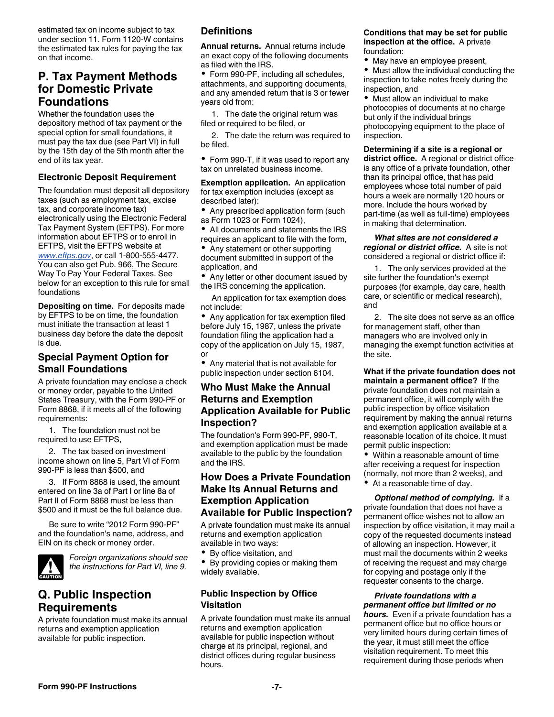<span id="page-6-0"></span>estimated tax on income subject to tax under section 11. Form 1120-W contains the estimated tax rules for paying the tax on that income.

### **P. Tax Payment Methods for Domestic Private Foundations**

Whether the foundation uses the depository method of tax payment or the special option for small foundations, it must pay the tax due (see Part VI) in full by the 15th day of the 5th month after the end of its tax year.

#### **Electronic Deposit Requirement**

The foundation must deposit all depository taxes (such as employment tax, excise tax, and corporate income tax) electronically using the Electronic Federal Tax Payment System (EFTPS). For more information about EFTPS or to enroll in EFTPS, visit the EFTPS website at *[www.eftps.gov](http://www.eftps.gov)*, or call 1-800-555-4477. You can also get Pub. 966, The Secure Way To Pay Your Federal Taxes. See below for an exception to this rule for small foundations

**Depositing on time.** For deposits made by EFTPS to be on time, the foundation must initiate the transaction at least 1 business day before the date the deposit is due.

### **Special Payment Option for Small Foundations**

A private foundation may enclose a check or money order, payable to the United States Treasury, with the Form 990-PF or Form 8868, if it meets all of the following requirements:

1. The foundation must not be required to use EFTPS,

2. The tax based on investment income shown on line 5, Part VI of Form 990-PF is less than \$500, and

3. If Form 8868 is used, the amount entered on line 3a of Part I or line 8a of Part II of Form 8868 must be less than \$500 and it must be the full balance due.

Be sure to write "2012 Form 990-PF" and the foundation's name, address, and EIN on its check or money order.



*Foreign organizations should see the instructions for Part VI, line 9.*

### **Q. Public Inspection Requirements**

A private foundation must make its annual returns and exemption application available for public inspection.

### **Definitions**

**Annual returns.** Annual returns include an exact copy of the following documents as filed with the IRS.

• Form 990-PF, including all schedules, attachments, and supporting documents, and any amended return that is 3 or fewer years old from:

1. The date the original return was filed or required to be filed, or

2. The date the return was required to be filed.

• Form 990-T, if it was used to report any tax on unrelated business income.

**Exemption application.** An application for tax exemption includes (except as described later):

Any prescribed application form (such as Form 1023 or Form 1024),

All documents and statements the IRS requires an applicant to file with the form,

Any statement or other supporting document submitted in support of the application, and

• Any letter or other document issued by the IRS concerning the application.

An application for tax exemption does not include:

Any application for tax exemption filed before July 15, 1987, unless the private foundation filing the application had a copy of the application on July 15, 1987, or

Any material that is not available for public inspection under section 6104.

### **Who Must Make the Annual Returns and Exemption Application Available for Public Inspection?**

The foundation's Form 990-PF, 990-T, and exemption application must be made available to the public by the foundation and the IRS.

### **How Does a Private Foundation Make Its Annual Returns and Exemption Application Available for Public Inspection?**

A private foundation must make its annual returns and exemption application available in two ways:

By office visitation, and

By providing copies or making them widely available.

### **Public Inspection by Office Visitation**

A private foundation must make its annual returns and exemption application available for public inspection without charge at its principal, regional, and district offices during regular business hours.

#### **Conditions that may be set for public inspection at the office.** A private foundation:

May have an employee present,

Must allow the individual conducting the inspection to take notes freely during the inspection, and

Must allow an individual to make photocopies of documents at no charge but only if the individual brings photocopying equipment to the place of inspection.

**Determining if a site is a regional or district office.** A regional or district office is any office of a private foundation, other than its principal office, that has paid employees whose total number of paid hours a week are normally 120 hours or more. Include the hours worked by part-time (as well as full-time) employees in making that determination.

*What sites are not considered a regional or district office.* A site is not considered a regional or district office if:

1. The only services provided at the site further the foundation's exempt purposes (for example, day care, health care, or scientific or medical research), and

2. The site does not serve as an office for management staff, other than managers who are involved only in managing the exempt function activities at the site.

**What if the private foundation does not maintain a permanent office?** If the private foundation does not maintain a permanent office, it will comply with the public inspection by office visitation requirement by making the annual returns and exemption application available at a reasonable location of its choice. It must permit public inspection:

Within a reasonable amount of time after receiving a request for inspection (normally, not more than 2 weeks), and At a reasonable time of day.

*Optional method of complying.* If a private foundation that does not have a permanent office wishes not to allow an inspection by office visitation, it may mail a copy of the requested documents instead of allowing an inspection. However, it must mail the documents within 2 weeks of receiving the request and may charge for copying and postage only if the requester consents to the charge.

#### *Private foundations with a permanent office but limited or no*

*hours.* Even if a private foundation has a permanent office but no office hours or very limited hours during certain times of the year, it must still meet the office visitation requirement. To meet this requirement during those periods when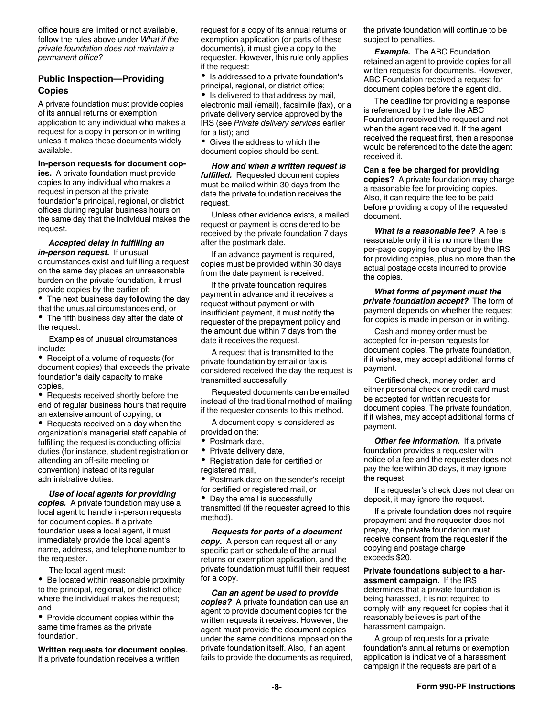office hours are limited or not available, follow the rules above under *What if the private foundation does not maintain a permanent office?*

#### **Public Inspection—Providing Copies**

A private foundation must provide copies of its annual returns or exemption application to any individual who makes a request for a copy in person or in writing unless it makes these documents widely available.

**In-person requests for document cop-**

**ies.** A private foundation must provide copies to any individual who makes a request in person at the private foundation's principal, regional, or district offices during regular business hours on the same day that the individual makes the request.

#### *Accepted delay in fulfilling an in-person request.* If unusual

circumstances exist and fulfilling a request on the same day places an unreasonable burden on the private foundation, it must provide copies by the earlier of:

The next business day following the day that the unusual circumstances end, or The fifth business day after the date of

the request.

Examples of unusual circumstances include:

• Receipt of a volume of requests (for document copies) that exceeds the private foundation's daily capacity to make copies,

• Requests received shortly before the end of regular business hours that require an extensive amount of copying, or

• Requests received on a day when the organization's managerial staff capable of fulfilling the request is conducting official duties (for instance, student registration or attending an off-site meeting or convention) instead of its regular administrative duties.

*Use of local agents for providing copies.* A private foundation may use a local agent to handle in-person requests for document copies. If a private foundation uses a local agent, it must immediately provide the local agent's name, address, and telephone number to the requester.

The local agent must:

 $\bullet$ Be located within reasonable proximity to the principal, regional, or district office where the individual makes the request; and

Provide document copies within the same time frames as the private foundation.

**Written requests for document copies.**  If a private foundation receives a written

request for a copy of its annual returns or exemption application (or parts of these documents), it must give a copy to the requester. However, this rule only applies if the request:

• Is addressed to a private foundation's principal, regional, or district office;

Is delivered to that address by mail, electronic mail (email), facsimile (fax), or a private delivery service approved by the IRS (see *Private delivery services* earlier for a list); and

Gives the address to which the document copies should be sent.

*How and when a written request is fulfilled.* Requested document copies must be mailed within 30 days from the date the private foundation receives the request.

Unless other evidence exists, a mailed request or payment is considered to be received by the private foundation 7 days after the postmark date.

If an advance payment is required, copies must be provided within 30 days from the date payment is received.

If the private foundation requires payment in advance and it receives a request without payment or with insufficient payment, it must notify the requester of the prepayment policy and the amount due within 7 days from the date it receives the request.

A request that is transmitted to the private foundation by email or fax is considered received the day the request is transmitted successfully.

Requested documents can be emailed instead of the traditional method of mailing if the requester consents to this method.

A document copy is considered as provided on the:

- Postmark date,
- ٠ Private delivery date,
- Registration date for certified or registered mail,
- Postmark date on the sender's receipt
- for certified or registered mail, or

• Day the email is successfully transmitted (if the requester agreed to this method).

*Requests for parts of a document copy.* A person can request all or any specific part or schedule of the annual returns or exemption application, and the private foundation must fulfill their request for a copy.

*Can an agent be used to provide copies?* A private foundation can use an agent to provide document copies for the written requests it receives. However, the agent must provide the document copies under the same conditions imposed on the private foundation itself. Also, if an agent fails to provide the documents as required,

the private foundation will continue to be subject to penalties.

*Example.* The ABC Foundation retained an agent to provide copies for all written requests for documents. However, ABC Foundation received a request for document copies before the agent did.

The deadline for providing a response is referenced by the date the ABC Foundation received the request and not when the agent received it. If the agent received the request first, then a response would be referenced to the date the agent received it.

#### **Can a fee be charged for providing**

**copies?** A private foundation may charge a reasonable fee for providing copies. Also, it can require the fee to be paid before providing a copy of the requested document.

*What is a reasonable fee?* A fee is reasonable only if it is no more than the per-page copying fee charged by the IRS for providing copies, plus no more than the actual postage costs incurred to provide the copies.

*What forms of payment must the private foundation accept?* The form of payment depends on whether the request for copies is made in person or in writing.

Cash and money order must be accepted for in-person requests for document copies. The private foundation, if it wishes, may accept additional forms of payment.

Certified check, money order, and either personal check or credit card must be accepted for written requests for document copies. The private foundation, if it wishes, may accept additional forms of payment.

*Other fee information.* If a private foundation provides a requester with notice of a fee and the requester does not pay the fee within 30 days, it may ignore the request.

If a requester's check does not clear on deposit, it may ignore the request.

If a private foundation does not require prepayment and the requester does not prepay, the private foundation must receive consent from the requester if the copying and postage charge exceeds \$20.

**Private foundations subject to a harassment campaign.** If the IRS determines that a private foundation is being harassed, it is not required to comply with any request for copies that it reasonably believes is part of the harassment campaign.

A group of requests for a private foundation's annual returns or exemption application is indicative of a harassment campaign if the requests are part of a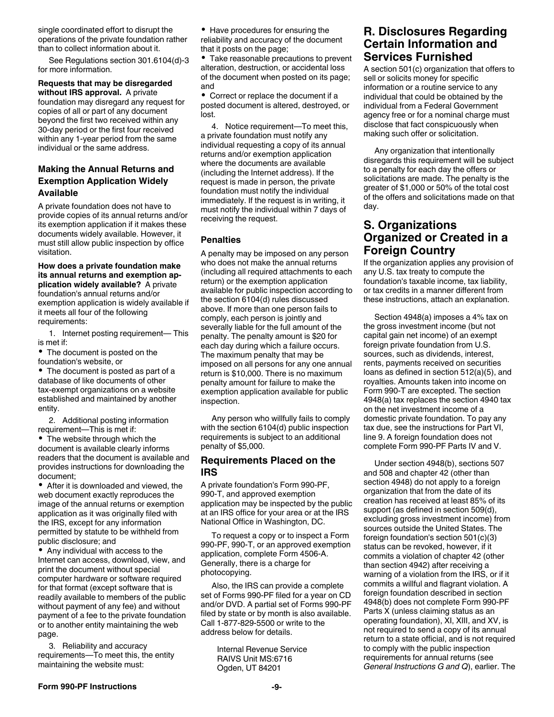<span id="page-8-0"></span>single coordinated effort to disrupt the operations of the private foundation rather than to collect information about it.

See Regulations section 301.6104(d)-3 for more information.

**Requests that may be disregarded** 

**without IRS approval.** A private foundation may disregard any request for copies of all or part of any document beyond the first two received within any 30-day period or the first four received within any 1-year period from the same individual or the same address.

### **Making the Annual Returns and Exemption Application Widely Available**

A private foundation does not have to provide copies of its annual returns and/or its exemption application if it makes these documents widely available. However, it must still allow public inspection by office visitation.

**How does a private foundation make its annual returns and exemption application widely available?** A private foundation's annual returns and/or exemption application is widely available if it meets all four of the following requirements:

1. Internet posting requirement— This is met if:

The document is posted on the foundation's website, or

The document is posted as part of a database of like documents of other tax-exempt organizations on a website established and maintained by another entity.

2. Additional posting information requirement—This is met if:

• The website through which the document is available clearly informs readers that the document is available and provides instructions for downloading the document;

After it is downloaded and viewed, the web document exactly reproduces the image of the annual returns or exemption application as it was originally filed with the IRS, except for any information permitted by statute to be withheld from public disclosure; and

Any individual with access to the Internet can access, download, view, and print the document without special computer hardware or software required for that format (except software that is readily available to members of the public without payment of any fee) and without payment of a fee to the private foundation or to another entity maintaining the web page.

3. Reliability and accuracy requirements—To meet this, the entity maintaining the website must:

Have procedures for ensuring the reliability and accuracy of the document that it posts on the page;

Take reasonable precautions to prevent alteration, destruction, or accidental loss of the document when posted on its page; and

Correct or replace the document if a posted document is altered, destroyed, or lost.

4. Notice requirement—To meet this, a private foundation must notify any individual requesting a copy of its annual returns and/or exemption application where the documents are available (including the Internet address). If the request is made in person, the private foundation must notify the individual immediately. If the request is in writing, it must notify the individual within 7 days of receiving the request.

#### **Penalties**

A penalty may be imposed on any person who does not make the annual returns (including all required attachments to each return) or the exemption application available for public inspection according to the section 6104(d) rules discussed above. If more than one person fails to comply, each person is jointly and severally liable for the full amount of the penalty. The penalty amount is \$20 for each day during which a failure occurs. The maximum penalty that may be imposed on all persons for any one annual return is \$10,000. There is no maximum penalty amount for failure to make the exemption application available for public inspection.

Any person who willfully fails to comply with the section 6104(d) public inspection requirements is subject to an additional penalty of \$5,000.

#### **Requirements Placed on the IRS**

A private foundation's Form 990-PF, 990-T, and approved exemption application may be inspected by the public at an IRS office for your area or at the IRS National Office in Washington, DC.

To request a copy or to inspect a Form 990-PF, 990-T, or an approved exemption application, complete Form 4506-A. Generally, there is a charge for photocopying.

Also, the IRS can provide a complete set of Forms 990-PF filed for a year on CD and/or DVD. A partial set of Forms 990-PF filed by state or by month is also available. Call 1-877-829-5500 or write to the address below for details.

> Internal Revenue Service RAIVS Unit MS:6716 Ogden, UT 84201

### **R. Disclosures Regarding Certain Information and Services Furnished**

A section 501(c) organization that offers to sell or solicits money for specific information or a routine service to any individual that could be obtained by the individual from a Federal Government agency free or for a nominal charge must disclose that fact conspicuously when making such offer or solicitation.

Any organization that intentionally disregards this requirement will be subject to a penalty for each day the offers or solicitations are made. The penalty is the greater of \$1,000 or 50% of the total cost of the offers and solicitations made on that day.

### **S. Organizations Organized or Created in a Foreign Country**

If the organization applies any provision of any U.S. tax treaty to compute the foundation's taxable income, tax liability, or tax credits in a manner different from these instructions, attach an explanation.

Section 4948(a) imposes a 4% tax on the gross investment income (but not capital gain net income) of an exempt foreign private foundation from U.S. sources, such as dividends, interest, rents, payments received on securities loans as defined in section 512(a)(5), and royalties. Amounts taken into income on Form 990-T are excepted. The section 4948(a) tax replaces the section 4940 tax on the net investment income of a domestic private foundation. To pay any tax due, see the instructions for Part VI, line 9. A foreign foundation does not complete Form 990-PF Parts IV and V.

Under section 4948(b), sections 507 and 508 and chapter 42 (other than section 4948) do not apply to a foreign organization that from the date of its creation has received at least 85% of its support (as defined in section 509(d), excluding gross investment income) from sources outside the United States. The foreign foundation's section 501(c)(3) status can be revoked, however, if it commits a violation of chapter 42 (other than section 4942) after receiving a warning of a violation from the IRS, or if it commits a willful and flagrant violation. A foreign foundation described in section 4948(b) does not complete Form 990-PF Parts X (unless claiming status as an operating foundation), XI, XIII, and XV, is not required to send a copy of its annual return to a state official, and is not required to comply with the public inspection requirements for annual returns (see *General Instructions G and Q*), earlier. The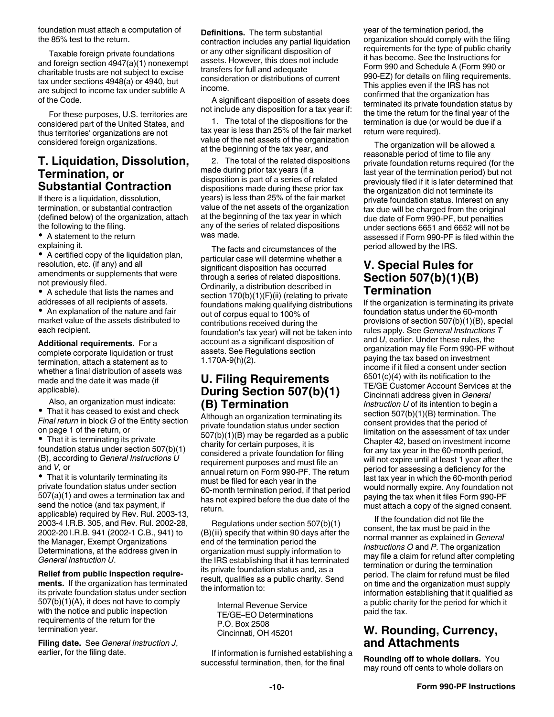<span id="page-9-0"></span>foundation must attach a computation of the 85% test to the return.

Taxable foreign private foundations and foreign section 4947(a)(1) nonexempt charitable trusts are not subject to excise tax under sections 4948(a) or 4940, but are subject to income tax under subtitle A of the Code.

For these purposes, U.S. territories are considered part of the United States, and thus territories' organizations are not considered foreign organizations.

### **T. Liquidation, Dissolution, Termination, or Substantial Contraction**

If there is a liquidation, dissolution, termination, or substantial contraction (defined below) of the organization, attach the following to the filing.

A statement to the return explaining it.

A certified copy of the liquidation plan, resolution, etc. (if any) and all amendments or supplements that were not previously filed.

A schedule that lists the names and addresses of all recipients of assets.

An explanation of the nature and fair market value of the assets distributed to each recipient.

**Additional requirements.** For a complete corporate liquidation or trust termination, attach a statement as to whether a final distribution of assets was made and the date it was made (if applicable).

Also, an organization must indicate:

 $\bullet$ That it has ceased to exist and check *Final return* in block *G* of the Entity section on page 1 of the return, or

• That it is terminating its private foundation status under section 507(b)(1) (B), according to *General Instructions U*  and *V,* or

• That it is voluntarily terminating its private foundation status under section 507(a)(1) and owes a termination tax and send the notice (and tax payment, if applicable) required by Rev. Rul. 2003-13, 2003-4 I.R.B. 305, and Rev. Rul. 2002-28, 2002-20 I.R.B. 941 (2002-1 C.B., 941) to the Manager, Exempt Organizations Determinations, at the address given in *General Instruction U*.

**Relief from public inspection requirements.** If the organization has terminated its private foundation status under section 507(b)(1)(A), it does not have to comply with the notice and public inspection requirements of the return for the termination year.

**Filing date.** See *General Instruction J*, earlier, for the filing date.

**Definitions.** The term substantial contraction includes any partial liquidation or any other significant disposition of assets. However, this does not include transfers for full and adequate consideration or distributions of current income.

A significant disposition of assets does not include any disposition for a tax year if:

1. The total of the dispositions for the tax year is less than 25% of the fair market value of the net assets of the organization at the beginning of the tax year, and

2. The total of the related dispositions made during prior tax years (if a disposition is part of a series of related dispositions made during these prior tax years) is less than 25% of the fair market value of the net assets of the organization at the beginning of the tax year in which any of the series of related dispositions was made.

The facts and circumstances of the particular case will determine whether a significant disposition has occurred through a series of related dispositions. Ordinarily, a distribution described in section 170(b)(1)(F)(ii) (relating to private foundations making qualifying distributions out of corpus equal to 100% of contributions received during the foundation's tax year) will not be taken into account as a significant disposition of assets. See Regulations section 1.170A-9(h)(2).

### **U. Filing Requirements During Section 507(b)(1) (B) Termination**

Although an organization terminating its private foundation status under section 507(b)(1)(B) may be regarded as a public charity for certain purposes, it is considered a private foundation for filing requirement purposes and must file an annual return on Form 990-PF. The return must be filed for each year in the 60-month termination period, if that period has not expired before the due date of the return.

Regulations under section 507(b)(1) (B)(iii) specify that within 90 days after the end of the termination period the organization must supply information to the IRS establishing that it has terminated its private foundation status and, as a result, qualifies as a public charity. Send the information to:

> Internal Revenue Service TE/GE–EO Determinations P.O. Box 2508 Cincinnati, OH 45201

If information is furnished establishing a successful termination, then, for the final

year of the termination period, the organization should comply with the filing requirements for the type of public charity it has become. See the Instructions for Form 990 and Schedule A (Form 990 or 990-EZ) for details on filing requirements. This applies even if the IRS has not confirmed that the organization has terminated its private foundation status by the time the return for the final year of the termination is due (or would be due if a return were required).

The organization will be allowed a reasonable period of time to file any private foundation returns required (for the last year of the termination period) but not previously filed if it is later determined that the organization did not terminate its private foundation status. Interest on any tax due will be charged from the original due date of Form 990-PF, but penalties under sections 6651 and 6652 will not be assessed if Form 990-PF is filed within the period allowed by the IRS.

### **V. Special Rules for Section 507(b)(1)(B) Termination**

If the organization is terminating its private foundation status under the 60-month provisions of section 507(b)(1)(B), special rules apply. See *General Instructions T*  and *U*, earlier. Under these rules, the organization may file Form 990-PF without paying the tax based on investment income if it filed a consent under section 6501(c)(4) with its notification to the TE/GE Customer Account Services at the Cincinnati address given in *General Instruction U* of its intention to begin a section 507(b)(1)(B) termination. The consent provides that the period of limitation on the assessment of tax under Chapter 42, based on investment income for any tax year in the 60-month period, will not expire until at least 1 year after the period for assessing a deficiency for the last tax year in which the 60-month period would normally expire. Any foundation not paying the tax when it files Form 990-PF must attach a copy of the signed consent.

If the foundation did not file the consent, the tax must be paid in the normal manner as explained in *General Instructions O* and *P*. The organization may file a claim for refund after completing termination or during the termination period. The claim for refund must be filed on time and the organization must supply information establishing that it qualified as a public charity for the period for which it paid the tax.

### **W. Rounding, Currency, and Attachments**

**Rounding off to whole dollars.** You may round off cents to whole dollars on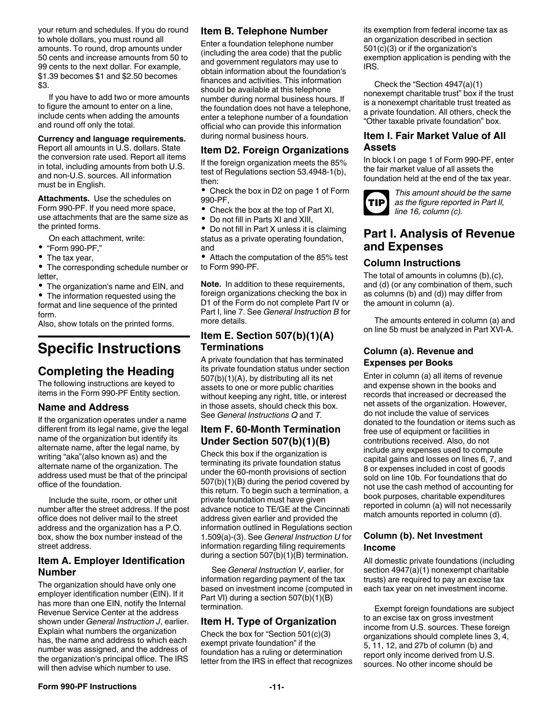<span id="page-10-0"></span>your return and schedules. If you do round to whole dollars, you must round all amounts. To round, drop amounts under 50 cents and increase amounts from 50 to 99 cents to the next dollar. For example, \$1.39 becomes \$1 and \$2.50 becomes \$3.

If you have to add two or more amounts to figure the amount to enter on a line, include cents when adding the amounts and round off only the total.

#### **Currency and language requirements.**

Report all amounts in U.S. dollars. State the conversion rate used. Report all items in total, including amounts from both U.S. and non-U.S. sources. All information must be in English.

**Attachments.** Use the schedules on Form 990-PF. If you need more space, use attachments that are the same size as the printed forms.

On each attachment, write:

- "Form 990-PF,"
- The tax year,

The corresponding schedule number or letter,

The organization's name and EIN, and

The information requested using the ٠ format and line sequence of the printed form.

Also, show totals on the printed forms.

## **Specific Instructions**

### **Completing the Heading**

The following instructions are keyed to items in the Form 990-PF Entity section.

### **Name and Address**

If the organization operates under a name different from its legal name, give the legal name of the organization but identify its alternate name, after the legal name, by writing "aka"(also known as) and the alternate name of the organization. The address used must be that of the principal office of the foundation.

Include the suite, room, or other unit number after the street address. If the post office does not deliver mail to the street address and the organization has a P.O. box, show the box number instead of the street address.

### **Item A. Employer Identification Number**

The organization should have only one employer identification number (EIN). If it has more than one EIN, notify the Internal Revenue Service Center at the address shown under *General Instruction J*, earlier. Explain what numbers the organization has, the name and address to which each number was assigned, and the address of the organization's principal office. The IRS will then advise which number to use.

### **Item B. Telephone Number**

Enter a foundation telephone number (including the area code) that the public and government regulators may use to obtain information about the foundation's finances and activities. This information should be available at this telephone number during normal business hours. If the foundation does not have a telephone, enter a telephone number of a foundation official who can provide this information during normal business hours.

### **Item D2. Foreign Organizations**

If the foreign organization meets the 85% test of Regulations section 53.4948-1(b), then:

• Check the box in D2 on page 1 of Form 990-PF,

- Check the box at the top of Part XI,
- $\bullet$ Do not fill in Parts XI and XIII,

 $\bullet$ Do not fill in Part X unless it is claiming status as a private operating foundation, and

Attach the computation of the 85% test to Form 990-PF.

**Note.** In addition to these requirements, foreign organizations checking the box in D1 of the Form do not complete Part IV or Part I, line 7. See *General Instruction B* for more details.

### **Item E. Section 507(b)(1)(A) Terminations**

A private foundation that has terminated its private foundation status under section 507(b)(1)(A), by distributing all its net assets to one or more public charities without keeping any right, title, or interest in those assets, should check this box. See *General Instructions Q* and *T.*

### **Item F. 60-Month Termination Under Section 507(b)(1)(B)**

Check this box if the organization is terminating its private foundation status under the 60-month provisions of section 507(b)(1)(B) during the period covered by this return. To begin such a termination, a private foundation must have given advance notice to TE/GE at the Cincinnati address given earlier and provided the information outlined in Regulations section 1.509(a)-(3). See *General Instruction U* for information regarding filing requirements during a section 507(b)(1)(B) termination.

See *General Instruction V*, earlier, for information regarding payment of the tax based on investment income (computed in Part VI) during a section 507(b)(1)(B) termination.

### **Item H. Type of Organization**

Check the box for "Section 501(c)(3) exempt private foundation" if the foundation has a ruling or determination letter from the IRS in effect that recognizes its exemption from federal income tax as an organization described in section 501(c)(3) or if the organization's exemption application is pending with the IRS.

Check the "Section 4947(a)(1) nonexempt charitable trust" box if the trust is a nonexempt charitable trust treated as a private foundation. All others, check the "Other taxable private foundation" box.

#### **Item I. Fair Market Value of All Assets**

In block I on page 1 of Form 990-PF, enter the fair market value of all assets the foundation held at the end of the tax year.



*This amount should be the same as the figure reported in Part II, line 16, column (c).*

### **Part I. Analysis of Revenue and Expenses**

### **Column Instructions**

The total of amounts in columns (b),(c), and (d) (or any combination of them, such as columns (b) and (d)) may differ from the amount in column (a).

The amounts entered in column (a) and on line 5b must be analyzed in Part XVI-A.

#### **Column (a). Revenue and Expenses per Books**

Enter in column (a) all items of revenue and expense shown in the books and records that increased or decreased the net assets of the organization. However, do not include the value of services donated to the foundation or items such as free use of equipment or facilities in contributions received. Also, do not include any expenses used to compute capital gains and losses on lines 6, 7, and 8 or expenses included in cost of goods sold on line 10b. For foundations that do not use the cash method of accounting for book purposes, charitable expenditures reported in column (a) will not necessarily match amounts reported in column (d).

#### **Column (b). Net Investment Income**

All domestic private foundations (including section 4947(a)(1) nonexempt charitable trusts) are required to pay an excise tax each tax year on net investment income.

Exempt foreign foundations are subject to an excise tax on gross investment income from U.S. sources. These foreign organizations should complete lines 3, 4, 5, 11, 12, and 27b of column (b) and report only income derived from U.S. sources. No other income should be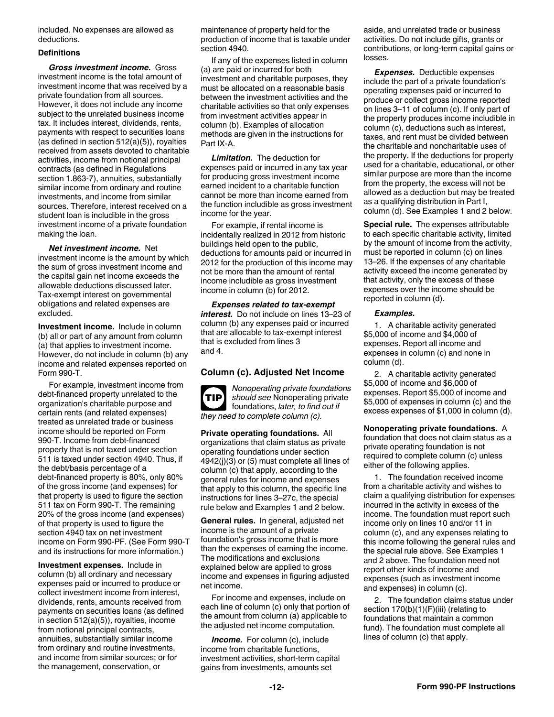<span id="page-11-0"></span>included. No expenses are allowed as deductions.

#### **Definitions**

*Gross investment income.* Gross investment income is the total amount of investment income that was received by a private foundation from all sources. However, it does not include any income subject to the unrelated business income tax. It includes interest, dividends, rents, payments with respect to securities loans (as defined in section 512(a)(5)), royalties received from assets devoted to charitable activities, income from notional principal contracts (as defined in Regulations section 1.863-7), annuities, substantially similar income from ordinary and routine investments, and income from similar sources. Therefore, interest received on a student loan is includible in the gross investment income of a private foundation making the loan.

*Net investment income.* Net investment income is the amount by which the sum of gross investment income and the capital gain net income exceeds the allowable deductions discussed later. Tax-exempt interest on governmental obligations and related expenses are excluded.

**Investment income.** Include in column (b) all or part of any amount from column (a) that applies to investment income. However, do not include in column (b) any income and related expenses reported on Form 990-T.

For example, investment income from debt-financed property unrelated to the organization's charitable purpose and certain rents (and related expenses) treated as unrelated trade or business income should be reported on Form 990-T. Income from debt-financed property that is not taxed under section 511 is taxed under section 4940. Thus, if the debt/basis percentage of a debt-financed property is 80%, only 80% of the gross income (and expenses) for that property is used to figure the section 511 tax on Form 990-T. The remaining 20% of the gross income (and expenses) of that property is used to figure the section 4940 tax on net investment income on Form 990-PF. (See Form 990-T and its instructions for more information.)

**Investment expenses.** Include in column (b) all ordinary and necessary expenses paid or incurred to produce or collect investment income from interest, dividends, rents, amounts received from payments on securities loans (as defined in section 512(a)(5)), royalties, income from notional principal contracts, annuities, substantially similar income from ordinary and routine investments, and income from similar sources; or for the management, conservation, or

maintenance of property held for the production of income that is taxable under section 4940.

If any of the expenses listed in column (a) are paid or incurred for both investment and charitable purposes, they must be allocated on a reasonable basis between the investment activities and the charitable activities so that only expenses from investment activities appear in column (b). Examples of allocation methods are given in the instructions for Part IX-A.

*Limitation.* The deduction for expenses paid or incurred in any tax year for producing gross investment income earned incident to a charitable function cannot be more than income earned from the function includible as gross investment income for the year.

For example, if rental income is incidentally realized in 2012 from historic buildings held open to the public, deductions for amounts paid or incurred in 2012 for the production of this income may not be more than the amount of rental income includible as gross investment income in column (b) for 2012.

*Expenses related to tax-exempt interest.* Do not include on lines 13–23 of column (b) any expenses paid or incurred that are allocable to tax-exempt interest that is excluded from lines 3 and 4.

#### **Column (c). Adjusted Net Income**



*Nonoperating private foundations should see* Nonoperating private foundations, *later, to find out if they need to complete column (c).*

**Private operating foundations.** All organizations that claim status as private operating foundations under section 4942(j)(3) or (5) must complete all lines of column (c) that apply, according to the general rules for income and expenses that apply to this column, the specific line instructions for lines 3–27c, the special rule below and Examples 1 and 2 below.

**General rules.** In general, adjusted net income is the amount of a private foundation's gross income that is more than the expenses of earning the income. The modifications and exclusions explained below are applied to gross income and expenses in figuring adjusted net income.

For income and expenses, include on each line of column (c) only that portion of the amount from column (a) applicable to the adjusted net income computation.

**Income.** For column (c), include income from charitable functions, investment activities, short-term capital gains from investments, amounts set

aside, and unrelated trade or business activities. Do not include gifts, grants or contributions, or long-term capital gains or losses.

*Expenses.* Deductible expenses include the part of a private foundation's operating expenses paid or incurred to produce or collect gross income reported on lines 3–11 of column (c). If only part of the property produces income includible in column (c), deductions such as interest, taxes, and rent must be divided between the charitable and noncharitable uses of the property. If the deductions for property used for a charitable, educational, or other similar purpose are more than the income from the property, the excess will not be allowed as a deduction but may be treated as a qualifying distribution in Part I, column (d). See Examples 1 and 2 below.

**Special rule.** The expenses attributable to each specific charitable activity, limited by the amount of income from the activity, must be reported in column (c) on lines 13–26. If the expenses of any charitable activity exceed the income generated by that activity, only the excess of these expenses over the income should be reported in column (d).

#### *Examples.*

1. A charitable activity generated \$5,000 of income and \$4,000 of expenses. Report all income and expenses in column (c) and none in column (d).

2. A charitable activity generated \$5,000 of income and \$6,000 of expenses. Report \$5,000 of income and \$5,000 of expenses in column (c) and the excess expenses of \$1,000 in column (d).

**Nonoperating private foundations.** A foundation that does not claim status as a private operating foundation is not required to complete column (c) unless either of the following applies.

1. The foundation received income from a charitable activity and wishes to claim a qualifying distribution for expenses incurred in the activity in excess of the income. The foundation must report such income only on lines 10 and/or 11 in column (c), and any expenses relating to this income following the general rules and the special rule above. See Examples 1 and 2 above. The foundation need not report other kinds of income and expenses (such as investment income and expenses) in column (c).

2. The foundation claims status under section 170(b)(1)(F)(iii) (relating to foundations that maintain a common fund). The foundation must complete all lines of column (c) that apply.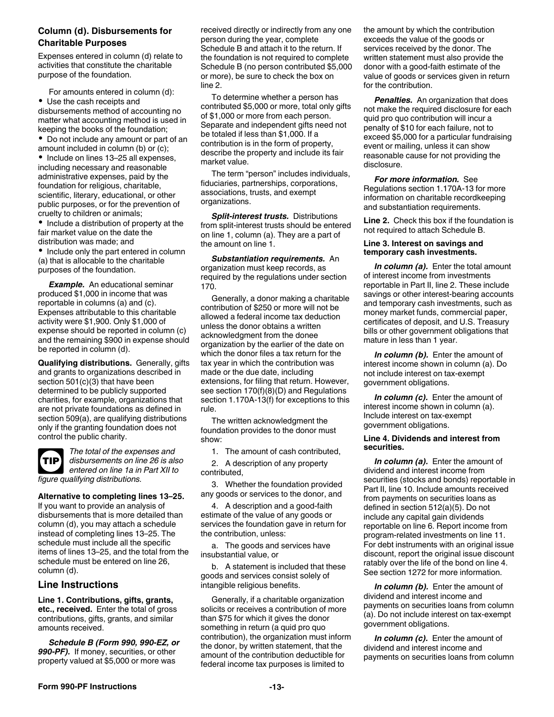#### <span id="page-12-0"></span>**Column (d). Disbursements for Charitable Purposes**

Expenses entered in column (d) relate to activities that constitute the charitable purpose of the foundation.

For amounts entered in column (d):

Use the cash receipts and disbursements method of accounting no matter what accounting method is used in keeping the books of the foundation;

Do not include any amount or part of an amount included in column (b) or (c);

• Include on lines 13-25 all expenses, including necessary and reasonable administrative expenses, paid by the foundation for religious, charitable, scientific, literary, educational, or other public purposes, or for the prevention of cruelty to children or animals;

• Include a distribution of property at the fair market value on the date the distribution was made; and

• Include only the part entered in column (a) that is allocable to the charitable purposes of the foundation.

**Example.** An educational seminar produced \$1,000 in income that was reportable in columns (a) and (c). Expenses attributable to this charitable activity were \$1,900. Only \$1,000 of expense should be reported in column (c) and the remaining \$900 in expense should be reported in column (d).

**Qualifying distributions.** Generally, gifts and grants to organizations described in section 501(c)(3) that have been determined to be publicly supported charities, for example, organizations that are not private foundations as defined in section 509(a), are qualifying distributions only if the granting foundation does not control the public charity.



*The total of the expenses and disbursements on line 26 is also entered on line 1a in Part XII to figure qualifying distributions.*

#### **Alternative to completing lines 13–25.**

If you want to provide an analysis of disbursements that is more detailed than column (d), you may attach a schedule instead of completing lines 13–25. The schedule must include all the specific items of lines 13–25, and the total from the schedule must be entered on line 26, column (d).

### **Line Instructions**

**Line 1. Contributions, gifts, grants, etc., received.** Enter the total of gross contributions, gifts, grants, and similar amounts received.

*Schedule B (Form 990, 990-EZ, or 990-PF).* If money, securities, or other property valued at \$5,000 or more was

received directly or indirectly from any one person during the year, complete Schedule B and attach it to the return. If the foundation is not required to complete Schedule B (no person contributed \$5,000 or more), be sure to check the box on line 2.

To determine whether a person has contributed \$5,000 or more, total only gifts of \$1,000 or more from each person. Separate and independent gifts need not be totaled if less than \$1,000. If a contribution is in the form of property, describe the property and include its fair market value.

The term "person" includes individuals, fiduciaries, partnerships, corporations, associations, trusts, and exempt organizations.

*Split-interest trusts.* Distributions from split-interest trusts should be entered on line 1, column (a). They are a part of the amount on line 1.

*Substantiation requirements.* An organization must keep records, as required by the regulations under section 170.

Generally, a donor making a charitable contribution of \$250 or more will not be allowed a federal income tax deduction unless the donor obtains a written acknowledgment from the donee organization by the earlier of the date on which the donor files a tax return for the tax year in which the contribution was made or the due date, including extensions, for filing that return. However, see section 170(f)(8)(D) and Regulations section 1.170A-13(f) for exceptions to this rule.

The written acknowledgment the foundation provides to the donor must show:

1. The amount of cash contributed,

2. A description of any property contributed,

3. Whether the foundation provided any goods or services to the donor, and

4. A description and a good-faith estimate of the value of any goods or services the foundation gave in return for the contribution, unless:

a. The goods and services have insubstantial value, or

b. A statement is included that these goods and services consist solely of intangible religious benefits.

Generally, if a charitable organization solicits or receives a contribution of more than \$75 for which it gives the donor something in return (a quid pro quo contribution), the organization must inform the donor, by written statement, that the amount of the contribution deductible for federal income tax purposes is limited to

the amount by which the contribution exceeds the value of the goods or services received by the donor. The written statement must also provide the donor with a good-faith estimate of the value of goods or services given in return for the contribution.

*Penalties.* An organization that does not make the required disclosure for each quid pro quo contribution will incur a penalty of \$10 for each failure, not to exceed \$5,000 for a particular fundraising event or mailing, unless it can show reasonable cause for not providing the disclosure.

*For more information.* See Regulations section 1.170A-13 for more information on charitable recordkeeping and substantiation requirements.

**Line 2.** Check this box if the foundation is not required to attach Schedule B.

#### **Line 3. Interest on savings and temporary cash investments.**

*In column (a).* Enter the total amount of interest income from investments reportable in Part II, line 2. These include savings or other interest-bearing accounts and temporary cash investments, such as money market funds, commercial paper, certificates of deposit, and U.S. Treasury bills or other government obligations that mature in less than 1 year.

*In column (b).* Enter the amount of interest income shown in column (a). Do not include interest on tax-exempt government obligations.

*In column (c).* Enter the amount of interest income shown in column (a). Include interest on tax-exempt government obligations.

#### **Line 4. Dividends and interest from securities.**

*In column (a).* Enter the amount of dividend and interest income from securities (stocks and bonds) reportable in Part II, line 10. Include amounts received from payments on securities loans as defined in section 512(a)(5). Do not include any capital gain dividends reportable on line 6. Report income from program-related investments on line 11. For debt instruments with an original issue discount, report the original issue discount ratably over the life of the bond on line 4. See section 1272 for more information.

*In column (b).* Enter the amount of dividend and interest income and payments on securities loans from column (a). Do not include interest on tax-exempt government obligations.

*In column (c).* Enter the amount of dividend and interest income and payments on securities loans from column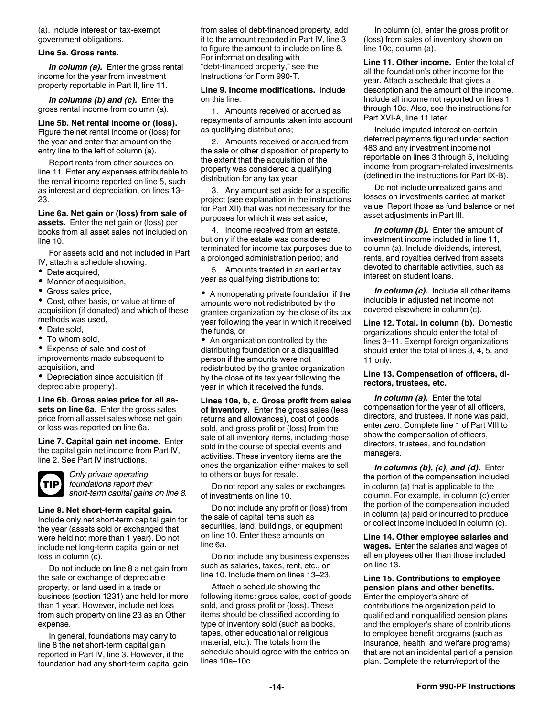<span id="page-13-0"></span>(a). Include interest on tax-exempt government obligations.

#### **Line 5a. Gross rents.**

*In column (a).* Enter the gross rental income for the year from investment property reportable in Part II, line 11.

*In columns (b) and (c).* Enter the gross rental income from column (a).

**Line 5b. Net rental income or (loss).**  Figure the net rental income or (loss) for the year and enter that amount on the entry line to the left of column (a).

Report rents from other sources on line 11. Enter any expenses attributable to the rental income reported on line 5, such as interest and depreciation, on lines 13– 23.

**Line 6a. Net gain or (loss) from sale of assets.** Enter the net gain or (loss) per books from all asset sales not included on line 10.

For assets sold and not included in Part IV, attach a schedule showing:

- Date acquired,
- Manner of acquisition,
- Gross sales price,

Cost, other basis, or value at time of acquisition (if donated) and which of these methods was used,

- Date sold,
- To whom sold,

Expense of sale and cost of improvements made subsequent to acquisition, and

Depreciation since acquisition (if depreciable property).

**Line 6b. Gross sales price for all assets on line 6a.** Enter the gross sales price from all asset sales whose net gain or loss was reported on line 6a.

**Line 7. Capital gain net income.** Enter the capital gain net income from Part IV, line 2. See Part IV instructions.



*Only private operating foundations report their short-term capital gains on line 8.*

#### **Line 8. Net short-term capital gain.**

Include only net short-term capital gain for the year (assets sold or exchanged that were held not more than 1 year). Do not include net long-term capital gain or net loss in column (c).

Do not include on line 8 a net gain from the sale or exchange of depreciable property, or land used in a trade or business (section 1231) and held for more than 1 year. However, include net loss from such property on line 23 as an Other expense.

In general, foundations may carry to line 8 the net short-term capital gain reported in Part IV, line 3. However, if the foundation had any short-term capital gain from sales of debt-financed property, add it to the amount reported in Part IV, line 3 to figure the amount to include on line 8. For information dealing with "debt-financed property," see the Instructions for Form 990-T.

**Line 9. Income modifications.** Include on this line:

1. Amounts received or accrued as repayments of amounts taken into account as qualifying distributions;

2. Amounts received or accrued from the sale or other disposition of property to the extent that the acquisition of the property was considered a qualifying distribution for any tax year;

3. Any amount set aside for a specific project (see explanation in the instructions for Part XII) that was not necessary for the purposes for which it was set aside;

4. Income received from an estate, but only if the estate was considered terminated for income tax purposes due to a prolonged administration period; and

5. Amounts treated in an earlier tax year as qualifying distributions to:

A nonoperating private foundation if the amounts were not redistributed by the grantee organization by the close of its tax year following the year in which it received the funds, or

• An organization controlled by the distributing foundation or a disqualified person if the amounts were not redistributed by the grantee organization by the close of its tax year following the year in which it received the funds.

**Lines 10a, b, c. Gross profit from sales of inventory.** Enter the gross sales (less returns and allowances), cost of goods sold, and gross profit or (loss) from the sale of all inventory items, including those sold in the course of special events and activities. These inventory items are the ones the organization either makes to sell to others or buys for resale.

Do not report any sales or exchanges of investments on line 10.

Do not include any profit or (loss) from the sale of capital items such as securities, land, buildings, or equipment on line 10. Enter these amounts on line 6a.

Do not include any business expenses such as salaries, taxes, rent, etc., on line 10. Include them on lines 13–23.

Attach a schedule showing the following items: gross sales, cost of goods sold, and gross profit or (loss). These items should be classified according to type of inventory sold (such as books, tapes, other educational or religious material, etc.). The totals from the schedule should agree with the entries on lines 10a–10c.

In column (c), enter the gross profit or (loss) from sales of inventory shown on line 10c, column (a).

**Line 11. Other income.** Enter the total of all the foundation's other income for the year. Attach a schedule that gives a description and the amount of the income. Include all income not reported on lines 1 through 10c. Also, see the instructions for Part XVI-A, line 11 later.

Include imputed interest on certain deferred payments figured under section 483 and any investment income not reportable on lines 3 through 5, including income from program-related investments (defined in the instructions for Part IX-B).

Do not include unrealized gains and losses on investments carried at market value. Report those as fund balance or net asset adjustments in Part III.

*In column (b).* Enter the amount of investment income included in line 11, column (a). Include dividends, interest, rents, and royalties derived from assets devoted to charitable activities, such as interest on student loans.

*In column (c).* Include all other items includible in adjusted net income not covered elsewhere in column (c).

**Line 12. Total. In column (b).** Domestic organizations should enter the total of lines 3–11. Exempt foreign organizations should enter the total of lines 3, 4, 5, and 11 only.

#### **Line 13. Compensation of officers, directors, trustees, etc.**

*In column (a).* Enter the total compensation for the year of all officers, directors, and trustees. If none was paid, enter zero. Complete line 1 of Part VIII to show the compensation of officers, directors, trustees, and foundation managers.

*In columns (b), (c), and (d).* Enter the portion of the compensation included in column (a) that is applicable to the column. For example, in column (c) enter the portion of the compensation included in column (a) paid or incurred to produce or collect income included in column (c).

**Line 14. Other employee salaries and wages.** Enter the salaries and wages of all employees other than those included on line 13.

#### **Line 15. Contributions to employee pension plans and other benefits.**

Enter the employer's share of contributions the organization paid to qualified and nonqualified pension plans and the employer's share of contributions to employee benefit programs (such as insurance, health, and welfare programs) that are not an incidental part of a pension plan. Complete the return/report of the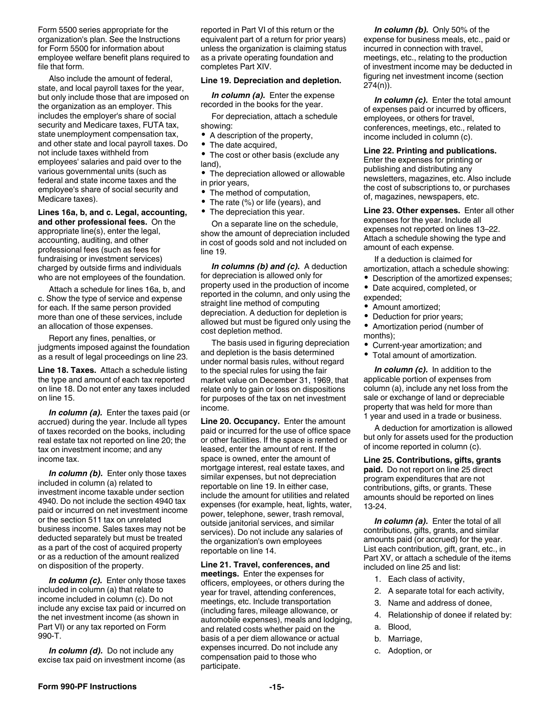<span id="page-14-0"></span>Form 5500 series appropriate for the organization's plan. See the Instructions for Form 5500 for information about employee welfare benefit plans required to file that form.

Also include the amount of federal, state, and local payroll taxes for the year, but only include those that are imposed on the organization as an employer. This includes the employer's share of social security and Medicare taxes, FUTA tax, state unemployment compensation tax, and other state and local payroll taxes. Do not include taxes withheld from employees' salaries and paid over to the various governmental units (such as federal and state income taxes and the employee's share of social security and Medicare taxes).

#### **Lines 16a, b, and c. Legal, accounting,**

**and other professional fees.** On the appropriate line(s), enter the legal, accounting, auditing, and other professional fees (such as fees for fundraising or investment services) charged by outside firms and individuals who are not employees of the foundation.

Attach a schedule for lines 16a, b, and c. Show the type of service and expense for each. If the same person provided more than one of these services, include an allocation of those expenses.

Report any fines, penalties, or judgments imposed against the foundation as a result of legal proceedings on line 23.

**Line 18. Taxes.** Attach a schedule listing the type and amount of each tax reported on line 18. Do not enter any taxes included on line 15.

*In column (a).* Enter the taxes paid (or accrued) during the year. Include all types of taxes recorded on the books, including real estate tax not reported on line 20; the tax on investment income; and any income tax.

*In column (b).* Enter only those taxes included in column (a) related to investment income taxable under section 4940. Do not include the section 4940 tax paid or incurred on net investment income or the section 511 tax on unrelated business income. Sales taxes may not be deducted separately but must be treated as a part of the cost of acquired property or as a reduction of the amount realized on disposition of the property.

*In column (c).* Enter only those taxes included in column (a) that relate to income included in column (c). Do not include any excise tax paid or incurred on the net investment income (as shown in Part VI) or any tax reported on Form 990-T.

*In column (d).* Do not include any excise tax paid on investment income (as reported in Part VI of this return or the equivalent part of a return for prior years) unless the organization is claiming status as a private operating foundation and completes Part XIV.

#### **Line 19. Depreciation and depletion.**

*In column (a).* Enter the expense recorded in the books for the year.

For depreciation, attach a schedule showing:

- A description of the property,
- The date acquired,
- The cost or other basis (exclude any land),

The depreciation allowed or allowable in prior years,

- The method of computation,
- The rate (%) or life (years), and
- The depreciation this year.

On a separate line on the schedule, show the amount of depreciation included in cost of goods sold and not included on line 19.

*In columns (b) and (c).* A deduction for depreciation is allowed only for property used in the production of income reported in the column, and only using the straight line method of computing depreciation. A deduction for depletion is allowed but must be figured only using the cost depletion method.

The basis used in figuring depreciation and depletion is the basis determined under normal basis rules, without regard to the special rules for using the fair market value on December 31, 1969, that relate only to gain or loss on dispositions for purposes of the tax on net investment income.

**Line 20. Occupancy.** Enter the amount paid or incurred for the use of office space or other facilities. If the space is rented or leased, enter the amount of rent. If the space is owned, enter the amount of mortgage interest, real estate taxes, and similar expenses, but not depreciation reportable on line 19. In either case, include the amount for utilities and related expenses (for example, heat, lights, water, power, telephone, sewer, trash removal, outside janitorial services, and similar services). Do not include any salaries of the organization's own employees reportable on line 14.

**Line 21. Travel, conferences, and meetings.** Enter the expenses for officers, employees, or others during the year for travel, attending conferences, meetings, etc. Include transportation (including fares, mileage allowance, or automobile expenses), meals and lodging, and related costs whether paid on the basis of a per diem allowance or actual expenses incurred. Do not include any compensation paid to those who participate.

*In column (b).* Only 50% of the expense for business meals, etc., paid or incurred in connection with travel, meetings, etc., relating to the production of investment income may be deducted in figuring net investment income (section 274(n)).

*In column (c).* Enter the total amount of expenses paid or incurred by officers, employees, or others for travel, conferences, meetings, etc., related to income included in column (c).

**Line 22. Printing and publications.** 

Enter the expenses for printing or publishing and distributing any newsletters, magazines, etc. Also include the cost of subscriptions to, or purchases of, magazines, newspapers, etc.

**Line 23. Other expenses.** Enter all other expenses for the year. Include all expenses not reported on lines 13–22. Attach a schedule showing the type and amount of each expense.

If a deduction is claimed for amortization, attach a schedule showing:

- Description of the amortized expenses;
- Date acquired, completed, or expended;
- Amount amortized;
- Deduction for prior years;
- Amortization period (number of months);
- Current-year amortization; and
- Total amount of amortization.

*In column (c).* In addition to the applicable portion of expenses from column (a), include any net loss from the sale or exchange of land or depreciable property that was held for more than 1 year and used in a trade or business.

A deduction for amortization is allowed but only for assets used for the production of income reported in column (c).

**Line 25. Contributions, gifts, grants paid.** Do not report on line 25 direct program expenditures that are not contributions, gifts, or grants. These amounts should be reported on lines 13-24.

*In column (a).* Enter the total of all contributions, gifts, grants, and similar amounts paid (or accrued) for the year. List each contribution, gift, grant, etc., in Part XV, or attach a schedule of the items included on line 25 and list:

- 1. Each class of activity,
- 2. A separate total for each activity,
- 3. Name and address of donee,
- 4. Relationship of donee if related by:
- a. Blood,
- b. Marriage,
- c. Adoption, or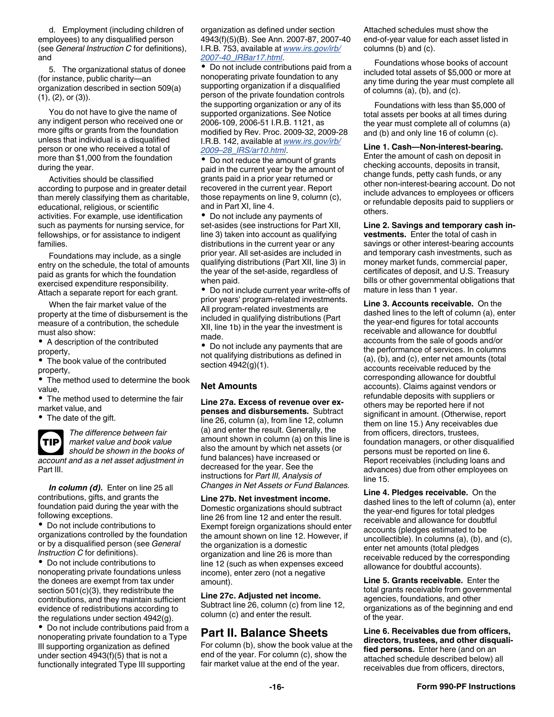<span id="page-15-0"></span>d. Employment (including children of employees) to any disqualified person (see *General Instruction C* for definitions), and

5. The organizational status of donee (for instance, public charity—an organization described in section 509(a)  $(1), (2),$  or  $(3)$ ).

You do not have to give the name of any indigent person who received one or more gifts or grants from the foundation unless that individual is a disqualified person or one who received a total of more than \$1,000 from the foundation during the year.

Activities should be classified according to purpose and in greater detail than merely classifying them as charitable, educational, religious, or scientific activities. For example, use identification such as payments for nursing service, for fellowships, or for assistance to indigent families.

Foundations may include, as a single entry on the schedule, the total of amounts paid as grants for which the foundation exercised expenditure responsibility. Attach a separate report for each grant.

When the fair market value of the property at the time of disbursement is the measure of a contribution, the schedule must also show:

A description of the contributed property,

The book value of the contributed property,

The method used to determine the book value,

• The method used to determine the fair market value, and

• The date of the gift.

**TIP**

*The difference between fair market value and book value should be shown in the books of account and as a net asset adjustment in*  Part III.

*In column (d).* Enter on line 25 all contributions, gifts, and grants the foundation paid during the year with the following exceptions.

Do not include contributions to organizations controlled by the foundation or by a disqualified person (see *General Instruction C* for definitions).

Do not include contributions to nonoperating private foundations unless the donees are exempt from tax under section 501(c)(3), they redistribute the contributions, and they maintain sufficient evidence of redistributions according to the regulations under section 4942(g).

Do not include contributions paid from a nonoperating private foundation to a Type III supporting organization as defined under section 4943(f)(5) that is not a functionally integrated Type III supporting

organization as defined under section 4943(f)(5)(B). See Ann. 2007-87, 2007-40 I.R.B. 753, available at *[www.irs.gov/irb/](http://www.irs.gov/irb/2007-40_IRB/ar17.html) [2007-40\\_IRBar17.html](http://www.irs.gov/irb/2007-40_IRB/ar17.html)*.

Do not include contributions paid from a nonoperating private foundation to any supporting organization if a disqualified person of the private foundation controls the supporting organization or any of its supported organizations. See Notice 2006-109, 2006-51 I.R.B. 1121, as modified by Rev. Proc. 2009-32, 2009-28 I.R.B. 142, available at *[www.irs.gov/irb/](http://www.irs.gov/irb/2009-28_IRB/ar10.html) [2009–28\\_IRS/ar10.html](http://www.irs.gov/irb/2009-28_IRB/ar10.html)*.

• Do not reduce the amount of grants paid in the current year by the amount of grants paid in a prior year returned or recovered in the current year. Report those repayments on line 9, column (c), and in Part XI, line 4.

Do not include any payments of set-asides (see instructions for Part XII, line 3) taken into account as qualifying distributions in the current year or any prior year. All set-asides are included in qualifying distributions (Part XII, line 3) in the year of the set-aside, regardless of when paid.

Do not include current year write-offs of prior years' program-related investments. All program-related investments are included in qualifying distributions (Part XII, line 1b) in the year the investment is made.

• Do not include any payments that are not qualifying distributions as defined in section 4942(g)(1).

#### **Net Amounts**

**Line 27a. Excess of revenue over expenses and disbursements.** Subtract line 26, column (a), from line 12, column (a) and enter the result. Generally, the amount shown in column (a) on this line is also the amount by which net assets (or fund balances) have increased or decreased for the year. See the instructions for *Part III, Analysis of Changes in Net Assets or Fund Balances.*

**Line 27b. Net investment income.** Domestic organizations should subtract line 26 from line 12 and enter the result. Exempt foreign organizations should enter the amount shown on line 12. However, if the organization is a domestic organization and line 26 is more than line 12 (such as when expenses exceed income), enter zero (not a negative amount).

**Line 27c. Adjusted net income.**  Subtract line 26, column (c) from line 12, column (c) and enter the result.

### **Part II. Balance Sheets**

For column (b), show the book value at the end of the year. For column (c), show the fair market value at the end of the year.

Attached schedules must show the end-of-year value for each asset listed in columns (b) and (c).

Foundations whose books of account included total assets of \$5,000 or more at any time during the year must complete all of columns (a), (b), and (c).

Foundations with less than \$5,000 of total assets per books at all times during the year must complete all of columns (a) and (b) and only line 16 of column (c).

**Line 1. Cash—Non-interest-bearing.**  Enter the amount of cash on deposit in checking accounts, deposits in transit, change funds, petty cash funds, or any other non-interest-bearing account. Do not include advances to employees or officers or refundable deposits paid to suppliers or others.

**Line 2. Savings and temporary cash investments.** Enter the total of cash in savings or other interest-bearing accounts and temporary cash investments, such as money market funds, commercial paper, certificates of deposit, and U.S. Treasury bills or other governmental obligations that mature in less than 1 year.

**Line 3. Accounts receivable.** On the dashed lines to the left of column (a), enter the year-end figures for total accounts receivable and allowance for doubtful accounts from the sale of goods and/or the performance of services. In columns (a), (b), and (c), enter net amounts (total accounts receivable reduced by the corresponding allowance for doubtful accounts). Claims against vendors or refundable deposits with suppliers or others may be reported here if not significant in amount. (Otherwise, report them on line 15.) Any receivables due from officers, directors, trustees, foundation managers, or other disqualified persons must be reported on line 6. Report receivables (including loans and advances) due from other employees on line 15.

**Line 4. Pledges receivable.** On the dashed lines to the left of column (a), enter the year-end figures for total pledges receivable and allowance for doubtful accounts (pledges estimated to be uncollectible). In columns (a), (b), and (c), enter net amounts (total pledges receivable reduced by the corresponding allowance for doubtful accounts).

**Line 5. Grants receivable.** Enter the total grants receivable from governmental agencies, foundations, and other organizations as of the beginning and end of the year.

**Line 6. Receivables due from officers, directors, trustees, and other disqualified persons.** Enter here (and on an attached schedule described below) all receivables due from officers, directors,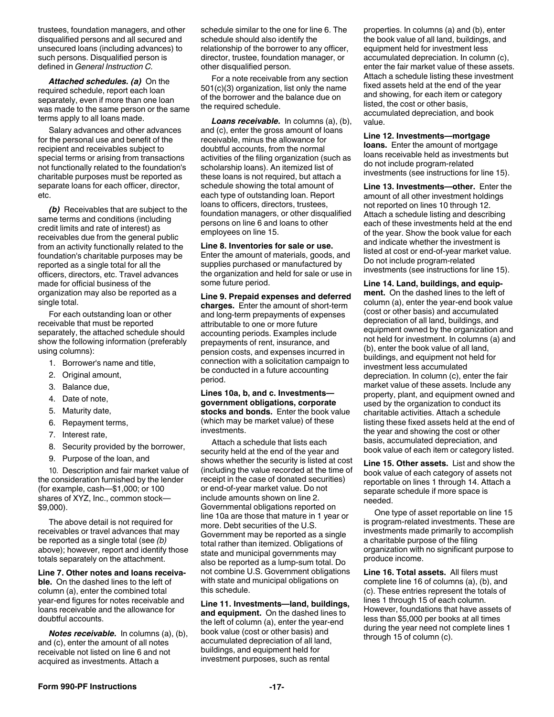trustees, foundation managers, and other disqualified persons and all secured and unsecured loans (including advances) to such persons. Disqualified person is defined in *General Instruction C.*

*Attached schedules. (a)* On the required schedule, report each loan separately, even if more than one loan was made to the same person or the same terms apply to all loans made.

Salary advances and other advances for the personal use and benefit of the recipient and receivables subject to special terms or arising from transactions not functionally related to the foundation's charitable purposes must be reported as separate loans for each officer, director, etc.

*(b)* Receivables that are subject to the same terms and conditions (including credit limits and rate of interest) as receivables due from the general public from an activity functionally related to the foundation's charitable purposes may be reported as a single total for all the officers, directors, etc. Travel advances made for official business of the organization may also be reported as a single total.

For each outstanding loan or other receivable that must be reported separately, the attached schedule should show the following information (preferably using columns):

- 1. Borrower's name and title,
- 2. Original amount,
- 3. Balance due,
- 4. Date of note,
- 5. Maturity date,
- 6. Repayment terms,
- 7. Interest rate,
- 8. Security provided by the borrower,
- 9. Purpose of the loan, and

10. Description and fair market value of the consideration furnished by the lender (for example, cash—\$1,000; or 100 shares of XYZ, Inc., common stock— \$9,000).

The above detail is not required for receivables or travel advances that may be reported as a single total (see *(b)*  above); however, report and identify those totals separately on the attachment.

**Line 7. Other notes and loans receivable.** On the dashed lines to the left of column (a), enter the combined total year-end figures for notes receivable and loans receivable and the allowance for doubtful accounts.

*Notes receivable.* In columns (a), (b), and (c), enter the amount of all notes receivable not listed on line 6 and not acquired as investments. Attach a

schedule similar to the one for line 6. The schedule should also identify the relationship of the borrower to any officer, director, trustee, foundation manager, or other disqualified person.

For a note receivable from any section 501(c)(3) organization, list only the name of the borrower and the balance due on the required schedule.

*Loans receivable.* In columns (a), (b), and (c), enter the gross amount of loans receivable, minus the allowance for doubtful accounts, from the normal activities of the filing organization (such as scholarship loans). An itemized list of these loans is not required, but attach a schedule showing the total amount of each type of outstanding loan. Report loans to officers, directors, trustees, foundation managers, or other disqualified persons on line 6 and loans to other employees on line 15.

**Line 8. Inventories for sale or use.** 

Enter the amount of materials, goods, and supplies purchased or manufactured by the organization and held for sale or use in some future period.

**Line 9. Prepaid expenses and deferred charges.** Enter the amount of short-term and long-term prepayments of expenses attributable to one or more future accounting periods. Examples include prepayments of rent, insurance, and pension costs, and expenses incurred in connection with a solicitation campaign to be conducted in a future accounting period.

**Lines 10a, b, and c. Investments government obligations, corporate stocks and bonds.** Enter the book value (which may be market value) of these investments.

Attach a schedule that lists each security held at the end of the year and shows whether the security is listed at cost (including the value recorded at the time of receipt in the case of donated securities) or end-of-year market value. Do not include amounts shown on line 2. Governmental obligations reported on line 10a are those that mature in 1 year or more. Debt securities of the U.S. Government may be reported as a single total rather than itemized. Obligations of state and municipal governments may also be reported as a lump-sum total. Do not combine U.S. Government obligations with state and municipal obligations on this schedule.

**Line 11. Investments—land, buildings, and equipment.** On the dashed lines to the left of column (a), enter the year-end book value (cost or other basis) and accumulated depreciation of all land, buildings, and equipment held for investment purposes, such as rental

properties. In columns (a) and (b), enter the book value of all land, buildings, and equipment held for investment less accumulated depreciation. In column (c), enter the fair market value of these assets. Attach a schedule listing these investment fixed assets held at the end of the year and showing, for each item or category listed, the cost or other basis, accumulated depreciation, and book value.

#### **Line 12. Investments—mortgage**

**loans.** Enter the amount of mortgage loans receivable held as investments but do not include program-related investments (see instructions for line 15).

**Line 13. Investments—other.** Enter the amount of all other investment holdings not reported on lines 10 through 12. Attach a schedule listing and describing each of these investments held at the end of the year. Show the book value for each and indicate whether the investment is listed at cost or end-of-year market value. Do not include program-related investments (see instructions for line 15).

**Line 14. Land, buildings, and equipment.** On the dashed lines to the left of column (a), enter the year-end book value (cost or other basis) and accumulated depreciation of all land, buildings, and equipment owned by the organization and not held for investment. In columns (a) and (b), enter the book value of all land, buildings, and equipment not held for investment less accumulated depreciation. In column (c), enter the fair market value of these assets. Include any property, plant, and equipment owned and used by the organization to conduct its charitable activities. Attach a schedule listing these fixed assets held at the end of the year and showing the cost or other basis, accumulated depreciation, and book value of each item or category listed.

**Line 15. Other assets.** List and show the book value of each category of assets not reportable on lines 1 through 14. Attach a separate schedule if more space is needed.

One type of asset reportable on line 15 is program-related investments. These are investments made primarily to accomplish a charitable purpose of the filing organization with no significant purpose to produce income.

**Line 16. Total assets.** All filers must complete line 16 of columns (a), (b), and (c). These entries represent the totals of lines 1 through 15 of each column. However, foundations that have assets of less than \$5,000 per books at all times during the year need not complete lines 1 through 15 of column (c).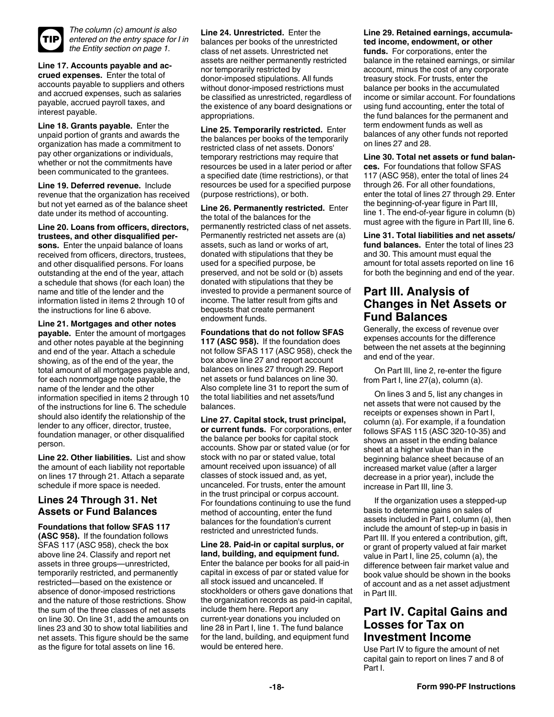<span id="page-17-0"></span>

*The column (c) amount is also entered on the entry space for I in the Entity section on page 1.*

**Line 17. Accounts payable and accrued expenses.** Enter the total of accounts payable to suppliers and others and accrued expenses, such as salaries payable, accrued payroll taxes, and interest payable.

**Line 18. Grants payable.** Enter the unpaid portion of grants and awards the organization has made a commitment to pay other organizations or individuals, whether or not the commitments have been communicated to the grantees.

**Line 19. Deferred revenue.** Include revenue that the organization has received but not yet earned as of the balance sheet date under its method of accounting.

**Line 20. Loans from officers, directors, trustees, and other disqualified persons.** Enter the unpaid balance of loans received from officers, directors, trustees, and other disqualified persons. For loans outstanding at the end of the year, attach a schedule that shows (for each loan) the name and title of the lender and the information listed in items 2 through 10 of the instructions for line 6 above.

**Line 21. Mortgages and other notes payable.** Enter the amount of mortgages and other notes payable at the beginning and end of the year. Attach a schedule showing, as of the end of the year, the total amount of all mortgages payable and, for each nonmortgage note payable, the name of the lender and the other information specified in items 2 through 10 of the instructions for line 6. The schedule should also identify the relationship of the lender to any officer, director, trustee, foundation manager, or other disqualified person.

**Line 22. Other liabilities.** List and show the amount of each liability not reportable on lines 17 through 21. Attach a separate schedule if more space is needed.

### **Lines 24 Through 31. Net Assets or Fund Balances**

**Foundations that follow SFAS 117 (ASC 958).** If the foundation follows SFAS 117 (ASC 958), check the box above line 24. Classify and report net assets in three groups—unrestricted, temporarily restricted, and permanently restricted—based on the existence or absence of donor-imposed restrictions and the nature of those restrictions. Show the sum of the three classes of net assets on line 30. On line 31, add the amounts on lines 23 and 30 to show total liabilities and net assets. This figure should be the same as the figure for total assets on line 16.

**Line 24. Unrestricted.** Enter the balances per books of the unrestricted class of net assets. Unrestricted net assets are neither permanently restricted nor temporarily restricted by donor-imposed stipulations. All funds without donor-imposed restrictions must be classified as unrestricted, regardless of the existence of any board designations or appropriations.

**Line 25. Temporarily restricted.** Enter the balances per books of the temporarily restricted class of net assets. Donors' temporary restrictions may require that resources be used in a later period or after a specified date (time restrictions), or that resources be used for a specified purpose (purpose restrictions), or both.

**Line 26. Permanently restricted.** Enter the total of the balances for the permanently restricted class of net assets. Permanently restricted net assets are (a) assets, such as land or works of art, donated with stipulations that they be used for a specified purpose, be preserved, and not be sold or (b) assets donated with stipulations that they be invested to provide a permanent source of income. The latter result from gifts and bequests that create permanent endowment funds.

**Foundations that do not follow SFAS 117 (ASC 958).** If the foundation does not follow SFAS 117 (ASC 958), check the box above line 27 and report account balances on lines 27 through 29. Report net assets or fund balances on line 30. Also complete line 31 to report the sum of the total liabilities and net assets/fund balances.

**Line 27. Capital stock, trust principal, or current funds.** For corporations, enter the balance per books for capital stock accounts. Show par or stated value (or for stock with no par or stated value, total amount received upon issuance) of all classes of stock issued and, as yet, uncanceled. For trusts, enter the amount in the trust principal or corpus account. For foundations continuing to use the fund method of accounting, enter the fund balances for the foundation's current restricted and unrestricted funds.

**Line 28. Paid-in or capital surplus, or land, building, and equipment fund.**  Enter the balance per books for all paid-in capital in excess of par or stated value for all stock issued and uncanceled. If stockholders or others gave donations that the organization records as paid-in capital, include them here. Report any current-year donations you included on line 28 in Part I, line 1. The fund balance for the land, building, and equipment fund would be entered here.

#### **Line 29. Retained earnings, accumulated income, endowment, or other**

**funds.** For corporations, enter the balance in the retained earnings, or similar account, minus the cost of any corporate treasury stock. For trusts, enter the balance per books in the accumulated income or similar account. For foundations using fund accounting, enter the total of the fund balances for the permanent and term endowment funds as well as balances of any other funds not reported on lines 27 and 28.

**Line 30. Total net assets or fund balances.** For foundations that follow SFAS 117 (ASC 958), enter the total of lines 24 through 26. For all other foundations, enter the total of lines 27 through 29. Enter the beginning-of-year figure in Part III, line 1. The end-of-year figure in column (b) must agree with the figure in Part III, line 6.

**Line 31. Total liabilities and net assets/ fund balances.** Enter the total of lines 23 and 30. This amount must equal the amount for total assets reported on line 16 for both the beginning and end of the year.

### **Part III. Analysis of Changes in Net Assets or Fund Balances**

Generally, the excess of revenue over expenses accounts for the difference between the net assets at the beginning and end of the year.

On Part III, line 2, re-enter the figure from Part I, line 27(a), column (a).

On lines 3 and 5, list any changes in net assets that were not caused by the receipts or expenses shown in Part I, column (a). For example, if a foundation follows SFAS 115 (ASC 320-10-35) and shows an asset in the ending balance sheet at a higher value than in the beginning balance sheet because of an increased market value (after a larger decrease in a prior year), include the increase in Part III, line 3.

If the organization uses a stepped-up basis to determine gains on sales of assets included in Part I, column (a), then include the amount of step-up in basis in Part III. If you entered a contribution, gift, or grant of property valued at fair market value in Part I, line 25, column (a), the difference between fair market value and book value should be shown in the books of account and as a net asset adjustment in Part III.

### **Part IV. Capital Gains and Losses for Tax on Investment Income**

Use Part IV to figure the amount of net capital gain to report on lines 7 and 8 of Part I.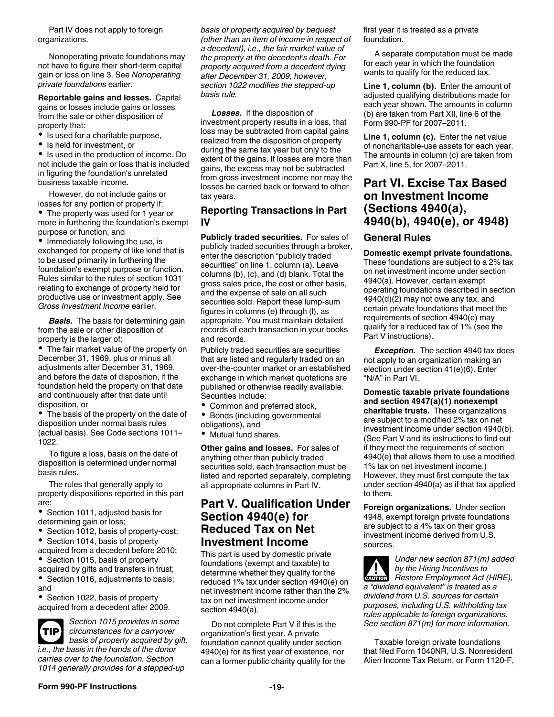<span id="page-18-0"></span>Part IV does not apply to foreign organizations.

Nonoperating private foundations may not have to figure their short-term capital gain or loss on line 3. See *Nonoperating private foundations* earlier.

**Reportable gains and losses.** Capital gains or losses include gains or losses from the sale or other disposition of property that:

- Is used for a charitable purpose,
- Is held for investment, or

• Is used in the production of income. Do not include the gain or loss that is included in figuring the foundation's unrelated business taxable income.

However, do not include gains or losses for any portion of property if:

The property was used for 1 year or more in furthering the foundation's exempt purpose or function, and

• Immediately following the use, is exchanged for property of like kind that is to be used primarily in furthering the foundation's exempt purpose or function. Rules similar to the rules of section 1031 relating to exchange of property held for productive use or investment apply. See *Gross Investment Income* earlier.

**Basis.** The basis for determining gain from the sale or other disposition of property is the larger of:

The fair market value of the property on December 31, 1969, plus or minus all adjustments after December 31, 1969, and before the date of disposition, if the foundation held the property on that date and continuously after that date until disposition, or

The basis of the property on the date of disposition under normal basis rules (actual basis). See Code sections 1011– 1022.

To figure a loss, basis on the date of disposition is determined under normal basis rules.

The rules that generally apply to property dispositions reported in this part are:

• Section 1011, adjusted basis for determining gain or loss;

- $\bullet$ Section 1012, basis of property-cost;
- Section 1014, basis of property
- acquired from a decedent before 2010;  $\bullet$ Section 1015, basis of property
- acquired by gifts and transfers in trust; • Section 1016, adjustments to basis; and

Section 1022, basis of property acquired from a decedent after 2009.

*Section 1015 provides in some circumstances for a carryover basis of property acquired by gift, i.e., the basis in the hands of the donor carries over to the foundation. Section 1014 generally provides for a stepped-up*  **TIP**

*basis of property acquired by bequest (other than an item of income in respect of a decedent), i.e., the fair market value of the property at the decedent's death. For property acquired from a decedent dying after December 31, 2009, however, section 1022 modifies the stepped-up basis rule.*

*Losses.* If the disposition of investment property results in a loss, that loss may be subtracted from capital gains realized from the disposition of property during the same tax year but only to the extent of the gains. If losses are more than gains, the excess may not be subtracted from gross investment income nor may the losses be carried back or forward to other tax years.

### **Reporting Transactions in Part IV**

**Publicly traded securities.** For sales of publicly traded securities through a broker, enter the description "publicly traded securities" on line 1, column (a). Leave columns (b), (c), and (d) blank. Total the gross sales price, the cost or other basis, and the expense of sale on all such securities sold. Report these lump-sum figures in columns (e) through (l), as appropriate. You must maintain detailed records of each transaction in your books and records.

Publicly traded securities are securities that are listed and regularly traded on an over-the-counter market or an established exchange in which market quotations are published or otherwise readily available. Securities include:

- Common and preferred stock,
- Bonds (including governmental
- obligations), and

• Mutual fund shares.

**Other gains and losses.** For sales of anything other than publicly traded securities sold, each transaction must be listed and reported separately, completing all appropriate columns in Part IV.

### **Part V. Qualification Under Section 4940(e) for Reduced Tax on Net Investment Income**

This part is used by domestic private foundations (exempt and taxable) to determine whether they qualify for the reduced 1% tax under section 4940(e) on net investment income rather than the 2% tax on net investment income under section 4940(a).

Do not complete Part V if this is the organization's first year. A private foundation cannot qualify under section 4940(e) for its first year of existence, nor can a former public charity qualify for the first year it is treated as a private foundation.

A separate computation must be made for each year in which the foundation wants to qualify for the reduced tax.

**Line 1, column (b).** Enter the amount of adjusted qualifying distributions made for each year shown. The amounts in column (b) are taken from Part XII, line 6 of the Form 990-PF for 2007–2011.

**Line 1, column (c).** Enter the net value of noncharitable-use assets for each year. The amounts in column (c) are taken from Part X, line 5, for 2007–2011.

### **Part VI. Excise Tax Based on Investment Income (Sections 4940(a), 4940(b), 4940(e), or 4948)**

### **General Rules**

**Domestic exempt private foundations.** These foundations are subject to a 2% tax on net investment income under section 4940(a). However, certain exempt operating foundations described in section 4940(d)(2) may not owe any tax, and certain private foundations that meet the requirements of section 4940(e) may qualify for a reduced tax of 1% (see the Part V instructions).

*Exception.* The section 4940 tax does not apply to an organization making an election under section 41(e)(6). Enter "N/A" in Part VI.

**Domestic taxable private foundations and section 4947(a)(1) nonexempt charitable trusts.** These organizations are subject to a modified 2% tax on net investment income under section 4940(b). (See Part V and its instructions to find out if they meet the requirements of section 4940(e) that allows them to use a modified 1% tax on net investment income.) However, they must first compute the tax under section 4940(a) as if that tax applied to them.

**Foreign organizations.** Under section 4948, exempt foreign private foundations are subject to a 4% tax on their gross investment income derived from U.S. sources.

*Under new section 871(m) added by the Hiring Incentives to Restore Employment Act (HIRE), a "dividend equivalent" is treated as a dividend from U.S. sources for certain purposes, including U.S. withholding tax rules applicable to foreign organizations. See section 871(m) for more information.* **CAUTION !**

Taxable foreign private foundations that filed Form 1040NR, U.S. Nonresident Alien Income Tax Return, or Form 1120-F,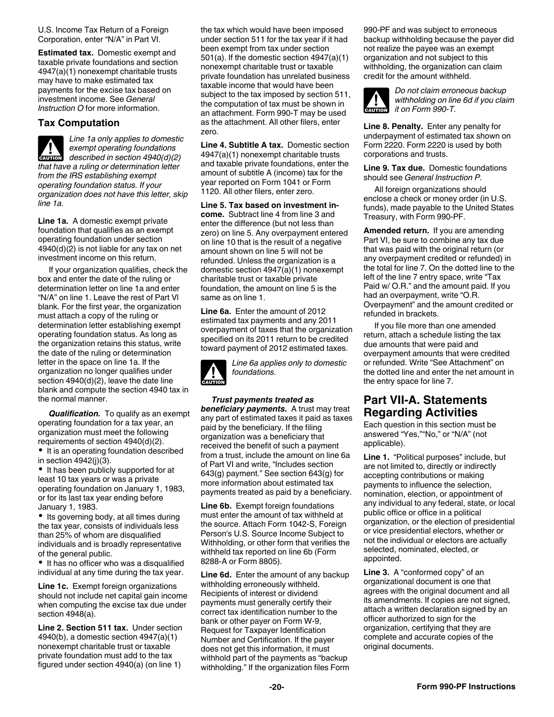<span id="page-19-0"></span>U.S. Income Tax Return of a Foreign Corporation, enter "N/A" in Part VI.

**Estimated tax.** Domestic exempt and taxable private foundations and section 4947(a)(1) nonexempt charitable trusts may have to make estimated tax payments for the excise tax based on investment income. See *General Instruction O* for more information.

#### **Tax Computation**

*Line 1a only applies to domestic exempt operating foundations*  **described in section 4940(d)(2)**<br> **described in section 4940(d)(2)** *that have a ruling or determination letter from the IRS establishing exempt operating foundation status. If your organization does not have this letter, skip line 1a.*

**Line 1a.** A domestic exempt private foundation that qualifies as an exempt operating foundation under section 4940(d)(2) is not liable for any tax on net investment income on this return.

If your organization qualifies, check the box and enter the date of the ruling or determination letter on line 1a and enter "N/A" on line 1. Leave the rest of Part Vl blank. For the first year, the organization must attach a copy of the ruling or determination letter establishing exempt operating foundation status. As long as the organization retains this status, write the date of the ruling or determination letter in the space on line 1a. If the organization no longer qualifies under section 4940(d)(2), leave the date line blank and compute the section 4940 tax in the normal manner.

*Qualification.* To qualify as an exempt operating foundation for a tax year, an organization must meet the following requirements of section 4940(d)(2).

• It is an operating foundation described in section 4942(j)(3).

• It has been publicly supported for at least 10 tax years or was a private operating foundation on January 1, 1983, or for its last tax year ending before January 1, 1983.

• Its governing body, at all times during the tax year, consists of individuals less than 25% of whom are disqualified individuals and is broadly representative of the general public.

• It has no officer who was a disqualified individual at any time during the tax year.

**Line 1c.** Exempt foreign organizations should not include net capital gain income when computing the excise tax due under section 4948(a).

**Line 2. Section 511 tax.** Under section 4940(b), a domestic section 4947(a)(1) nonexempt charitable trust or taxable private foundation must add to the tax figured under section 4940(a) (on line 1)

the tax which would have been imposed under section 511 for the tax year if it had been exempt from tax under section 501(a). If the domestic section 4947(a)(1) nonexempt charitable trust or taxable private foundation has unrelated business taxable income that would have been subject to the tax imposed by section 511, the computation of tax must be shown in an attachment. Form 990-T may be used as the attachment. All other filers, enter zero.

**Line 4. Subtitle A tax.** Domestic section 4947(a)(1) nonexempt charitable trusts and taxable private foundations, enter the amount of subtitle A (income) tax for the year reported on Form 1041 or Form 1120. All other filers, enter zero.

**Line 5. Tax based on investment income.** Subtract line 4 from line 3 and enter the difference (but not less than zero) on line 5. Any overpayment entered on line 10 that is the result of a negative amount shown on line 5 will not be refunded. Unless the organization is a domestic section 4947(a)(1) nonexempt charitable trust or taxable private foundation, the amount on line 5 is the same as on line 1.

**Line 6a.** Enter the amount of 2012 estimated tax payments and any 2011 overpayment of taxes that the organization specified on its 2011 return to be credited toward payment of 2012 estimated taxes.



*Line 6a applies only to domestic foundations.*

*Trust payments treated as beneficiary payments.* A trust may treat any part of estimated taxes it paid as taxes paid by the beneficiary. If the filing organization was a beneficiary that received the benefit of such a payment from a trust, include the amount on line 6a of Part VI and write, "Includes section 643(g) payment." See section 643(g) for more information about estimated tax payments treated as paid by a beneficiary.

**Line 6b.** Exempt foreign foundations must enter the amount of tax withheld at the source. Attach Form 1042-S, Foreign Person's U.S. Source Income Subject to Withholding, or other form that verifies the withheld tax reported on line 6b (Form 8288-A or Form 8805).

**Line 6d.** Enter the amount of any backup withholding erroneously withheld. Recipients of interest or dividend payments must generally certify their correct tax identification number to the bank or other payer on Form W-9, Request for Taxpayer Identification Number and Certification. If the payer does not get this information, it must withhold part of the payments as "backup withholding." If the organization files Form 990-PF and was subject to erroneous backup withholding because the payer did not realize the payee was an exempt organization and not subject to this withholding, the organization can claim credit for the amount withheld.



*Do not claim erroneous backup withholding on line 6d if you claim*  **it on Form 990-T.** 

**Line 8. Penalty.** Enter any penalty for underpayment of estimated tax shown on Form 2220. Form 2220 is used by both corporations and trusts.

**Line 9. Tax due.** Domestic foundations should see *General Instruction P.*

All foreign organizations should enclose a check or money order (in U.S. funds), made payable to the United States Treasury, with Form 990-PF.

**Amended return.** If you are amending Part VI, be sure to combine any tax due that was paid with the original return (or any overpayment credited or refunded) in the total for line 7. On the dotted line to the left of the line 7 entry space, write "Tax Paid w/ O.R." and the amount paid. If you had an overpayment, write "O.R. Overpayment" and the amount credited or refunded in brackets.

If you file more than one amended return, attach a schedule listing the tax due amounts that were paid and overpayment amounts that were credited or refunded. Write "See Attachment" on the dotted line and enter the net amount in the entry space for line 7.

### **Part VII-A. Statements Regarding Activities**

Each question in this section must be answered "Yes,""No," or "N/A" (not applicable).

**Line 1.** "Political purposes" include, but are not limited to, directly or indirectly accepting contributions or making payments to influence the selection, nomination, election, or appointment of any individual to any federal, state, or local public office or office in a political organization, or the election of presidential or vice presidential electors, whether or not the individual or electors are actually selected, nominated, elected, or appointed.

**Line 3.** A "conformed copy" of an organizational document is one that agrees with the original document and all its amendments. If copies are not signed, attach a written declaration signed by an officer authorized to sign for the organization, certifying that they are complete and accurate copies of the original documents.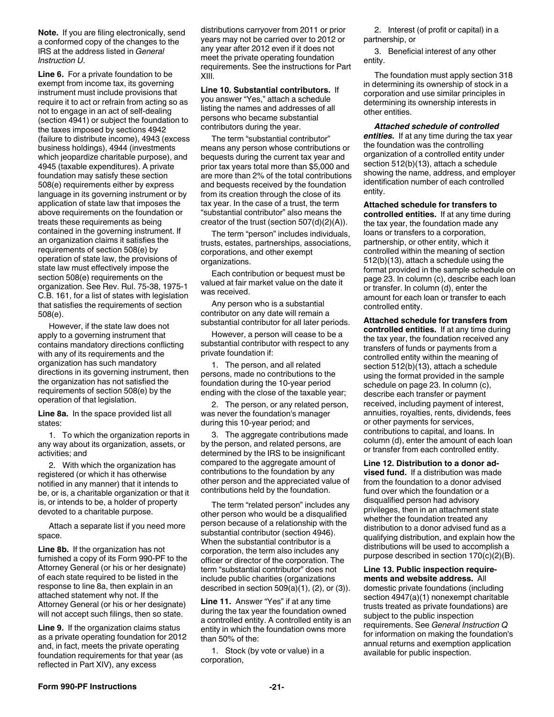<span id="page-20-0"></span>**Note.** If you are filing electronically, send a conformed copy of the changes to the IRS at the address listed in *General Instruction U*.

**Line 6.** For a private foundation to be exempt from income tax, its governing instrument must include provisions that require it to act or refrain from acting so as not to engage in an act of self-dealing (section 4941) or subject the foundation to the taxes imposed by sections 4942 (failure to distribute income), 4943 (excess business holdings), 4944 (investments which jeopardize charitable purpose), and 4945 (taxable expenditures). A private foundation may satisfy these section 508(e) requirements either by express language in its governing instrument or by application of state law that imposes the above requirements on the foundation or treats these requirements as being contained in the governing instrument. If an organization claims it satisfies the requirements of section 508(e) by operation of state law, the provisions of state law must effectively impose the section 508(e) requirements on the organization. See Rev. Rul. 75-38, 1975-1 C.B. 161, for a list of states with legislation that satisfies the requirements of section 508(e).

However, if the state law does not apply to a governing instrument that contains mandatory directions conflicting with any of its requirements and the organization has such mandatory directions in its governing instrument, then the organization has not satisfied the requirements of section 508(e) by the operation of that legislation.

**Line 8a.** In the space provided list all states:

1. To which the organization reports in any way about its organization, assets, or activities; and

2. With which the organization has registered (or which it has otherwise notified in any manner) that it intends to be, or is, a charitable organization or that it is, or intends to be, a holder of property devoted to a charitable purpose.

Attach a separate list if you need more space.

**Line 8b.** If the organization has not furnished a copy of its Form 990-PF to the Attorney General (or his or her designate) of each state required to be listed in the response to line 8a, then explain in an attached statement why not. If the Attorney General (or his or her designate) will not accept such filings, then so state.

**Line 9.** If the organization claims status as a private operating foundation for 2012 and, in fact, meets the private operating foundation requirements for that year (as reflected in Part XIV), any excess

distributions carryover from 2011 or prior years may not be carried over to 2012 or any year after 2012 even if it does not meet the private operating foundation requirements. See the instructions for Part XIII.

**Line 10. Substantial contributors.** If you answer "Yes," attach a schedule listing the names and addresses of all persons who became substantial contributors during the year.

The term "substantial contributor" means any person whose contributions or bequests during the current tax year and prior tax years total more than \$5,000 and are more than 2% of the total contributions and bequests received by the foundation from its creation through the close of its tax year. In the case of a trust, the term "substantial contributor" also means the creator of the trust (section 507(d)(2)(A)).

The term "person" includes individuals, trusts, estates, partnerships, associations, corporations, and other exempt organizations.

Each contribution or bequest must be valued at fair market value on the date it was received.

Any person who is a substantial contributor on any date will remain a substantial contributor for all later periods.

However, a person will cease to be a substantial contributor with respect to any private foundation if:

1. The person, and all related persons, made no contributions to the foundation during the 10-year period ending with the close of the taxable year;

2. The person, or any related person, was never the foundation's manager during this 10-year period; and

3. The aggregate contributions made by the person, and related persons, are determined by the IRS to be insignificant compared to the aggregate amount of contributions to the foundation by any other person and the appreciated value of contributions held by the foundation.

The term "related person" includes any other person who would be a disqualified person because of a relationship with the substantial contributor (section 4946). When the substantial contributor is a corporation, the term also includes any officer or director of the corporation. The term "substantial contributor" does not include public charities (organizations described in section  $509(a)(1)$ ,  $(2)$ , or  $(3)$ ).

**Line 11.** Answer "Yes" if at any time during the tax year the foundation owned a controlled entity. A controlled entity is an entity in which the foundation owns more than 50% of the:

1. Stock (by vote or value) in a corporation,

2. Interest (of profit or capital) in a partnership, or

3. Beneficial interest of any other entity.

The foundation must apply section 318 in determining its ownership of stock in a corporation and use similar principles in determining its ownership interests in other entities.

*Attached schedule of controlled entities.* If at any time during the tax year the foundation was the controlling organization of a controlled entity under section 512(b)(13), attach a schedule showing the name, address, and employer identification number of each controlled entity.

**Attached schedule for transfers to controlled entities.** If at any time during the tax year, the foundation made any loans or transfers to a corporation, partnership, or other entity, which it controlled within the meaning of section 512(b)(13), attach a schedule using the format provided in the sample schedule on page 23. In column (c), describe each loan or transfer. In column (d), enter the amount for each loan or transfer to each controlled entity.

**Attached schedule for transfers from controlled entities.** If at any time during the tax year, the foundation received any transfers of funds or payments from a controlled entity within the meaning of section 512(b)(13), attach a schedule using the format provided in the sample schedule on page 23. In column (c), describe each transfer or payment received, including payment of interest, annuities, royalties, rents, dividends, fees or other payments for services, contributions to capital, and loans. In column (d), enter the amount of each loan or transfer from each controlled entity.

**Line 12. Distribution to a donor advised fund.** If a distribution was made from the foundation to a donor advised fund over which the foundation or a disqualified person had advisory privileges, then in an attachment state whether the foundation treated any distribution to a donor advised fund as a qualifying distribution, and explain how the distributions will be used to accomplish a purpose described in section 170(c)(2)(B).

**Line 13. Public inspection requirements and website address.** All

domestic private foundations (including section 4947(a)(1) nonexempt charitable trusts treated as private foundations) are subject to the public inspection requirements. See *General Instruction Q*  for information on making the foundation's annual returns and exemption application available for public inspection.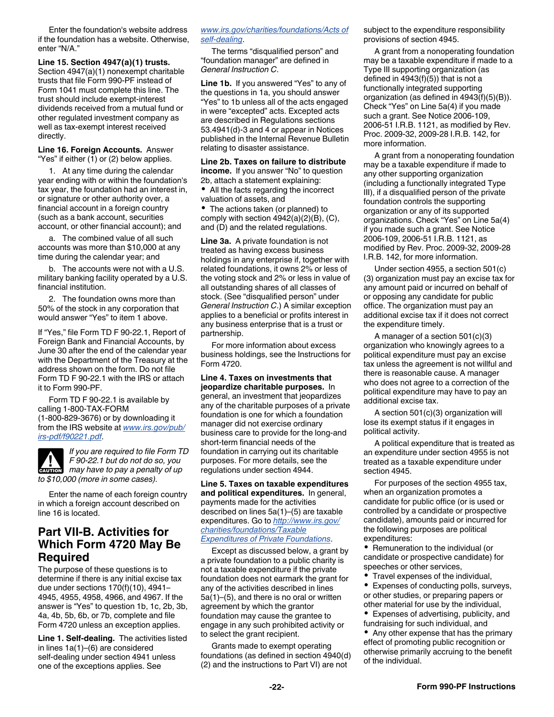<span id="page-21-0"></span>Enter the foundation's website address if the foundation has a website. Otherwise, enter "N/A."

**Line 15. Section 4947(a)(1) trusts.**  Section 4947(a)(1) nonexempt charitable trusts that file Form 990-PF instead of Form 1041 must complete this line. The trust should include exempt-interest dividends received from a mutual fund or other regulated investment company as well as tax-exempt interest received directly.

**Line 16. Foreign Accounts.** Answer "Yes" if either (1) or (2) below applies.

1. At any time during the calendar year ending with or within the foundation's tax year, the foundation had an interest in, or signature or other authority over, a financial account in a foreign country (such as a bank account, securities account, or other financial account); and

a. The combined value of all such accounts was more than \$10,000 at any time during the calendar year; and

b. The accounts were not with a U.S. military banking facility operated by a U.S. financial institution.

2. The foundation owns more than 50% of the stock in any corporation that would answer "Yes" to item 1 above.

If "Yes," file Form TD F 90-22.1, Report of Foreign Bank and Financial Accounts, by June 30 after the end of the calendar year with the Department of the Treasury at the address shown on the form. Do not file Form TD F 90-22.1 with the IRS or attach it to Form 990-PF.

Form TD F 90-22.1 is available by calling 1-800-TAX-FORM (1-800-829-3676) or by downloading it from the IRS website at *[www.irs.gov/pub/](http://www.irs.gov/pub/irs-pdf/f90221.pdf) [irs-pdf/f90221.pdf](http://www.irs.gov/pub/irs-pdf/f90221.pdf)*.



*If you are required to file Form TD F 90-22.1 but do not do so, you F* 90-22.1 but do not do so, you may have to pay a penalty of up *to \$10,000 (more in some cases).*

Enter the name of each foreign country in which a foreign account described on line 16 is located.

### **Part VII-B. Activities for Which Form 4720 May Be Required**

The purpose of these questions is to determine if there is any initial excise tax due under sections 170(f)(10), 4941– 4945, 4955, 4958, 4966, and 4967. If the answer is "Yes" to question 1b, 1c, 2b, 3b, 4a, 4b, 5b, 6b, or 7b, complete and file Form 4720 unless an exception applies.

**Line 1. Self-dealing.** The activities listed in lines 1a(1)–(6) are considered self-dealing under section 4941 unless one of the exceptions applies. See

#### *[www.irs.gov/charities/foundations/Acts of](http://www.irs.gov/Charities-&-Non-Profits/Private-Foundations/Acts-of-self-dealing-by-private-foundation) [self-dealing](http://www.irs.gov/Charities-&-Non-Profits/Private-Foundations/Acts-of-self-dealing-by-private-foundation)*.

The terms "disqualified person" and "foundation manager" are defined in *General Instruction C*.

**Line 1b.** If you answered "Yes" to any of the questions in 1a, you should answer "Yes" to 1b unless all of the acts engaged in were "excepted" acts. Excepted acts are described in Regulations sections 53.4941(d)-3 and 4 or appear in Notices published in the Internal Revenue Bulletin relating to disaster assistance.

#### **Line 2b. Taxes on failure to distribute income.** If you answer "No" to question 2b, attach a statement explaining:

All the facts regarding the incorrect valuation of assets, and

The actions taken (or planned) to comply with section 4942(a)(2)(B), (C), and (D) and the related regulations.

**Line 3a.** A private foundation is not treated as having excess business holdings in any enterprise if, together with related foundations, it owns 2% or less of the voting stock and 2% or less in value of all outstanding shares of all classes of stock. (See "disqualified person" under *General Instruction C*.) A similar exception applies to a beneficial or profits interest in any business enterprise that is a trust or partnership.

For more information about excess business holdings, see the Instructions for Form 4720.

### **Line 4. Taxes on investments that**

**jeopardize charitable purposes.** In general, an investment that jeopardizes any of the charitable purposes of a private foundation is one for which a foundation manager did not exercise ordinary business care to provide for the long-and short-term financial needs of the foundation in carrying out its charitable purposes. For more details, see the regulations under section 4944.

**Line 5. Taxes on taxable expenditures and political expenditures.** In general, payments made for the activities described on lines 5a(1)–(5) are taxable expenditures. Go to *[http://www.irs.gov/](http://www.irs.gov/irm/part7/irm_07-027-019.html) [charities/foundations/Taxable](http://www.irs.gov/irm/part7/irm_07-027-019.html)  [Expenditures of Private Foundations](http://www.irs.gov/irm/part7/irm_07-027-019.html)*.

Except as discussed below, a grant by a private foundation to a public charity is not a taxable expenditure if the private foundation does not earmark the grant for any of the activities described in lines 5a(1)–(5), and there is no oral or written agreement by which the grantor foundation may cause the grantee to engage in any such prohibited activity or to select the grant recipient.

Grants made to exempt operating foundations (as defined in section 4940(d) (2) and the instructions to Part VI) are not

subject to the expenditure responsibility provisions of section 4945.

A grant from a nonoperating foundation may be a taxable expenditure if made to a Type III supporting organization (as defined in  $4943(f)(5)$ ) that is not a functionally integrated supporting organization (as defined in 4943(f)(5)(B)). Check "Yes" on Line 5a(4) if you made such a grant. See Notice 2006-109, 2006-51 I.R.B. 1121, as modified by Rev. Proc. 2009-32, 2009-28 I.R.B. 142, for more information.

A grant from a nonoperating foundation may be a taxable expenditure if made to any other supporting organization (including a functionally integrated Type III), if a disqualified person of the private foundation controls the supporting organization or any of its supported organizations. Check "Yes" on Line 5a(4) if you made such a grant. See Notice 2006-109, 2006-51 I.R.B. 1121, as modified by Rev. Proc. 2009-32, 2009-28 I.R.B. 142, for more information.

Under section 4955, a section 501(c) (3) organization must pay an excise tax for any amount paid or incurred on behalf of or opposing any candidate for public office. The organization must pay an additional excise tax if it does not correct the expenditure timely.

A manager of a section 501(c)(3) organization who knowingly agrees to a political expenditure must pay an excise tax unless the agreement is not willful and there is reasonable cause. A manager who does not agree to a correction of the political expenditure may have to pay an additional excise tax.

A section 501(c)(3) organization will lose its exempt status if it engages in political activity.

A political expenditure that is treated as an expenditure under section 4955 is not treated as a taxable expenditure under section 4945.

For purposes of the section 4955 tax, when an organization promotes a candidate for public office (or is used or controlled by a candidate or prospective candidate), amounts paid or incurred for the following purposes are political expenditures:

• Remuneration to the individual (or candidate or prospective candidate) for speeches or other services,

Travel expenses of the individual,

Expenses of conducting polls, surveys, or other studies, or preparing papers or other material for use by the individual,

Expenses of advertising, publicity, and fundraising for such individual, and

• Any other expense that has the primary effect of promoting public recognition or otherwise primarily accruing to the benefit of the individual.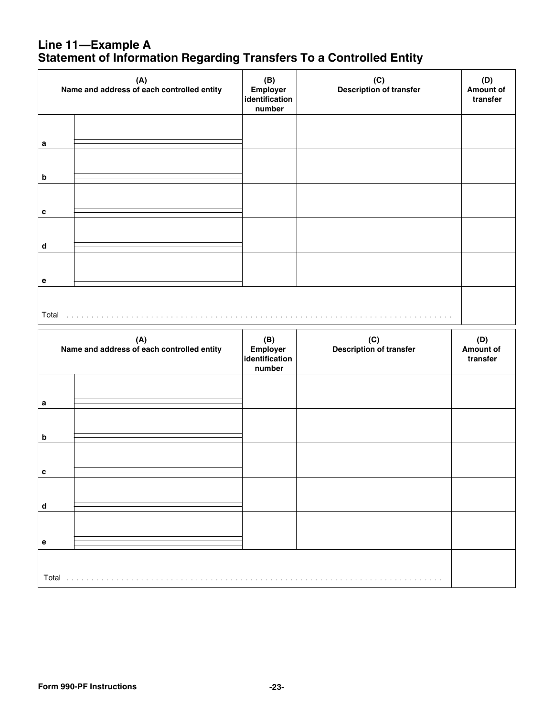### **Line 11—Example A Statement of Information Regarding Transfers To a Controlled Entity**

|                             | (A)<br>Name and address of each controlled entity<br>identification |                                             | (C)<br>Description of transfer | (D)<br><b>Amount of</b><br>transfer |
|-----------------------------|---------------------------------------------------------------------|---------------------------------------------|--------------------------------|-------------------------------------|
| $\mathbf a$                 |                                                                     |                                             |                                |                                     |
|                             |                                                                     |                                             |                                |                                     |
| $\boldsymbol{\mathsf{b}}$   |                                                                     |                                             |                                |                                     |
| c                           |                                                                     |                                             |                                |                                     |
| $\operatorname{\mathsf{d}}$ |                                                                     |                                             |                                |                                     |
| $\mathbf e$                 |                                                                     |                                             |                                |                                     |
|                             | Total                                                               |                                             |                                |                                     |
|                             | (A)<br>Name and address of each controlled entity                   | (B)<br>Employer<br>identification<br>number | (C)<br>Description of transfer | (D)<br><b>Amount of</b><br>transfer |
| $\mathbf a$                 |                                                                     |                                             |                                |                                     |
|                             |                                                                     |                                             |                                |                                     |
| $\boldsymbol{\mathsf{b}}$   |                                                                     |                                             |                                |                                     |
| c                           |                                                                     |                                             |                                |                                     |
| d                           |                                                                     |                                             |                                |                                     |
| е                           |                                                                     |                                             |                                |                                     |
|                             |                                                                     |                                             |                                |                                     |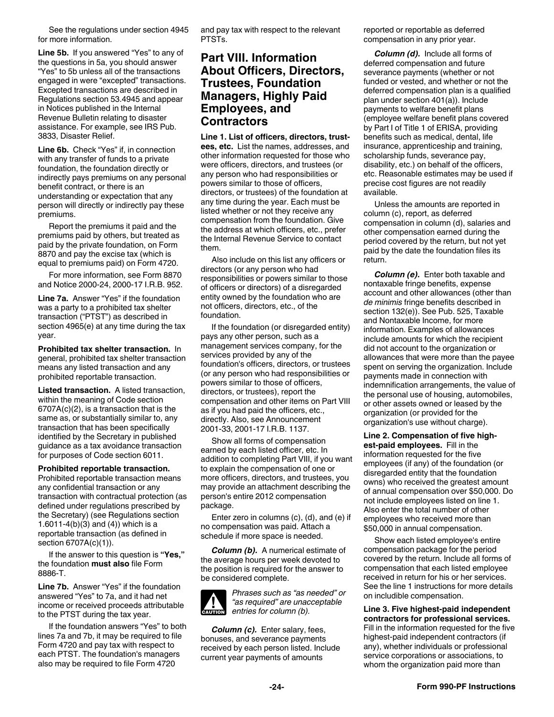<span id="page-23-0"></span>See the regulations under section 4945 for more information.

**Line 5b.** If you answered "Yes" to any of the questions in 5a, you should answer "Yes" to 5b unless all of the transactions engaged in were "excepted" transactions. Excepted transactions are described in Regulations section 53.4945 and appear in Notices published in the Internal Revenue Bulletin relating to disaster assistance. For example, see IRS Pub. 3833, Disaster Relief.

**Line 6b.** Check "Yes" if, in connection with any transfer of funds to a private foundation, the foundation directly or indirectly pays premiums on any personal benefit contract, or there is an understanding or expectation that any person will directly or indirectly pay these premiums.

Report the premiums it paid and the premiums paid by others, but treated as paid by the private foundation, on Form 8870 and pay the excise tax (which is equal to premiums paid) on Form 4720.

For more information, see Form 8870 and Notice 2000-24, 2000-17 I.R.B. 952.

**Line 7a.** Answer "Yes" if the foundation was a party to a prohibited tax shelter transaction ("PTST") as described in section 4965(e) at any time during the tax year.

**Prohibited tax shelter transaction.** In general, prohibited tax shelter transaction means any listed transaction and any prohibited reportable transaction.

**Listed transaction.** A listed transaction, within the meaning of Code section 6707A(c)(2), is a transaction that is the same as, or substantially similar to, any transaction that has been specifically identified by the Secretary in published guidance as a tax avoidance transaction for purposes of Code section 6011.

#### **Prohibited reportable transaction.**

Prohibited reportable transaction means any confidential transaction or any transaction with contractual protection (as defined under regulations prescribed by the Secretary) (see Regulations section 1.6011-4(b)(3) and (4)) which is a reportable transaction (as defined in section 6707A(c)(1)).

If the answer to this question is **"Yes,"**  the foundation **must also** file Form 8886-T.

**Line 7b.** Answer "Yes" if the foundation answered "Yes" to 7a, and it had net income or received proceeds attributable to the PTST during the tax year.

If the foundation answers "Yes" to both lines 7a and 7b, it may be required to file Form 4720 and pay tax with respect to each PTST. The foundation's managers also may be required to file Form 4720

and pay tax with respect to the relevant PTSTs

### **Part VIII. Information About Officers, Directors, Trustees, Foundation Managers, Highly Paid Employees, and Contractors**

**Line 1. List of officers, directors, trustees, etc.** List the names, addresses, and other information requested for those who were officers, directors, and trustees (or any person who had responsibilities or powers similar to those of officers, directors, or trustees) of the foundation at any time during the year. Each must be listed whether or not they receive any compensation from the foundation. Give the address at which officers, etc., prefer the Internal Revenue Service to contact them.

Also include on this list any officers or directors (or any person who had responsibilities or powers similar to those of officers or directors) of a disregarded entity owned by the foundation who are not officers, directors, etc., of the foundation.

If the foundation (or disregarded entity) pays any other person, such as a management services company, for the services provided by any of the foundation's officers, directors, or trustees (or any person who had responsibilities or powers similar to those of officers, directors, or trustees), report the compensation and other items on Part VIII as if you had paid the officers, etc., directly. Also, see Announcement 2001-33, 2001-17 I.R.B. 1137.

Show all forms of compensation earned by each listed officer, etc. In addition to completing Part VIII, if you want to explain the compensation of one or more officers, directors, and trustees, you may provide an attachment describing the person's entire 2012 compensation package.

Enter zero in columns (c), (d), and (e) if no compensation was paid. Attach a schedule if more space is needed.

*Column (b).* A numerical estimate of the average hours per week devoted to the position is required for the answer to be considered complete.



*Column (c).* Enter salary, fees, bonuses, and severance payments received by each person listed. Include current year payments of amounts

reported or reportable as deferred compensation in any prior year.

*Column (d).* Include all forms of deferred compensation and future severance payments (whether or not funded or vested, and whether or not the deferred compensation plan is a qualified plan under section 401(a)). Include payments to welfare benefit plans (employee welfare benefit plans covered by Part I of Title 1 of ERISA, providing benefits such as medical, dental, life insurance, apprenticeship and training, scholarship funds, severance pay, disability, etc.) on behalf of the officers, etc. Reasonable estimates may be used if precise cost figures are not readily available.

Unless the amounts are reported in column (c), report, as deferred compensation in column (d), salaries and other compensation earned during the period covered by the return, but not yet paid by the date the foundation files its return.

*Column (e).* Enter both taxable and nontaxable fringe benefits, expense account and other allowances (other than *de minimis* fringe benefits described in section 132(e)). See Pub. 525, Taxable and Nontaxable Income, for more information. Examples of allowances include amounts for which the recipient did not account to the organization or allowances that were more than the payee spent on serving the organization. Include payments made in connection with indemnification arrangements, the value of the personal use of housing, automobiles, or other assets owned or leased by the organization (or provided for the organization's use without charge).

**Line 2. Compensation of five highest-paid employees.** Fill in the information requested for the five employees (if any) of the foundation (or disregarded entity that the foundation owns) who received the greatest amount of annual compensation over \$50,000. Do not include employees listed on line 1. Also enter the total number of other employees who received more than \$50,000 in annual compensation.

Show each listed employee's entire compensation package for the period covered by the return. Include all forms of compensation that each listed employee received in return for his or her services. See the line 1 instructions for more details on includible compensation.

**Line 3. Five highest-paid independent contractors for professional services.**  Fill in the information requested for the five highest-paid independent contractors (if any), whether individuals or professional service corporations or associations, to whom the organization paid more than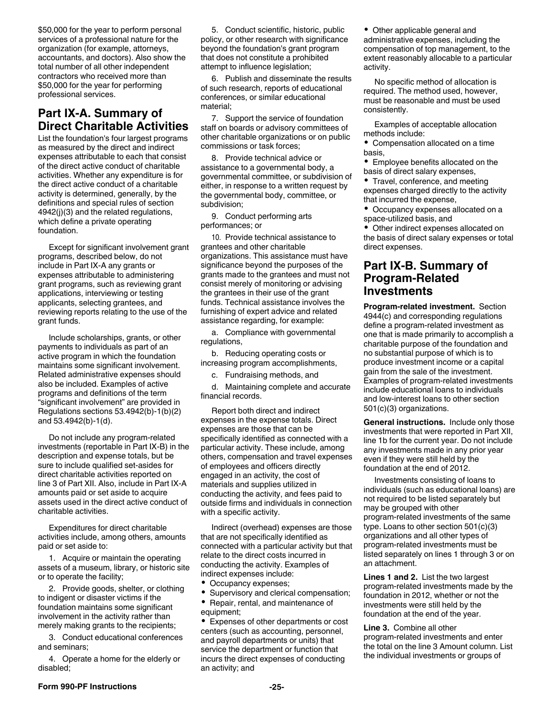<span id="page-24-0"></span>\$50,000 for the year to perform personal services of a professional nature for the organization (for example, attorneys, accountants, and doctors). Also show the total number of all other independent contractors who received more than \$50,000 for the year for performing professional services.

### **Part IX-A. Summary of Direct Charitable Activities**

List the foundation's four largest programs as measured by the direct and indirect expenses attributable to each that consist of the direct active conduct of charitable activities. Whether any expenditure is for the direct active conduct of a charitable activity is determined, generally, by the definitions and special rules of section 4942(j)(3) and the related regulations, which define a private operating foundation.

Except for significant involvement grant programs, described below, do not include in Part IX-A any grants or expenses attributable to administering grant programs, such as reviewing grant applications, interviewing or testing applicants, selecting grantees, and reviewing reports relating to the use of the grant funds.

Include scholarships, grants, or other payments to individuals as part of an active program in which the foundation maintains some significant involvement. Related administrative expenses should also be included. Examples of active programs and definitions of the term "significant involvement" are provided in Regulations sections 53.4942(b)-1(b)(2) and 53.4942(b)-1(d).

Do not include any program-related investments (reportable in Part IX-B) in the description and expense totals, but be sure to include qualified set-asides for direct charitable activities reported on line 3 of Part XII. Also, include in Part IX-A amounts paid or set aside to acquire assets used in the direct active conduct of charitable activities.

Expenditures for direct charitable activities include, among others, amounts paid or set aside to:

1. Acquire or maintain the operating assets of a museum, library, or historic site or to operate the facility;

2. Provide goods, shelter, or clothing to indigent or disaster victims if the foundation maintains some significant involvement in the activity rather than merely making grants to the recipients;

3. Conduct educational conferences and seminars;

4. Operate a home for the elderly or disabled;

5. Conduct scientific, historic, public policy, or other research with significance beyond the foundation's grant program that does not constitute a prohibited attempt to influence legislation;

6. Publish and disseminate the results of such research, reports of educational conferences, or similar educational material;

7. Support the service of foundation staff on boards or advisory committees of other charitable organizations or on public commissions or task forces;

8. Provide technical advice or assistance to a governmental body, a governmental committee, or subdivision of either, in response to a written request by the governmental body, committee, or subdivision;

9. Conduct performing arts performances; or

10. Provide technical assistance to grantees and other charitable organizations. This assistance must have significance beyond the purposes of the grants made to the grantees and must not consist merely of monitoring or advising the grantees in their use of the grant funds. Technical assistance involves the furnishing of expert advice and related assistance regarding, for example:

a. Compliance with governmental regulations,

b. Reducing operating costs or increasing program accomplishments,

c. Fundraising methods, and

d. Maintaining complete and accurate financial records.

Report both direct and indirect expenses in the expense totals. Direct expenses are those that can be specifically identified as connected with a particular activity. These include, among others, compensation and travel expenses of employees and officers directly engaged in an activity, the cost of materials and supplies utilized in conducting the activity, and fees paid to outside firms and individuals in connection with a specific activity.

Indirect (overhead) expenses are those that are not specifically identified as connected with a particular activity but that relate to the direct costs incurred in conducting the activity. Examples of indirect expenses include:

- Occupancy expenses;
- Supervisory and clerical compensation;
- Repair, rental, and maintenance of  $\bullet$ equipment;

Expenses of other departments or cost centers (such as accounting, personnel, and payroll departments or units) that service the department or function that incurs the direct expenses of conducting an activity; and

Other applicable general and administrative expenses, including the compensation of top management, to the extent reasonably allocable to a particular activity.

No specific method of allocation is required. The method used, however, must be reasonable and must be used consistently.

Examples of acceptable allocation methods include:

Compensation allocated on a time basis,

Employee benefits allocated on the basis of direct salary expenses,

• Travel, conference, and meeting expenses charged directly to the activity that incurred the expense,

 $\bullet$ Occupancy expenses allocated on a space-utilized basis, and

Other indirect expenses allocated on the basis of direct salary expenses or total direct expenses.

### **Part IX-B. Summary of Program-Related Investments**

**Program-related investment.** Section 4944(c) and corresponding regulations define a program-related investment as one that is made primarily to accomplish a charitable purpose of the foundation and no substantial purpose of which is to produce investment income or a capital gain from the sale of the investment. Examples of program-related investments include educational loans to individuals and low-interest loans to other section 501(c)(3) organizations.

**General instructions.** Include only those investments that were reported in Part XII, line 1b for the current year. Do not include any investments made in any prior year even if they were still held by the foundation at the end of 2012.

Investments consisting of loans to individuals (such as educational loans) are not required to be listed separately but may be grouped with other program-related investments of the same type. Loans to other section 501(c)(3) organizations and all other types of program-related investments must be listed separately on lines 1 through 3 or on an attachment.

**Lines 1 and 2.** List the two largest program-related investments made by the foundation in 2012, whether or not the investments were still held by the foundation at the end of the year.

**Line 3.** Combine all other program-related investments and enter the total on the line 3 Amount column. List the individual investments or groups of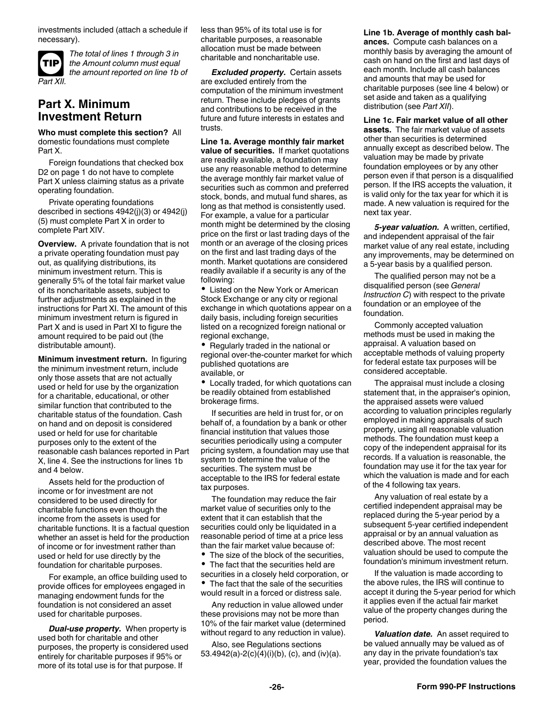<span id="page-25-0"></span>investments included (attach a schedule if necessary).



*The total of lines 1 through 3 in the Amount column must equal the amount reported on line 1b of* 

### **Part X. Minimum Investment Return**

**Who must complete this section?** All domestic foundations must complete Part X.

Foreign foundations that checked box D2 on page 1 do not have to complete Part X unless claiming status as a private operating foundation.

Private operating foundations described in sections 4942(j)(3) or 4942(j) (5) must complete Part X in order to complete Part XIV.

**Overview.** A private foundation that is not a private operating foundation must pay out, as qualifying distributions, its minimum investment return. This is generally 5% of the total fair market value of its noncharitable assets, subject to further adjustments as explained in the instructions for Part XI. The amount of this minimum investment return is figured in Part X and is used in Part XI to figure the amount required to be paid out (the distributable amount).

**Minimum investment return.** In figuring the minimum investment return, include only those assets that are not actually used or held for use by the organization for a charitable, educational, or other similar function that contributed to the charitable status of the foundation. Cash on hand and on deposit is considered used or held for use for charitable purposes only to the extent of the reasonable cash balances reported in Part X, line 4. See the instructions for lines 1b and 4 below.

Assets held for the production of income or for investment are not considered to be used directly for charitable functions even though the income from the assets is used for charitable functions. It is a factual question whether an asset is held for the production of income or for investment rather than used or held for use directly by the foundation for charitable purposes.

For example, an office building used to provide offices for employees engaged in managing endowment funds for the foundation is not considered an asset used for charitable purposes.

*Dual-use property.* When property is used both for charitable and other purposes, the property is considered used entirely for charitable purposes if 95% or more of its total use is for that purpose. If

less than 95% of its total use is for charitable purposes, a reasonable allocation must be made between charitable and noncharitable use.

*Excluded property.* Certain assets are excluded entirely from the computation of the minimum investment return. These include pledges of grants and contributions to be received in the future and future interests in estates and trusts.

**Line 1a. Average monthly fair market value of securities.** If market quotations are readily available, a foundation may use any reasonable method to determine the average monthly fair market value of securities such as common and preferred stock, bonds, and mutual fund shares, as long as that method is consistently used. For example, a value for a particular month might be determined by the closing price on the first or last trading days of the month or an average of the closing prices on the first and last trading days of the month. Market quotations are considered readily available if a security is any of the following:

Listed on the New York or American Stock Exchange or any city or regional exchange in which quotations appear on a daily basis, including foreign securities listed on a recognized foreign national or regional exchange,

• Regularly traded in the national or regional over-the-counter market for which published quotations are available, or

Locally traded, for which quotations can be readily obtained from established brokerage firms.

If securities are held in trust for, or on behalf of, a foundation by a bank or other financial institution that values those securities periodically using a computer pricing system, a foundation may use that system to determine the value of the securities. The system must be acceptable to the IRS for federal estate tax purposes.

The foundation may reduce the fair market value of securities only to the extent that it can establish that the securities could only be liquidated in a reasonable period of time at a price less than the fair market value because of:

The size of the block of the securities,

The fact that the securities held are ٠ securities in a closely held corporation, or The fact that the sale of the securities would result in a forced or distress sale.

Any reduction in value allowed under these provisions may not be more than 10% of the fair market value (determined without regard to any reduction in value).

Also, see Regulations sections 53.4942(a)-2(c)(4)(i)(b), (c), and (iv)(a). **Line 1b. Average of monthly cash balances.** Compute cash balances on a monthly basis by averaging the amount of cash on hand on the first and last days of each month. Include all cash balances and amounts that may be used for charitable purposes (see line 4 below) or set aside and taken as a qualifying distribution (see *Part XII*).

**Line 1c. Fair market value of all other assets.** The fair market value of assets other than securities is determined annually except as described below. The valuation may be made by private foundation employees or by any other person even if that person is a disqualified person. If the IRS accepts the valuation, it is valid only for the tax year for which it is made. A new valuation is required for the next tax year.

*5-year valuation.* A written, certified, and independent appraisal of the fair market value of any real estate, including any improvements, may be determined on a 5-year basis by a qualified person.

The qualified person may not be a disqualified person (see *General Instruction C*) with respect to the private foundation or an employee of the foundation.

Commonly accepted valuation methods must be used in making the appraisal. A valuation based on acceptable methods of valuing property for federal estate tax purposes will be considered acceptable.

The appraisal must include a closing statement that, in the appraiser's opinion, the appraised assets were valued according to valuation principles regularly employed in making appraisals of such property, using all reasonable valuation methods. The foundation must keep a copy of the independent appraisal for its records. If a valuation is reasonable, the foundation may use it for the tax year for which the valuation is made and for each of the 4 following tax years.

Any valuation of real estate by a certified independent appraisal may be replaced during the 5-year period by a subsequent 5-year certified independent appraisal or by an annual valuation as described above. The most recent valuation should be used to compute the foundation's minimum investment return.

If the valuation is made according to the above rules, the IRS will continue to accept it during the 5-year period for which it applies even if the actual fair market value of the property changes during the period.

*Valuation date.* An asset required to be valued annually may be valued as of any day in the private foundation's tax year, provided the foundation values the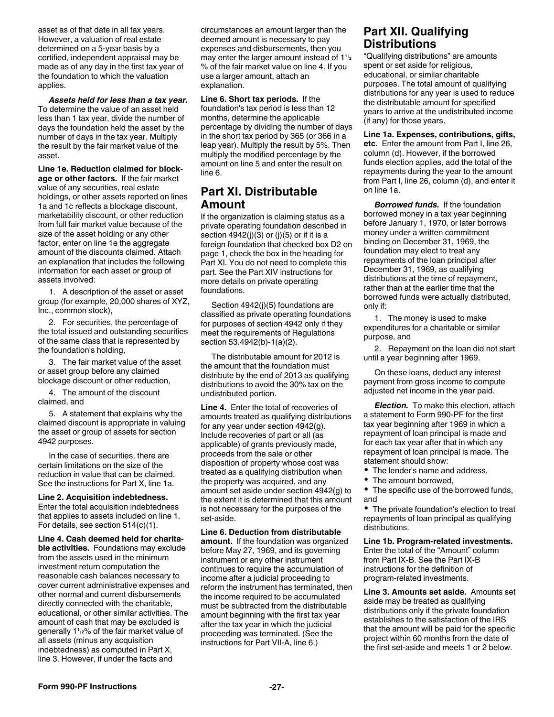<span id="page-26-0"></span>asset as of that date in all tax years. However, a valuation of real estate determined on a 5-year basis by a certified, independent appraisal may be made as of any day in the first tax year of the foundation to which the valuation applies.

*Assets held for less than a tax year.*  To determine the value of an asset held less than 1 tax year, divide the number of days the foundation held the asset by the number of days in the tax year. Multiply the result by the fair market value of the asset.

**Line 1e. Reduction claimed for blockage or other factors.** If the fair market value of any securities, real estate holdings, or other assets reported on lines 1a and 1c reflects a blockage discount, marketability discount, or other reduction from full fair market value because of the size of the asset holding or any other factor, enter on line 1e the aggregate amount of the discounts claimed. Attach an explanation that includes the following information for each asset or group of assets involved:

1. A description of the asset or asset group (for example, 20,000 shares of XYZ, Inc., common stock),

2. For securities, the percentage of the total issued and outstanding securities of the same class that is represented by the foundation's holding,

3. The fair market value of the asset or asset group before any claimed blockage discount or other reduction,

4. The amount of the discount claimed, and

5. A statement that explains why the claimed discount is appropriate in valuing the asset or group of assets for section 4942 purposes.

In the case of securities, there are certain limitations on the size of the reduction in value that can be claimed. See the instructions for Part X, line 1a.

**Line 2. Acquisition indebtedness.**  Enter the total acquisition indebtedness that applies to assets included on line 1. For details, see section 514(c)(1).

**Line 4. Cash deemed held for charitable activities.** Foundations may exclude from the assets used in the minimum investment return computation the reasonable cash balances necessary to cover current administrative expenses and other normal and current disbursements directly connected with the charitable, educational, or other similar activities. The amount of cash that may be excluded is all assets (minus any acquisition indebtedness) as computed in Part X, line 3. However, if under the facts and

circumstances an amount larger than the deemed amount is necessary to pay expenses and disbursements, then you may enter the larger amount instead of 1**<sup>1</sup>** % of the fair market value on line 4. If you use a larger amount, attach an explanation.

**Line 6. Short tax periods.** If the foundation's tax period is less than 12 months, determine the applicable percentage by dividing the number of days in the short tax period by 365 (or 366 in a leap year). Multiply the result by 5%. Then multiply the modified percentage by the amount on line 5 and enter the result on line 6.

### **Part XI. Distributable Amount**

If the organization is claiming status as a private operating foundation described in section  $4942(j)(3)$  or  $(j)(5)$  or if it is a foreign foundation that checked box D2 on page 1, check the box in the heading for Part XI. You do not need to complete this part. See the Part XIV instructions for more details on private operating foundations.

Section 4942(j)(5) foundations are classified as private operating foundations for purposes of section 4942 only if they meet the requirements of Regulations section 53.4942(b)-1(a)(2).

The distributable amount for 2012 is the amount that the foundation must distribute by the end of 2013 as qualifying distributions to avoid the 30% tax on the undistributed portion.

**Line 4.** Enter the total of recoveries of amounts treated as qualifying distributions for any year under section 4942(g). Include recoveries of part or all (as applicable) of grants previously made, proceeds from the sale or other disposition of property whose cost was treated as a qualifying distribution when the property was acquired, and any amount set aside under section 4942(g) to the extent it is determined that this amount is not necessary for the purposes of the set-aside.

**Line 6. Deduction from distributable amount.** If the foundation was organized before May 27, 1969, and its governing instrument or any other instrument continues to require the accumulation of income after a judicial proceeding to reform the instrument has terminated, then the income required to be accumulated must be subtracted from the distributable amount beginning with the first tax year after the tax year in which the judicial proceeding was terminated. (See the instructions for Part VII-A, line 6.)

### **Part XII. Qualifying Distributions**

**2** Qualifying distributions are arrivants "Qualifying distributions" are amounts spent or set aside for religious, educational, or similar charitable purposes. The total amount of qualifying distributions for any year is used to reduce the distributable amount for specified years to arrive at the undistributed income (if any) for those years.

**Line 1a. Expenses, contributions, gifts, etc.** Enter the amount from Part I, line 26, column (d). However, if the borrowed funds election applies, add the total of the repayments during the year to the amount from Part I, line 26, column (d), and enter it on line 1a.

*Borrowed funds.* If the foundation borrowed money in a tax year beginning before January 1, 1970, or later borrows money under a written commitment binding on December 31, 1969, the foundation may elect to treat any repayments of the loan principal after December 31, 1969, as qualifying distributions at the time of repayment, rather than at the earlier time that the borrowed funds were actually distributed, only if:

1. The money is used to make expenditures for a charitable or similar purpose, and

2. Repayment on the loan did not start until a year beginning after 1969.

On these loans, deduct any interest payment from gross income to compute adjusted net income in the year paid.

*Election.* To make this election, attach a statement to Form 990-PF for the first tax year beginning after 1969 in which a repayment of loan principal is made and for each tax year after that in which any repayment of loan principal is made. The statement should show:

- The lender's name and address,
- The amount borrowed.

• The specific use of the borrowed funds, and

• The private foundation's election to treat repayments of loan principal as qualifying distributions.

**Line 1b. Program-related investments.** Enter the total of the "Amount" column from Part IX-B. See the Part IX-B instructions for the definition of program-related investments.

generally 1<sup>1</sup>/<sub>2</sub>% of the fair market value of proceeding was terminated (See the the smount will be paid for the specific **Line 3. Amounts set aside.** Amounts set aside may be treated as qualifying distributions only if the private foundation establishes to the satisfaction of the IRS that the amount will be paid for the specific project within 60 months from the date of the first set-aside and meets 1 or 2 below.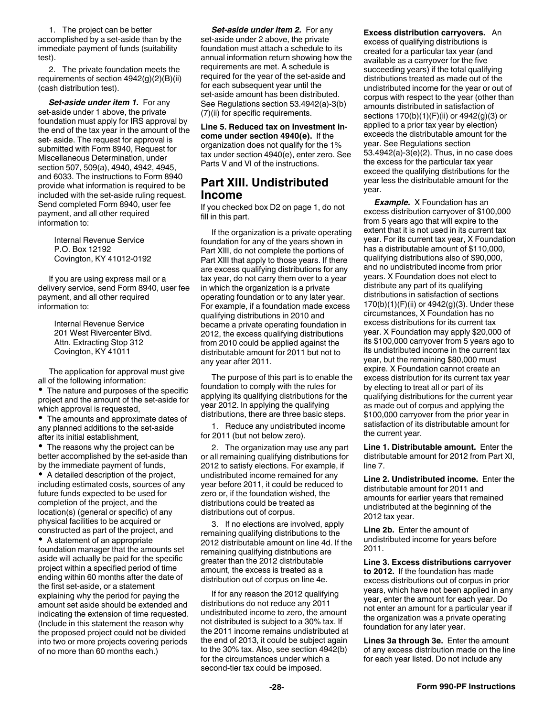<span id="page-27-0"></span>1. The project can be better accomplished by a set-aside than by the immediate payment of funds (suitability test).

2. The private foundation meets the requirements of section 4942(g)(2)(B)(ii) (cash distribution test).

*Set-aside under item 1.* For any set-aside under 1 above, the private foundation must apply for IRS approval by the end of the tax year in the amount of the set- aside. The request for approval is submitted with Form 8940, Request for Miscellaneous Determination, under section 507, 509(a), 4940, 4942, 4945, and 6033. The instructions to Form 8940 provide what information is required to be included with the set-aside ruling request. Send completed Form 8940, user fee payment, and all other required information to:

> Internal Revenue Service P.O. Box 12192 Covington, KY 41012-0192

If you are using express mail or a delivery service, send Form 8940, user fee payment, and all other required information to:

> Internal Revenue Service 201 West Rivercenter Blvd. Attn. Extracting Stop 312 Covington, KY 41011

The application for approval must give all of the following information:

The nature and purposes of the specific project and the amount of the set-aside for which approval is requested,

• The amounts and approximate dates of any planned additions to the set-aside after its initial establishment,

• The reasons why the project can be better accomplished by the set-aside than by the immediate payment of funds,

A detailed description of the project, including estimated costs, sources of any future funds expected to be used for completion of the project, and the location(s) (general or specific) of any physical facilities to be acquired or constructed as part of the project, and

A statement of an appropriate foundation manager that the amounts set aside will actually be paid for the specific project within a specified period of time ending within 60 months after the date of the first set-aside, or a statement explaining why the period for paying the amount set aside should be extended and indicating the extension of time requested. (Include in this statement the reason why the proposed project could not be divided into two or more projects covering periods of no more than 60 months each.)

*Set-aside under item 2. For any* set-aside under 2 above, the private foundation must attach a schedule to its annual information return showing how the requirements are met. A schedule is required for the year of the set-aside and for each subsequent year until the set-aside amount has been distributed. See Regulations section 53.4942(a)-3(b) (7)(ii) for specific requirements.

**Line 5. Reduced tax on investment income under section 4940(e).** If the organization does not qualify for the 1% tax under section 4940(e), enter zero. See Parts V and VI of the instructions.

### **Part XIII. Undistributed Income**

If you checked box D2 on page 1, do not fill in this part.

If the organization is a private operating foundation for any of the years shown in Part XIII, do not complete the portions of Part XIII that apply to those years. If there are excess qualifying distributions for any tax year, do not carry them over to a year in which the organization is a private operating foundation or to any later year. For example, if a foundation made excess qualifying distributions in 2010 and became a private operating foundation in 2012, the excess qualifying distributions from 2010 could be applied against the distributable amount for 2011 but not to any year after 2011.

The purpose of this part is to enable the foundation to comply with the rules for applying its qualifying distributions for the year 2012. In applying the qualifying distributions, there are three basic steps.

1. Reduce any undistributed income for 2011 (but not below zero).

2. The organization may use any part or all remaining qualifying distributions for 2012 to satisfy elections. For example, if undistributed income remained for any year before 2011, it could be reduced to zero or, if the foundation wished, the distributions could be treated as distributions out of corpus.

3. If no elections are involved, apply remaining qualifying distributions to the 2012 distributable amount on line 4d. If the remaining qualifying distributions are greater than the 2012 distributable amount, the excess is treated as a distribution out of corpus on line 4e.

If for any reason the 2012 qualifying distributions do not reduce any 2011 undistributed income to zero, the amount not distributed is subject to a 30% tax. If the 2011 income remains undistributed at the end of 2013, it could be subject again to the 30% tax. Also, see section 4942(b) for the circumstances under which a second-tier tax could be imposed.

**Excess distribution carryovers.** An excess of qualifying distributions is created for a particular tax year (and available as a carryover for the five succeeding years) if the total qualifying distributions treated as made out of the undistributed income for the year or out of corpus with respect to the year (other than amounts distributed in satisfaction of sections 170(b)(1)(F)(ii) or 4942(g)(3) or applied to a prior tax year by election) exceeds the distributable amount for the year. See Regulations section 53.4942(a)-3(e)(2). Thus, in no case does the excess for the particular tax year exceed the qualifying distributions for the year less the distributable amount for the year.

*Example.* X Foundation has an excess distribution carryover of \$100,000 from 5 years ago that will expire to the extent that it is not used in its current tax year. For its current tax year, X Foundation has a distributable amount of \$110,000, qualifying distributions also of \$90,000, and no undistributed income from prior years. X Foundation does not elect to distribute any part of its qualifying distributions in satisfaction of sections 170(b)(1)(F)(ii) or 4942(g)(3). Under these circumstances, X Foundation has no excess distributions for its current tax year. X Foundation may apply \$20,000 of its \$100,000 carryover from 5 years ago to its undistributed income in the current tax year, but the remaining \$80,000 must expire. X Foundation cannot create an excess distribution for its current tax year by electing to treat all or part of its qualifying distributions for the current year as made out of corpus and applying the \$100,000 carryover from the prior year in satisfaction of its distributable amount for the current year.

**Line 1. Distributable amount.** Enter the distributable amount for 2012 from Part XI, line 7.

**Line 2. Undistributed income.** Enter the distributable amount for 2011 and amounts for earlier years that remained undistributed at the beginning of the 2012 tax year.

**Line 2b.** Enter the amount of undistributed income for years before 2011.

**Line 3. Excess distributions carryover to 2012.** If the foundation has made excess distributions out of corpus in prior years, which have not been applied in any year, enter the amount for each year. Do not enter an amount for a particular year if the organization was a private operating foundation for any later year.

**Lines 3a through 3e.** Enter the amount of any excess distribution made on the line for each year listed. Do not include any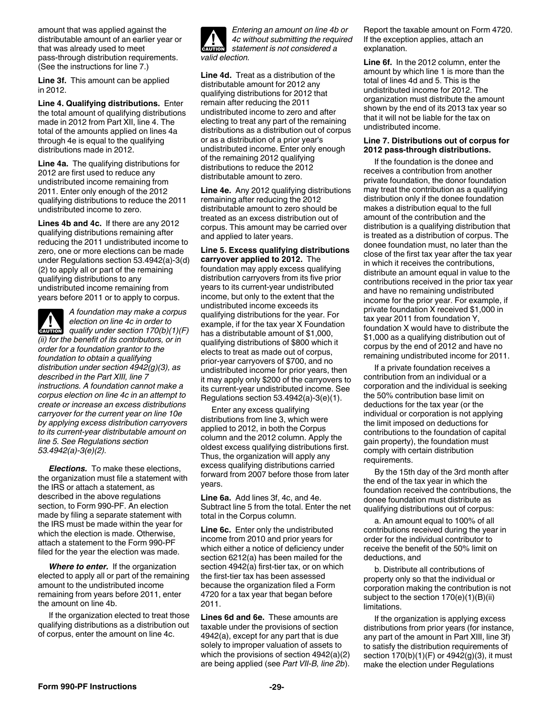<span id="page-28-0"></span>amount that was applied against the distributable amount of an earlier year or that was already used to meet pass-through distribution requirements. (See the instructions for line 7.)

**Line 3f.** This amount can be applied in 2012.

**Line 4. Qualifying distributions.** Enter the total amount of qualifying distributions made in 2012 from Part XII, line 4. The total of the amounts applied on lines 4a through 4e is equal to the qualifying distributions made in 2012.

**Line 4a.** The qualifying distributions for 2012 are first used to reduce any undistributed income remaining from 2011. Enter only enough of the 2012 qualifying distributions to reduce the 2011 undistributed income to zero.

**Lines 4b and 4c.** If there are any 2012 qualifying distributions remaining after reducing the 2011 undistributed income to zero, one or more elections can be made under Regulations section 53.4942(a)-3(d) (2) to apply all or part of the remaining qualifying distributions to any undistributed income remaining from years before 2011 or to apply to corpus.

*A foundation may make a corpus election on line 4c in order to*  **z**<br>*qualify under section 170(b)(1)(F) (ii) for the benefit of its contributors, or in order for a foundation grantor to the foundation to obtain a qualifying distribution under section 4942(g)(3), as described in the Part XIII, line 7 instructions. A foundation cannot make a corpus election on line 4c in an attempt to create or increase an excess distributions carryover for the current year on line 10e by applying excess distribution carryovers to its current-year distributable amount on line 5. See Regulations section 53.4942(a)-3(e)(2).*

*Elections.* To make these elections, the organization must file a statement with the IRS or attach a statement, as described in the above regulations section, to Form 990-PF. An election made by filing a separate statement with the IRS must be made within the year for which the election is made. Otherwise, attach a statement to the Form 990-PF filed for the year the election was made.

*Where to enter.* If the organization elected to apply all or part of the remaining amount to the undistributed income remaining from years before 2011, enter the amount on line 4b.

If the organization elected to treat those qualifying distributions as a distribution out of corpus, enter the amount on line 4c.



*4c without submitting the required statement is not considered a* 

**Line 4d.** Treat as a distribution of the distributable amount for 2012 any qualifying distributions for 2012 that remain after reducing the 2011 undistributed income to zero and after electing to treat any part of the remaining distributions as a distribution out of corpus or as a distribution of a prior year's undistributed income. Enter only enough of the remaining 2012 qualifying distributions to reduce the 2012 distributable amount to zero.

**Line 4e.** Any 2012 qualifying distributions remaining after reducing the 2012 distributable amount to zero should be treated as an excess distribution out of corpus. This amount may be carried over and applied to later years.

#### **Line 5. Excess qualifying distributions carryover applied to 2012.** The foundation may apply excess qualifying

distribution carryovers from its five prior years to its current-year undistributed income, but only to the extent that the undistributed income exceeds its qualifying distributions for the year. For example, if for the tax year X Foundation has a distributable amount of \$1,000, qualifying distributions of \$800 which it elects to treat as made out of corpus, prior-year carryovers of \$700, and no undistributed income for prior years, then it may apply only \$200 of the carryovers to its current-year undistributed income. See Regulations section 53.4942(a)-3(e)(1).

Enter any excess qualifying distributions from line 3, which were applied to 2012, in both the Corpus column and the 2012 column. Apply the oldest excess qualifying distributions first. Thus, the organization will apply any excess qualifying distributions carried forward from 2007 before those from later years.

**Line 6a.** Add lines 3f, 4c, and 4e. Subtract line 5 from the total. Enter the net total in the Corpus column.

**Line 6c.** Enter only the undistributed income from 2010 and prior years for which either a notice of deficiency under section 6212(a) has been mailed for the section 4942(a) first-tier tax, or on which the first-tier tax has been assessed because the organization filed a Form 4720 for a tax year that began before 2011.

**Lines 6d and 6e.** These amounts are taxable under the provisions of section 4942(a), except for any part that is due solely to improper valuation of assets to which the provisions of section 4942(a)(2) are being applied (see *Part VII-B, line 2b*). Report the taxable amount on Form 4720. If the exception applies, attach an explanation.

**Line 6f.** In the 2012 column, enter the amount by which line 1 is more than the total of lines 4d and 5. This is the undistributed income for 2012. The organization must distribute the amount shown by the end of its 2013 tax year so that it will not be liable for the tax on undistributed income.

#### **Line 7. Distributions out of corpus for 2012 pass-through distributions.**

If the foundation is the donee and receives a contribution from another private foundation, the donor foundation may treat the contribution as a qualifying distribution only if the donee foundation makes a distribution equal to the full amount of the contribution and the distribution is a qualifying distribution that is treated as a distribution of corpus. The donee foundation must, no later than the close of the first tax year after the tax year in which it receives the contributions, distribute an amount equal in value to the contributions received in the prior tax year and have no remaining undistributed income for the prior year. For example, if private foundation X received \$1,000 in tax year 2011 from foundation Y, foundation X would have to distribute the \$1,000 as a qualifying distribution out of corpus by the end of 2012 and have no remaining undistributed income for 2011.

If a private foundation receives a contribution from an individual or a corporation and the individual is seeking the 50% contribution base limit on deductions for the tax year (or the individual or corporation is not applying the limit imposed on deductions for contributions to the foundation of capital gain property), the foundation must comply with certain distribution requirements.

By the 15th day of the 3rd month after the end of the tax year in which the foundation received the contributions, the donee foundation must distribute as qualifying distributions out of corpus:

a. An amount equal to 100% of all contributions received during the year in order for the individual contributor to receive the benefit of the 50% limit on deductions, and

b. Distribute all contributions of property only so that the individual or corporation making the contribution is not subject to the section 170(e)(1)(B)(ii) limitations.

If the organization is applying excess distributions from prior years (for instance, any part of the amount in Part XIII, line 3f) to satisfy the distribution requirements of section 170(b)(1)(F) or 4942(g)(3), it must make the election under Regulations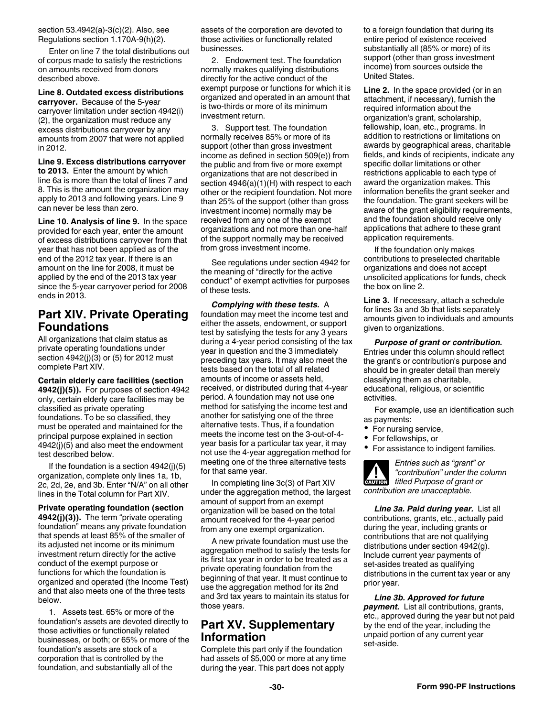<span id="page-29-0"></span>section 53.4942(a)-3(c)(2). Also, see Regulations section 1.170A-9(h)(2).

Enter on line 7 the total distributions out of corpus made to satisfy the restrictions on amounts received from donors described above.

### **Line 8. Outdated excess distributions**

**carryover.** Because of the 5-year carryover limitation under section 4942(i) (2), the organization must reduce any excess distributions carryover by any amounts from 2007 that were not applied in 2012.

**Line 9. Excess distributions carryover to 2013.** Enter the amount by which line 6a is more than the total of lines 7 and 8. This is the amount the organization may apply to 2013 and following years. Line 9 can never be less than zero.

**Line 10. Analysis of line 9.** In the space provided for each year, enter the amount of excess distributions carryover from that year that has not been applied as of the end of the 2012 tax year. If there is an amount on the line for 2008, it must be applied by the end of the 2013 tax year since the 5-year carryover period for 2008 ends in 2013.

### **Part XIV. Private Operating Foundations**

All organizations that claim status as private operating foundations under section 4942(j)(3) or (5) for 2012 must complete Part XIV.

**Certain elderly care facilities (section 4942(j)(5)).** For purposes of section 4942 only, certain elderly care facilities may be classified as private operating foundations. To be so classified, they must be operated and maintained for the principal purpose explained in section 4942(j)(5) and also meet the endowment test described below.

If the foundation is a section  $4942(i)(5)$ organization, complete only lines 1a, 1b, 2c, 2d, 2e, and 3b. Enter "N/A" on all other lines in the Total column for Part XIV.

**Private operating foundation (section 4942(j)(3)).** The term "private operating foundation" means any private foundation that spends at least 85% of the smaller of its adjusted net income or its minimum investment return directly for the active conduct of the exempt purpose or functions for which the foundation is organized and operated (the Income Test) and that also meets one of the three tests below.

1. Assets test. 65% or more of the foundation's assets are devoted directly to those activities or functionally related businesses, or both; or 65% or more of the foundation's assets are stock of a corporation that is controlled by the foundation, and substantially all of the

assets of the corporation are devoted to those activities or functionally related businesses.

2. Endowment test. The foundation normally makes qualifying distributions directly for the active conduct of the exempt purpose or functions for which it is organized and operated in an amount that is two-thirds or more of its minimum investment return.

3. Support test. The foundation normally receives 85% or more of its support (other than gross investment income as defined in section 509(e)) from the public and from five or more exempt organizations that are not described in section 4946(a)(1)(H) with respect to each other or the recipient foundation. Not more than 25% of the support (other than gross investment income) normally may be received from any one of the exempt organizations and not more than one-half of the support normally may be received from gross investment income.

See regulations under section 4942 for the meaning of "directly for the active conduct" of exempt activities for purposes of these tests.

*Complying with these tests.* A foundation may meet the income test and either the assets, endowment, or support test by satisfying the tests for any 3 years during a 4-year period consisting of the tax year in question and the 3 immediately preceding tax years. It may also meet the tests based on the total of all related amounts of income or assets held, received, or distributed during that 4-year period. A foundation may not use one method for satisfying the income test and another for satisfying one of the three alternative tests. Thus, if a foundation meets the income test on the 3-out-of-4 year basis for a particular tax year, it may not use the 4-year aggregation method for meeting one of the three alternative tests for that same year.

In completing line 3c(3) of Part XIV under the aggregation method, the largest amount of support from an exempt organization will be based on the total amount received for the 4-year period from any one exempt organization.

A new private foundation must use the aggregation method to satisfy the tests for its first tax year in order to be treated as a private operating foundation from the beginning of that year. It must continue to use the aggregation method for its 2nd and 3rd tax years to maintain its status for those years.

### **Part XV. Supplementary Information**

Complete this part only if the foundation had assets of \$5,000 or more at any time during the year. This part does not apply

to a foreign foundation that during its entire period of existence received substantially all (85% or more) of its support (other than gross investment income) from sources outside the United States.

**Line 2.** In the space provided (or in an attachment, if necessary), furnish the required information about the organization's grant, scholarship, fellowship, loan, etc., programs. In addition to restrictions or limitations on awards by geographical areas, charitable fields, and kinds of recipients, indicate any specific dollar limitations or other restrictions applicable to each type of award the organization makes. This information benefits the grant seeker and the foundation. The grant seekers will be aware of the grant eligibility requirements, and the foundation should receive only applications that adhere to these grant application requirements.

If the foundation only makes contributions to preselected charitable organizations and does not accept unsolicited applications for funds, check the box on line 2.

**Line 3.** If necessary, attach a schedule for lines 3a and 3b that lists separately amounts given to individuals and amounts given to organizations.

*Purpose of grant or contribution.*  Entries under this column should reflect the grant's or contribution's purpose and should be in greater detail than merely classifying them as charitable, educational, religious, or scientific activities.

For example, use an identification such as payments:

- For nursing service,
- For fellowships, or
- For assistance to indigent families.

*Entries such as "grant" or "contribution" under the column titled Purpose of grant or contribution are unacceptable.* **CAUTION !**

*Line 3a. Paid during year.* List all contributions, grants, etc., actually paid during the year, including grants or contributions that are not qualifying distributions under section 4942(g). Include current year payments of set-asides treated as qualifying distributions in the current tax year or any prior year.

*Line 3b. Approved for future payment.* List all contributions, grants, etc., approved during the year but not paid by the end of the year, including the unpaid portion of any current year set-aside.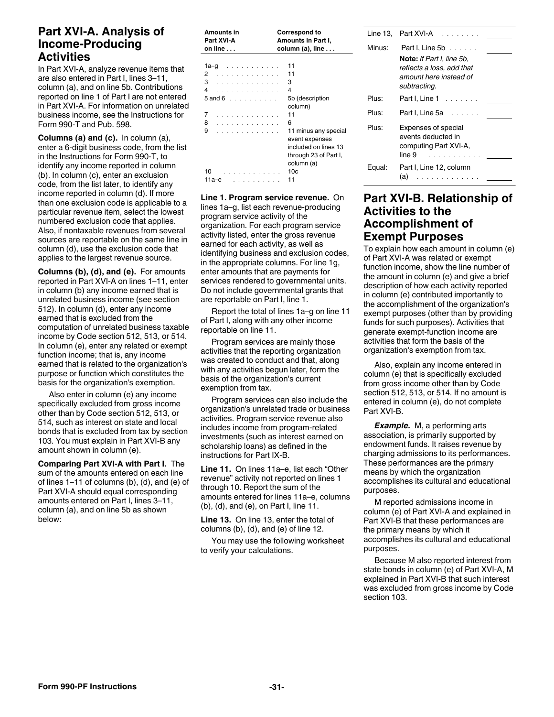### <span id="page-30-0"></span>**Part XVI-A. Analysis of Income-Producing Activities**

In Part XVI-A, analyze revenue items that are also entered in Part I, lines 3–11, column (a), and on line 5b. Contributions reported on line 1 of Part I are not entered in Part XVI-A. For information on unrelated business income, see the Instructions for Form 990-T and Pub. 598.

**Columns (a) and (c).** In column (a), enter a 6-digit business code, from the list in the Instructions for Form 990-T, to identify any income reported in column (b). In column (c), enter an exclusion code, from the list later, to identify any income reported in column (d). If more than one exclusion code is applicable to a particular revenue item, select the lowest numbered exclusion code that applies. Also, if nontaxable revenues from several sources are reportable on the same line in column (d), use the exclusion code that applies to the largest revenue source.

**Columns (b), (d), and (e).** For amounts reported in Part XVI-A on lines 1–11, enter in column (b) any income earned that is unrelated business income (see section 512). In column (d), enter any income earned that is excluded from the computation of unrelated business taxable income by Code section 512, 513, or 514. In column (e), enter any related or exempt function income; that is, any income earned that is related to the organization's purpose or function which constitutes the basis for the organization's exemption.

Also enter in column (e) any income specifically excluded from gross income other than by Code section 512, 513, or 514, such as interest on state and local bonds that is excluded from tax by section 103. You must explain in Part XVI-B any amount shown in column (e).

**Comparing Part XVI-A with Part I.** The sum of the amounts entered on each line of lines 1–11 of columns (b), (d), and (e) of Part XVI-A should equal corresponding amounts entered on Part I, lines 3–11, column (a), and on line 5b as shown below:

| Amounts in<br>Part XVI-A<br>on line $\ldots$ | <b>Correspond to</b><br>Amounts in Part I,<br>column (a), line $\dots$ |
|----------------------------------------------|------------------------------------------------------------------------|
|                                              |                                                                        |
| 1a-g                                         | 11                                                                     |
| 2<br>.                                       | 11                                                                     |
| 3<br>.                                       | з                                                                      |
| 4<br>.                                       | 4                                                                      |
| $5$ and $6$                                  | 5b (description                                                        |
|                                              | column)                                                                |
| 7<br>.                                       | 11                                                                     |
| 8<br>.                                       | 6                                                                      |
| 9<br>.                                       | 11 minus any special                                                   |
|                                              | event expenses                                                         |
|                                              | included on lines 13                                                   |
|                                              | through 23 of Part I,                                                  |
|                                              | column (a)                                                             |
| 10                                           | 10c                                                                    |
|                                              |                                                                        |
| 11а–е<br><b>Service</b> State                | 11                                                                     |

**Line 1. Program service revenue.** On lines 1a–g, list each revenue-producing program service activity of the organization. For each program service activity listed, enter the gross revenue earned for each activity, as well as identifying business and exclusion codes, in the appropriate columns. For line 1g, enter amounts that are payments for services rendered to governmental units. Do not include governmental grants that are reportable on Part I, line 1.

Report the total of lines 1a–g on line 11 of Part I, along with any other income reportable on line 11.

Program services are mainly those activities that the reporting organization was created to conduct and that, along with any activities begun later, form the basis of the organization's current exemption from tax.

Program services can also include the organization's unrelated trade or business activities. Program service revenue also includes income from program-related investments (such as interest earned on scholarship loans) as defined in the instructions for Part IX-B.

**Line 11.** On lines 11a–e, list each "Other revenue" activity not reported on lines 1 through 10. Report the sum of the amounts entered for lines 11a–e, columns (b), (d), and (e), on Part I, line 11.

**Line 13.** On line 13, enter the total of columns (b), (d), and (e) of line 12.

You may use the following worksheet to verify your calculations.

|        | Line 13, Part XVI-A                                                                                                        |
|--------|----------------------------------------------------------------------------------------------------------------------------|
| Minus: | Part I, Line 5b<br><b>Note:</b> If Part I. line 5b.<br>reflects a loss, add that<br>amount here instead of<br>subtracting. |
| Plus:  | Part I, Line 1                                                                                                             |
| Plus:  | Part I, Line 5a $\ldots$ .                                                                                                 |
| Plus:  | Expenses of special<br>events deducted in<br>computing Part XVI-A,<br>line 9                                               |
| Equal: | Part I, Line 12, column<br>(a)<br>$\mathcal{A}$ , we can be a set of $\mathcal{A}$                                         |

### **Part XVI-B. Relationship of Activities to the Accomplishment of Exempt Purposes**

To explain how each amount in column (e) of Part XVI-A was related or exempt function income, show the line number of the amount in column (e) and give a brief description of how each activity reported in column (e) contributed importantly to the accomplishment of the organization's exempt purposes (other than by providing funds for such purposes). Activities that generate exempt-function income are activities that form the basis of the organization's exemption from tax.

Also, explain any income entered in column (e) that is specifically excluded from gross income other than by Code section 512, 513, or 514. If no amount is entered in column (e), do not complete Part XVI-B.

*Example.* M, a performing arts association, is primarily supported by endowment funds. It raises revenue by charging admissions to its performances. These performances are the primary means by which the organization accomplishes its cultural and educational purposes.

M reported admissions income in column (e) of Part XVI-A and explained in Part XVI-B that these performances are the primary means by which it accomplishes its cultural and educational purposes.

Because M also reported interest from state bonds in column (e) of Part XVI-A, M explained in Part XVI-B that such interest was excluded from gross income by Code section 103.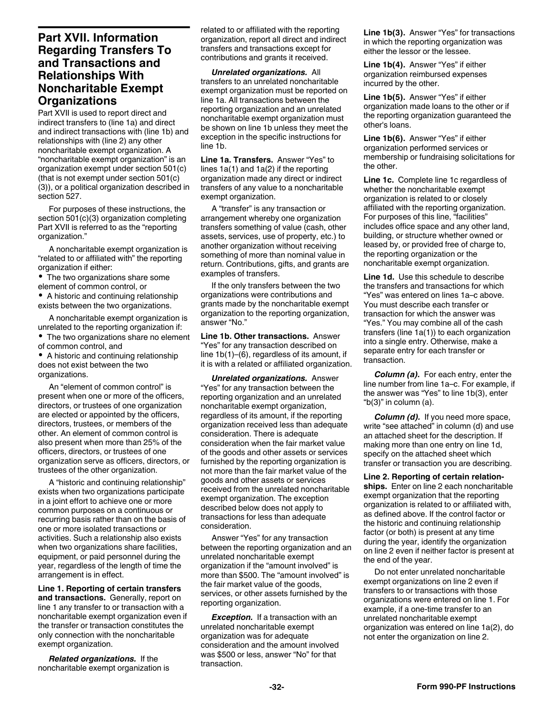### <span id="page-31-0"></span>**Part XVII. Information Regarding Transfers To and Transactions and Relationships With Noncharitable Exempt Organizations**

Part XVII is used to report direct and indirect transfers to (line 1a) and direct and indirect transactions with (line 1b) and relationships with (line 2) any other noncharitable exempt organization. A "noncharitable exempt organization" is an organization exempt under section 501(c) (that is not exempt under section 501(c) (3)), or a political organization described in section 527.

For purposes of these instructions, the section 501(c)(3) organization completing Part XVII is referred to as the "reporting organization."

A noncharitable exempt organization is "related to or affiliated with" the reporting organization if either:

• The two organizations share some element of common control, or

A historic and continuing relationship exists between the two organizations.

A noncharitable exempt organization is unrelated to the reporting organization if: The two organizations share no element of common control, and

A historic and continuing relationship does not exist between the two organizations.

An "element of common control" is present when one or more of the officers, directors, or trustees of one organization are elected or appointed by the officers, directors, trustees, or members of the other. An element of common control is also present when more than 25% of the officers, directors, or trustees of one organization serve as officers, directors, or trustees of the other organization.

A "historic and continuing relationship" exists when two organizations participate in a joint effort to achieve one or more common purposes on a continuous or recurring basis rather than on the basis of one or more isolated transactions or activities. Such a relationship also exists when two organizations share facilities, equipment, or paid personnel during the year, regardless of the length of time the arrangement is in effect.

**Line 1. Reporting of certain transfers and transactions.** Generally, report on line 1 any transfer to or transaction with a noncharitable exempt organization even if the transfer or transaction constitutes the only connection with the noncharitable exempt organization.

*Related organizations.* If the noncharitable exempt organization is related to or affiliated with the reporting organization, report all direct and indirect transfers and transactions except for contributions and grants it received.

*Unrelated organizations.* All transfers to an unrelated noncharitable exempt organization must be reported on line 1a. All transactions between the reporting organization and an unrelated noncharitable exempt organization must be shown on line 1b unless they meet the exception in the specific instructions for line 1b.

**Line 1a. Transfers.** Answer "Yes" to lines 1a(1) and 1a(2) if the reporting organization made any direct or indirect transfers of any value to a noncharitable exempt organization.

A "transfer" is any transaction or arrangement whereby one organization transfers something of value (cash, other assets, services, use of property, etc.) to another organization without receiving something of more than nominal value in return. Contributions, gifts, and grants are examples of transfers.

If the only transfers between the two organizations were contributions and grants made by the noncharitable exempt organization to the reporting organization, answer "No."

**Line 1b. Other transactions.** Answer "Yes" for any transaction described on line 1b(1)–(6), regardless of its amount, if it is with a related or affiliated organization.

*Unrelated organizations.* Answer "Yes" for any transaction between the reporting organization and an unrelated noncharitable exempt organization, regardless of its amount, if the reporting organization received less than adequate consideration. There is adequate consideration when the fair market value of the goods and other assets or services furnished by the reporting organization is not more than the fair market value of the goods and other assets or services received from the unrelated noncharitable exempt organization. The exception described below does not apply to transactions for less than adequate consideration.

Answer "Yes" for any transaction between the reporting organization and an unrelated noncharitable exempt organization if the "amount involved" is more than \$500. The "amount involved" is the fair market value of the goods, services, or other assets furnished by the reporting organization.

**Exception.** If a transaction with an unrelated noncharitable exempt organization was for adequate consideration and the amount involved was \$500 or less, answer "No" for that transaction.

**Line 1b(3).** Answer "Yes" for transactions in which the reporting organization was either the lessor or the lessee.

**Line 1b(4).** Answer "Yes" if either organization reimbursed expenses incurred by the other.

**Line 1b(5).** Answer "Yes" if either organization made loans to the other or if the reporting organization guaranteed the other's loans.

**Line 1b(6).** Answer "Yes" if either organization performed services or membership or fundraising solicitations for the other.

**Line 1c.** Complete line 1c regardless of whether the noncharitable exempt organization is related to or closely affiliated with the reporting organization. For purposes of this line, "facilities" includes office space and any other land, building, or structure whether owned or leased by, or provided free of charge to, the reporting organization or the noncharitable exempt organization.

**Line 1d.** Use this schedule to describe the transfers and transactions for which "Yes" was entered on lines 1a–c above. You must describe each transfer or transaction for which the answer was "Yes." You may combine all of the cash transfers (line 1a(1)) to each organization into a single entry. Otherwise, make a separate entry for each transfer or transaction.

*Column (a).* For each entry, enter the line number from line 1a–c. For example, if the answer was "Yes" to line 1b(3), enter "b(3)" in column (a).

*Column (d).* If you need more space, write "see attached" in column (d) and use an attached sheet for the description. If making more than one entry on line 1d, specify on the attached sheet which transfer or transaction you are describing.

**Line 2. Reporting of certain relationships.** Enter on line 2 each noncharitable exempt organization that the reporting organization is related to or affiliated with, as defined above. If the control factor or the historic and continuing relationship factor (or both) is present at any time during the year, identify the organization on line 2 even if neither factor is present at the end of the year.

Do not enter unrelated noncharitable exempt organizations on line 2 even if transfers to or transactions with those organizations were entered on line 1. For example, if a one-time transfer to an unrelated noncharitable exempt organization was entered on line 1a(2), do not enter the organization on line 2.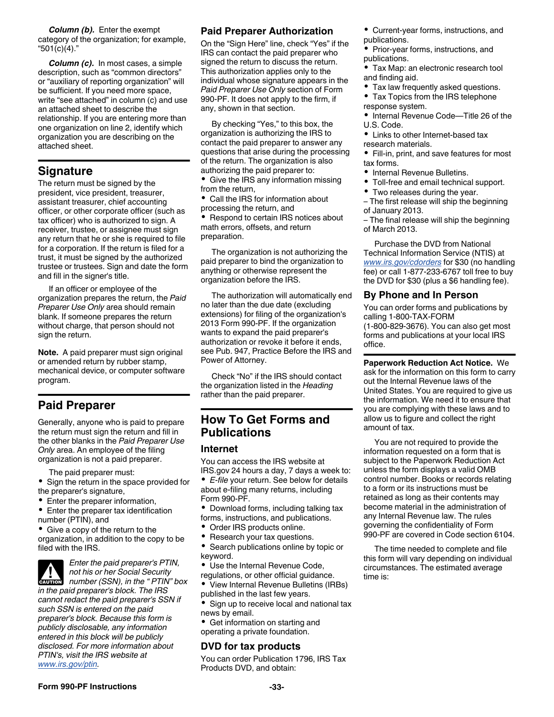<span id="page-32-0"></span>*Column (b).* Enter the exempt category of the organization; for example, "501(c)(4)."

*Column (c).* In most cases, a simple description, such as "common directors" or "auxiliary of reporting organization" will be sufficient. If you need more space, write "see attached" in column (c) and use an attached sheet to describe the relationship. If you are entering more than one organization on line 2, identify which organization you are describing on the attached sheet.

### **Signature**

The return must be signed by the president, vice president, treasurer, assistant treasurer, chief accounting officer, or other corporate officer (such as tax officer) who is authorized to sign. A receiver, trustee, or assignee must sign any return that he or she is required to file for a corporation. If the return is filed for a trust, it must be signed by the authorized trustee or trustees. Sign and date the form and fill in the signer's title.

If an officer or employee of the organization prepares the return, the *Paid Preparer Use Only* area should remain blank. If someone prepares the return without charge, that person should not sign the return.

**Note.** A paid preparer must sign original or amended return by rubber stamp, mechanical device, or computer software program.

### **Paid Preparer**

Generally, anyone who is paid to prepare the return must sign the return and fill in the other blanks in the *Paid Preparer Use Only* area. An employee of the filing organization is not a paid preparer.

The paid preparer must:

- Sign the return in the space provided for the preparer's signature,
- Enter the preparer information,
- Enter the preparer tax identification number (PTIN), and
- Give a copy of the return to the organization, in addition to the copy to be filed with the IRS.



*Enter the paid preparer's PTIN, not his or her Social Security*  **Property and** *number (SSN), in the " PTIN" box* **<b>PTIN**" box

*in the paid preparer's block. The IRS cannot redact the paid preparer's SSN if such SSN is entered on the paid preparer's block. Because this form is publicly disclosable, any information entered in this block will be publicly disclosed. For more information about PTIN's, visit the IRS website at [www.irs.gov/ptin](http://www.irs.gov/Tax-Professionals/PTIN-Requirements-for-Tax-Return-Preparers).*

### **Paid Preparer Authorization**

On the "Sign Here" line, check "Yes" if the IRS can contact the paid preparer who signed the return to discuss the return. This authorization applies only to the individual whose signature appears in the *Paid Preparer Use Only* section of Form 990-PF. It does not apply to the firm, if any, shown in that section.

By checking "Yes," to this box, the organization is authorizing the IRS to contact the paid preparer to answer any questions that arise during the processing of the return. The organization is also authorizing the paid preparer to: • Give the IRS any information missing

- from the return,
- Call the IRS for information about processing the return, and

Respond to certain IRS notices about math errors, offsets, and return preparation.

The organization is not authorizing the paid preparer to bind the organization to anything or otherwise represent the organization before the IRS.

The authorization will automatically end no later than the due date (excluding extensions) for filing of the organization's 2013 Form 990-PF. If the organization wants to expand the paid preparer's authorization or revoke it before it ends, see Pub. 947, Practice Before the IRS and Power of Attorney.

Check "No" if the IRS should contact the organization listed in the *Heading*  rather than the paid preparer.

### **How To Get Forms and Publications**

#### **Internet**

You can access the IRS website at IRS.gov 24 hours a day, 7 days a week to:

*E-file* your return. See below for details about e-filing many returns, including Form 990-PF.

- Download forms, including talking tax forms, instructions, and publications.
- Order IRS products online.
- Research your tax questions.
- Search publications online by topic or keyword.

Use the Internal Revenue Code, regulations, or other official guidance.

View Internal Revenue Bulletins (IRBs) published in the last few years.

Sign up to receive local and national tax news by email.

Get information on starting and operating a private foundation.

#### **DVD for tax products**

You can order Publication 1796, IRS Tax Products DVD, and obtain:

Current-year forms, instructions, and publications.

Prior-year forms, instructions, and publications.

- Tax Map: an electronic research tool and finding aid.
- Tax law frequently asked questions.
- Tax Topics from the IRS telephone response system.
- Internal Revenue Code—Title 26 of the U.S. Code.
- Links to other Internet-based tax research materials.
- Fill-in, print, and save features for most tax forms.
- Internal Revenue Bulletins.
- Toll-free and email technical support.
- Two releases during the year. – The first release will ship the beginning
- of January 2013.
- The final release will ship the beginning of March 2013.

Purchase the DVD from National Technical Information Service (NTIS) at *[www.irs.gov/cdorders](http://www.irs.gov/uac/Order-The-IRS-Tax-Products-DVD-(Publication-1796))* for \$30 (no handling fee) or call 1-877-233-6767 toll free to buy the DVD for \$30 (plus a \$6 handling fee).

#### **By Phone and In Person**

You can order forms and publications by calling 1-800-TAX-FORM (1-800-829-3676). You can also get most forms and publications at your local IRS office.

**Paperwork Reduction Act Notice.** We ask for the information on this form to carry out the Internal Revenue laws of the United States. You are required to give us the information. We need it to ensure that you are complying with these laws and to allow us to figure and collect the right amount of tax.

You are not required to provide the information requested on a form that is subject to the Paperwork Reduction Act unless the form displays a valid OMB control number. Books or records relating to a form or its instructions must be retained as long as their contents may become material in the administration of any Internal Revenue law. The rules governing the confidentiality of Form 990-PF are covered in Code section 6104.

The time needed to complete and file this form will vary depending on individual circumstances. The estimated average time is: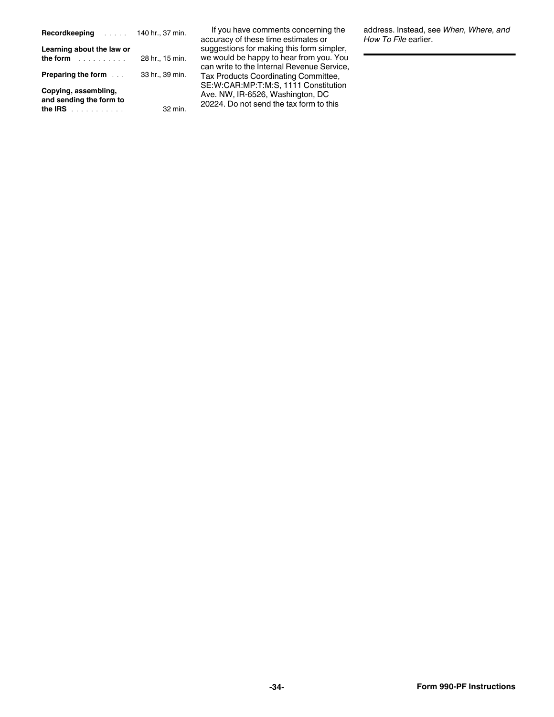| <b>Recordkeeping</b>                                                                                                                                                                                                                                        | 140 hr., 37 min. |
|-------------------------------------------------------------------------------------------------------------------------------------------------------------------------------------------------------------------------------------------------------------|------------------|
| Learning about the law or<br>the form the second state of the second state of the second state of the second state of the second state of the second state of the second state of the second state of the second state in the second state in the second st | 28 hr., 15 min.  |
| <b>Preparing the form</b>                                                                                                                                                                                                                                   | 33 hr., 39 min.  |
| Copying, assembling,<br>and sending the form to<br>the IRS $\ldots$                                                                                                                                                                                         | 32 min.          |

If you have comments concerning the accuracy of these time estimates or suggestions for making this form simpler, we would be happy to hear from you. You can write to the Internal Revenue Service, Tax Products Coordinating Committee, SE:W:CAR:MP:T:M:S, 1111 Constitution Ave. NW, IR-6526, Washington, DC 20224. Do not send the tax form to this

address. Instead, see *When, Where, and How To File* earlier.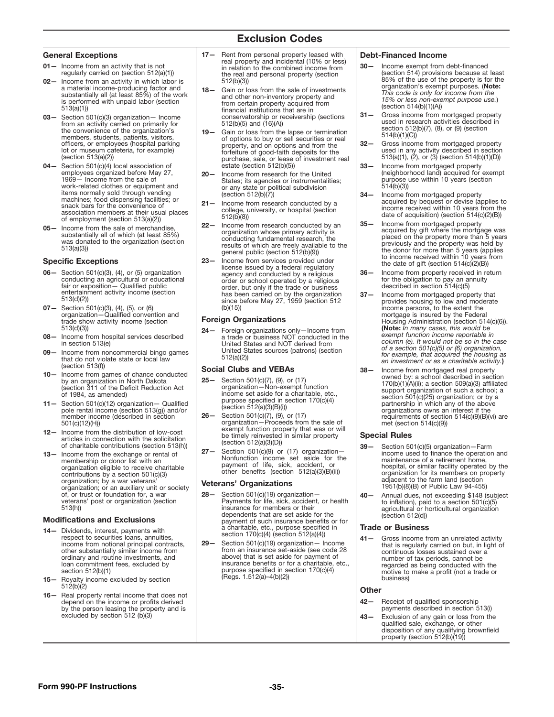### Exclusion Codes

- $-$  Income from an activity that is not regularly carried on (section 512(a)(1))
- Income from an activity in which labor is a material income-producing factor and substantially all (at least 85%) of the work is performed with unpaid labor (section 513(a)(1)) 02- Income from an activity in which labor is
- from an activity carried on primarily for the convenience of the organization's members, students, patients, visitors,<br>officers, or employees (hospital parking lot or museum cafeteria, for example) (section 513(a)(2)) 03- Section 501(c)(3) organization- Income
- employees organized before May 27, 1969— Income from the sale of work-related clothes or equipment and items normally sold through vending machines; food dispensing facilities; or snack bars for the convenience of association members at their usual places of employment (section 513(a)(2))
- Income from the sale of merchandise, substantially all of which (at least 85%) was donated to the organization (section 513(a)(3))

#### Specific Exceptions

- conducting an agricultural or educational fair or exposition— Qualied public entertainment activity income (section 513(d)(2))
- 07 Section 501(c)(3), (4), (5), or (6)<br>organization Qualified convention and trade show activity income (section 513(d)(3))
- 08- Income from hospital services described in section 513(e)
- 09 Income from noncommercial bingo games<br>that do not violate state or local law (section 513(f))
- by an organization in North Dakota (section 311 of the Deficit Reduction Act of 1984, as amended)
- $11 -$  Section 501(c)(12) organization Qualified pole rental income (section 513(g)) and/or member income (described in section 501(c)(12)(H))
- 12- Income from the distribution of low-cost articles in connection with the solicitation of charitable contributions (section 513(h))
- 13- Income from the exchange or rental of membership or donor list with an organization eligible to receive charitable contributions by a section 501(c)(3) organization; by a war veterans' organization; or an auxiliary unit or society of, or trust or foundation for, a war veterans' post or organization (section 513(h))

#### Modifications and Exclusions

- 14- Dividends, interest, payments with respect to securities loans, annuities, income from notional principal contracts, other substantially similar income from ordinary and routine investments, and loan commitment fees, excluded by section 512(b)(1)
- 15- Royalty income excluded by section 512(b)(2)
- 16- Real property rental income that does not depend on the income or profits derived by the person leasing the property and is excluded by section 512 (b)(3)
- General Exceptions **Debt-Financed Income 17–** Rent from personal property leased with **Debt-Financed Income** 01— Income from an activity that is not<br>
regularly carried on (section 512(a)(1))  $\qquad$  the real and personal property (section  $\qquad$  30 real property and incidental (10% or less) 512(b)(3))
	- Section 501(c)(3) organization Income  $\vert$  conservatorship or receivership (sections  $\vert$  31 18— Gain or loss from the sale of investments and other non-inventory property and from certain property acquired from<br>financial institutions that are in  $512(b)(5)$  and  $(16)(A)$
- 19— Gain or loss from the lapse or termination of options to buy or sell securities or real property, and on options and from the forfeiture of good-faith deposits for the purchase, sale, or lease of investment real estate (section 512(b)(5)) 04— Section 501(c)(4) local association of estate (section 512(b)(5))  $\hspace{2cm}$  33— Income from mortgaged property
	- 20— Income from research for the United States; its agencies or instrumentalities; or any state or political subdivision (section 512(b)(7))
	- 21— Income from research conducted by a college, university, or hospital (section 512(b)(8))
- $22-$  Income from research conducted by an  $35-$  Income from mortgaged property<br>  $\frac{1}{2}$  income from the sale of mortganization whose primary activity is acquired by gift where the mortganization whose primary activity conducting fundamental research, the results of which are freely available to the general public (section 512(b)(9))
- 23— Income from services provided under license issued by a federal regulatory agency and conducted by a religious order or school operated by a religious order, but only if the trade or business has been carried on by the organization since before May 27, 1959 (section 512 (b)(15))  $S = \text{Set}$  (3), (4), or (5) organization and conducted by a religious  $S = \text{Set}$  and conducted by a religious  $\sim$  36 Income from property received in return

#### Foreign Organizations

24- Foreign organizations only-Income from a trade or business NOT conducted in the United States and NOT derived from United States sources (patrons) (section 512(a)(2))

#### Social Clubs and VEBAs

- Section 501(c)(7), (9), or (17) organization—Non-exempt function income set aside for a charitable, etc., purpose specified in section  $170(c)(4)$ (section 512(a)(3)(B)(i))  $25 -$
- Section 501(c)(7), (9), or (17) organization—Proceeds from the sale of exempt function property that was or will be timely reinvested in similar property (section 512(a)(3)(D)) 26—
- Section 501(c)(9) or (17) organization-Nonfunction income set aside for the payment of life, sick, accident, or other benets (section 512(a)(3)(B)(ii))  $27 -$

#### Veterans' Organizations

- Section 501(c)(19) organization— Payments for life, sick, accident, or health insurance for members or their dependents that are set aside for the payment of such insurance benefits or for a charitable, etc., purpose specified in section 170(c)(4) (section 512(a)(4)) 28—
- Section 501(c)(19) organization— Income from an insurance set-aside (see code 28 above) that is set aside for payment of insurance benefits or for a charitable, etc., purpose specified in section 170(c)(4)<br>(Regs. 1.512(a)–4(b)(2)) 29—

- Income exempt from debt-financed (section 514) provisions because at least<br>85% of the use of the property is for the<br>organization's exempt purposes. (**Note:** *This code is only for income from the 15% or less non-exempt purpose use.*) (section 514(b)(1)(A))
- Gross income from mortgaged property used in research activities described in section 512(b)(7), (8), or (9) (section 514(b)(1)(C))
- Gross income from mortgaged property used in any activity described in section 513(a)(1), (2), or (3) (section 514(b)(1)(D)) 32—
- (neighborhood land) acquired for exempt purpose use within 10 years (section 514(b)(3)) 33—
- Income from mortgaged property acquired by bequest or devise (applies to income received within 10 years from the date of acquisition) (section 514(c)(2)(B)) 34—
- Income from mortgaged property<br>acquired by gift where the mortgage was placed on the property more than 5 years previously and the property was held by the donor for more than 5 years (applies to income received within 10 years from the date of gift (section 514(c)(2)(B)) 35—
- for the obligation to pay an annuity described in section 514(c)(5) 36—
- Income from mortgaged property that provides housing to low and moderate income persons, to the extent the mortgage is insured by the Federal Housing Administration (section 514(c)(6)). (Note: *In many cases, this would be exempt function income reportable in column (e). It would not be so in the case of a section 501(c)(5) or (6) organization, for example, that acquired the housing as an investment or as a charitable activity.*)  $37 -$
- Income from games of chance conducted 10— Income from mortgaged real property owned by: a school described in section 170(b)(1)(A)(ii); a section 509(a)(3) afliated support organization of such a school; a section 501(c)(25) organization; or by a partnership in which any of the above organizations owns an interest if the requirements of section 514(c)(9)(B)(vi) are met (section 514(c)(9)) 38—

#### Special Rules

- Section 501(c)(5) organization—Farm income used to finance the operation and maintenance of a retirement home, hospital, or similar facility operated by the organization for its members on property adjacent to the farm land (section 1951(b)(8)(B) of Public Law 94-455) 39—
- Annual dues, not exceeding \$148 (subject to inflation), paid to a section  $501(c)(5)$ agricultural or horticultural organization (section 512(d))  $40 -$

#### Trade or Business

41— Gross income from an unrelated activity that is regularly carried on but, in light of continuous losses sustained over a number of tax periods, cannot be regarded as being conducted with the motive to make a profit (not a trade or business)

#### **Other**

- Receipt of qualified sponsorship payments described in section 513(i)  $42-$
- Exclusion of any gain or loss from the qualified sale, exchange, or other disposition of any qualifying brownfield<br>property (section 512(b)(19)) 43—